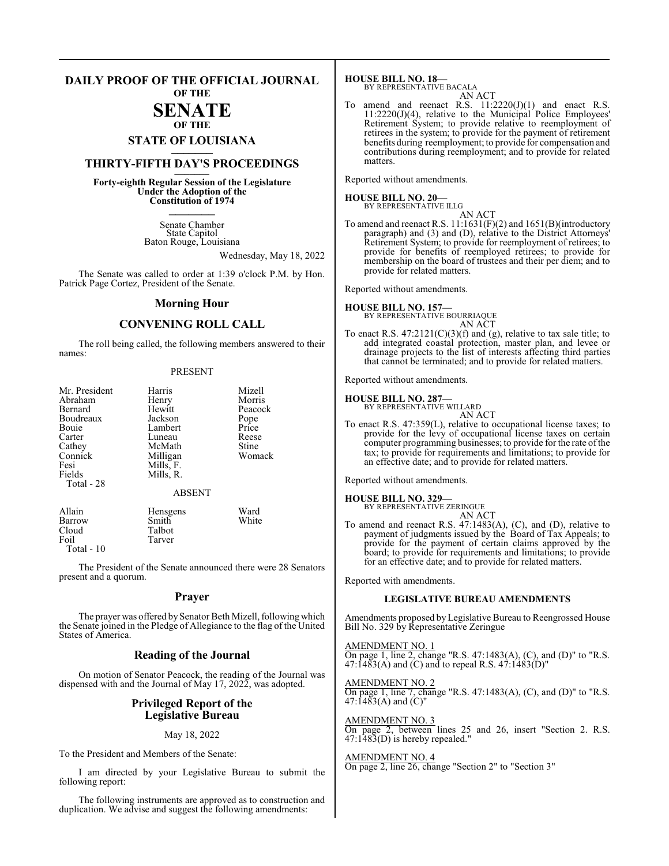### **DAILY PROOF OF THE OFFICIAL JOURNAL OF THE**

## **SENATE**

### **OF THE STATE OF LOUISIANA \_\_\_\_\_\_\_**

### **THIRTY-FIFTH DAY'S PROCEEDINGS \_\_\_\_\_\_\_**

**Forty-eighth Regular Session of the Legislature Under the Adoption of the Constitution of 1974 \_\_\_\_\_\_\_**

> Senate Chamber State Capitol Baton Rouge, Louisiana

> > Wednesday, May 18, 2022

The Senate was called to order at 1:39 o'clock P.M. by Hon. Patrick Page Cortez, President of the Senate.

### **Morning Hour**

### **CONVENING ROLL CALL**

The roll being called, the following members answered to their names:

### PRESENT

| Mr. President<br>Abraham<br>Bernard<br>Boudreaux<br>Bouie<br>Carter<br>Cathey<br>Connick<br>Fesi<br>Fields<br>Total - 28 | Harris<br>Henry<br>Hewitt<br>Jackson<br>Lambert<br>Luneau<br>McMath<br>Milligan<br>Mills, F.<br>Mills, R.<br><b>ABSENT</b> | Mizell<br>Morris<br>Peacock<br>Pope<br>Price<br>Reese<br>Stine<br>Womack |
|--------------------------------------------------------------------------------------------------------------------------|----------------------------------------------------------------------------------------------------------------------------|--------------------------------------------------------------------------|
| Allain<br>Barrow<br>Cloud<br>Foil                                                                                        | Hensgens<br>Smith<br>Talbot<br>Tarver                                                                                      | Ward<br>White                                                            |

Total - 10

The President of the Senate announced there were 28 Senators present and a quorum.

### **Prayer**

The prayer was offered by Senator Beth Mizell, following which the Senate joined in the Pledge of Allegiance to the flag of the United States of America.

### **Reading of the Journal**

On motion of Senator Peacock, the reading of the Journal was dispensed with and the Journal of May 17, 2022, was adopted.

### **Privileged Report of the Legislative Bureau**

### May 18, 2022

To the President and Members of the Senate:

I am directed by your Legislative Bureau to submit the following report:

The following instruments are approved as to construction and duplication. We advise and suggest the following amendments:

**HOUSE BILL NO. 18—** BY REPRESENTATIVE BACALA

### AN ACT

To amend and reenact R.S.  $11:2220(J)(1)$  and enact R.S. 11:2220(J)(4), relative to the Municipal Police Employees' Retirement System; to provide relative to reemployment of retirees in the system; to provide for the payment of retirement benefits during reemployment; to provide for compensation and contributions during reemployment; and to provide for related matters.

Reported without amendments.

**HOUSE BILL NO. 20—** BY REPRESENTATIVE ILLG

AN ACT

To amend and reenact R.S. 11:1631(F)(2) and 1651(B)(introductory paragraph) and (3) and (D), relative to the District Attorneys' Retirement System; to provide for reemployment of retirees; to provide for benefits of reemployed retirees; to provide for membership on the board of trustees and their per diem; and to provide for related matters.

Reported without amendments.

**HOUSE BILL NO. 157—** BY REPRESENTATIVE BOURRIAQUE AN ACT

To enact R.S.  $47:2121(C)(3)(f)$  and (g), relative to tax sale title; to add integrated coastal protection, master plan, and levee or drainage projects to the list of interests affecting third parties that cannot be terminated; and to provide for related matters.

Reported without amendments.

### **HOUSE BILL NO. 287—**

BY REPRESENTATIVE WILLARD AN ACT

To enact R.S. 47:359(L), relative to occupational license taxes; to provide for the levy of occupational license taxes on certain computer programming businesses; to provide for the rate ofthe tax; to provide for requirements and limitations; to provide for an effective date; and to provide for related matters.

Reported without amendments.

**HOUSE BILL NO. 329—**

BY REPRESENTATIVE ZERINGUE AN ACT

To amend and reenact R.S. 47:1483(A), (C), and (D), relative to payment of judgments issued by the Board of Tax Appeals; to provide for the payment of certain claims approved by the board; to provide for requirements and limitations; to provide for an effective date; and to provide for related matters.

Reported with amendments.

### **LEGISLATIVE BUREAU AMENDMENTS**

Amendments proposed byLegislative Bureau to Reengrossed House Bill No. 329 by Representative Zeringue

AMENDMENT NO. 1 On page 1, line 2, change "R.S. 47:1483(A), (C), and (D)" to "R.S. 47:1483(A) and (C) and to repeal R.S. 47:1483(D)"

AMENDMENT NO. 2 On page 1, line 7, change "R.S. 47:1483(A), (C), and (D)" to "R.S.  $47:1483(A)$  and  $(C)$ "

AMENDMENT NO. 3 On page 2, between lines 25 and 26, insert "Section 2. R.S.  $47:1483(D)$  is hereby repealed."

AMENDMENT NO. 4 On page 2, line 26, change "Section 2" to "Section 3"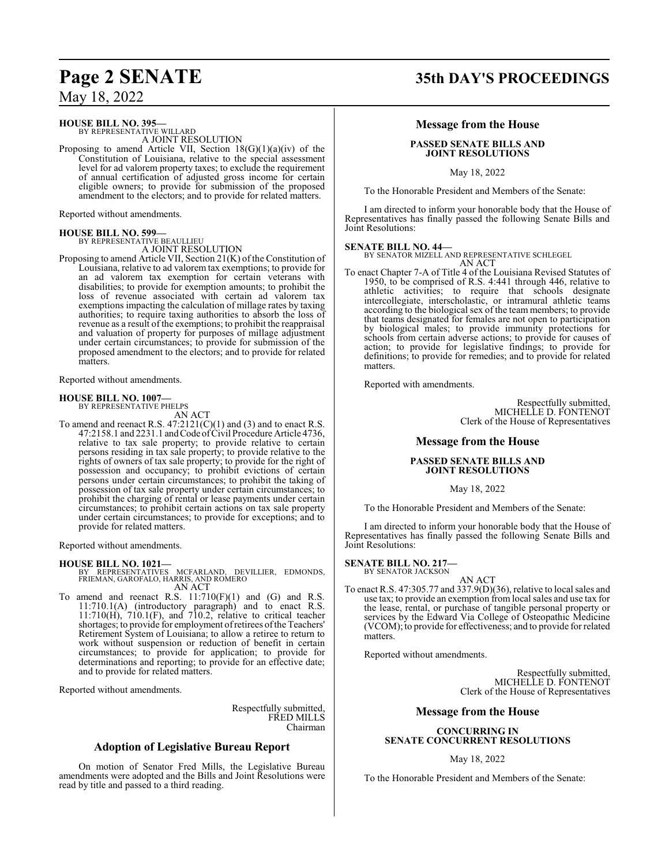### **HOUSE BILL NO. 395—**

BY REPRESENTATIVE WILLARD A JOINT RESOLUTION

Proposing to amend Article VII, Section 18(G)(1)(a)(iv) of the Constitution of Louisiana, relative to the special assessment level for ad valorem property taxes; to exclude the requirement of annual certification of adjusted gross income for certain eligible owners; to provide for submission of the proposed amendment to the electors; and to provide for related matters.

Reported without amendments.

### **HOUSE BILL NO. 599—** BY REPRESENTATIVE BEAULLIEU

A JOINT RESOLUTION

Proposing to amend Article VII, Section 21(K) of the Constitution of Louisiana, relative to ad valorem tax exemptions; to provide for an ad valorem tax exemption for certain veterans with disabilities; to provide for exemption amounts; to prohibit the loss of revenue associated with certain ad valorem tax exemptions impacting the calculation of millage rates by taxing authorities; to require taxing authorities to absorb the loss of revenue as a result of the exemptions; to prohibit the reappraisal and valuation of property for purposes of millage adjustment under certain circumstances; to provide for submission of the proposed amendment to the electors; and to provide for related matters.

Reported without amendments.

### **HOUSE BILL NO. 1007—**

BY REPRESENTATIVE PHELPS

AN ACT To amend and reenact R.S.  $47:2121(C)(1)$  and (3) and to enact R.S. 47:2158.1 and 2231.1 and Code of Civil Procedure Article 4736, relative to tax sale property; to provide relative to certain persons residing in tax sale property; to provide relative to the rights of owners of tax sale property; to provide for the right of possession and occupancy; to prohibit evictions of certain persons under certain circumstances; to prohibit the taking of possession of tax sale property under certain circumstances; to prohibit the charging of rental or lease payments under certain circumstances; to prohibit certain actions on tax sale property under certain circumstances; to provide for exceptions; and to provide for related matters.

Reported without amendments.

### **HOUSE BILL NO. 1021—**

BY REPRESENTATIVES MCFARLAND, DEVILLIER, EDMONDS, FRIEMAN, GAROFALO, HARRIS, AND ROMERO AN ACT

To amend and reenact R.S.  $11:710(F)(1)$  and  $(G)$  and R.S. 11:710.1(A) (introductory paragraph) and to enact R.S. 11:710(H), 710.1(F), and 710.2, relative to critical teacher shortages; to provide for employment of retirees of the Teachers' Retirement System of Louisiana; to allow a retiree to return to work without suspension or reduction of benefit in certain circumstances; to provide for application; to provide for determinations and reporting; to provide for an effective date; and to provide for related matters.

Reported without amendments.

Respectfully submitted, FRED MILLS Chairman

### **Adoption of Legislative Bureau Report**

On motion of Senator Fred Mills, the Legislative Bureau amendments were adopted and the Bills and Joint Resolutions were read by title and passed to a third reading.

## **Page 2 SENATE 35th DAY'S PROCEEDINGS**

### **Message from the House**

### **PASSED SENATE BILLS AND JOINT RESOLUTIONS**

May 18, 2022

To the Honorable President and Members of the Senate:

I am directed to inform your honorable body that the House of Representatives has finally passed the following Senate Bills and Joint Resolutions:

**SENATE BILL NO. 44—** BY SENATOR MIZELL AND REPRESENTATIVE SCHLEGEL AN ACT

To enact Chapter 7-A of Title 4 of the Louisiana Revised Statutes of 1950, to be comprised of R.S. 4:441 through 446, relative to athletic activities; to require that schools designate intercollegiate, interscholastic, or intramural athletic teams according to the biological sex of the team members; to provide that teams designated for females are not open to participation by biological males; to provide immunity protections for schools from certain adverse actions; to provide for causes of action; to provide for legislative findings; to provide for definitions; to provide for remedies; and to provide for related matters.

Reported with amendments.

Respectfully submitted, MICHELLE D. FONTENOT Clerk of the House of Representatives

### **Message from the House**

### **PASSED SENATE BILLS AND JOINT RESOLUTIONS**

May 18, 2022

To the Honorable President and Members of the Senate:

I am directed to inform your honorable body that the House of Representatives has finally passed the following Senate Bills and Joint Resolutions:

**SENATE BILL NO. 217—** BY SENATOR JACKSON

AN ACT

To enact R.S. 47:305.77 and 337.9(D)(36), relative to local sales and use tax; to provide an exemption from local sales and use tax for the lease, rental, or purchase of tangible personal property or services by the Edward Via College of Osteopathic Medicine (VCOM); to provide for effectiveness; and to provide for related matters.

Reported without amendments.

Respectfully submitted, MICHELLE D. FONTENOT Clerk of the House of Representatives

### **Message from the House**

### **CONCURRING IN SENATE CONCURRENT RESOLUTIONS**

May 18, 2022

To the Honorable President and Members of the Senate: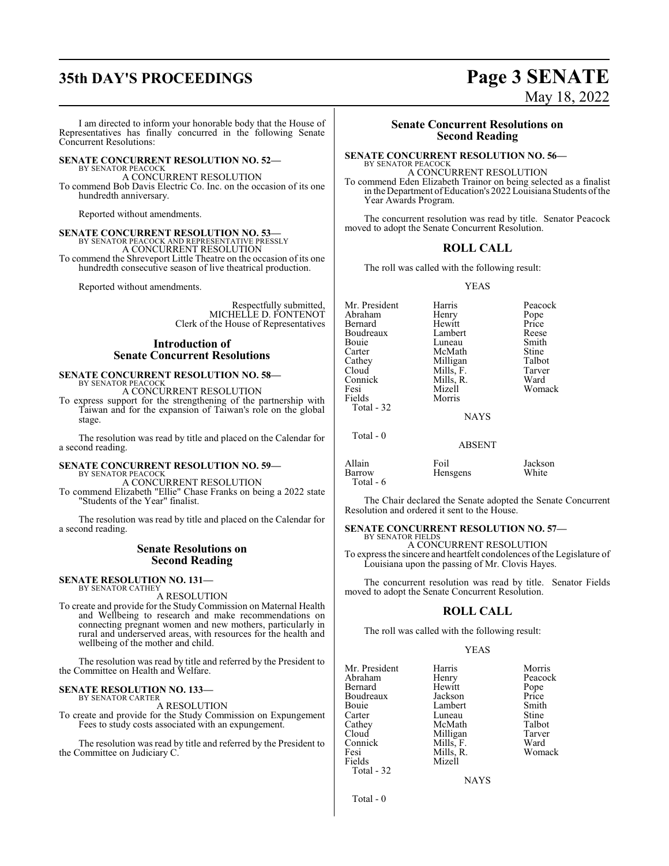## **35th DAY'S PROCEEDINGS Page 3 SENATE**

# May 18, 2022

I am directed to inform your honorable body that the House of Representatives has finally concurred in the following Senate Concurrent Resolutions:

### **SENATE CONCURRENT RESOLUTION NO. 52—**

BY SENATOR PEACOCK A CONCURRENT RESOLUTION

To commend Bob Davis Electric Co. Inc. on the occasion of its one hundredth anniversary.

Reported without amendments.

### **SENATE CONCURRENT RESOLUTION NO. 53—** BY SENATOR PEACOCK AND REPRESENTATIVE PRESSLY A CONCURRENT RESOLUTION

To commend the Shreveport Little Theatre on the occasion of its one hundredth consecutive season of live theatrical production.

Reported without amendments.

Respectfully submitted, MICHELLE D. FONTENOT Clerk of the House of Representatives

### **Introduction of Senate Concurrent Resolutions**

### **SENATE CONCURRENT RESOLUTION NO. 58—** BY SENATOR PEACOCK

A CONCURRENT RESOLUTION

To express support for the strengthening of the partnership with Taiwan and for the expansion of Taiwan's role on the global stage.

The resolution was read by title and placed on the Calendar for a second reading.

## **SENATE CONCURRENT RESOLUTION NO. 59—** BY SENATOR PEACOCK

A CONCURRENT RESOLUTION

To commend Elizabeth "Ellie" Chase Franks on being a 2022 state "Students of the Year" finalist.

The resolution was read by title and placed on the Calendar for a second reading.

### **Senate Resolutions on Second Reading**

**SENATE RESOLUTION NO. 131—** BY SENATOR CATHEY

### A RESOLUTION

To create and provide for the Study Commission on Maternal Health and Wellbeing to research and make recommendations on connecting pregnant women and new mothers, particularly in rural and underserved areas, with resources for the health and wellbeing of the mother and child.

The resolution was read by title and referred by the President to the Committee on Health and Welfare.

### **SENATE RESOLUTION NO. 133—**

BY SENATOR CARTER A RESOLUTION

To create and provide for the Study Commission on Expungement Fees to study costs associated with an expungement.

The resolution was read by title and referred by the President to the Committee on Judiciary C.

### **Senate Concurrent Resolutions on Second Reading**

#### **SENATE CONCURRENT RESOLUTION NO. 56—** BY SENATOR PEACOCK

A CONCURRENT RESOLUTION

To commend Eden Elizabeth Trainor on being selected as a finalist in the Department of Education's 2022 Louisiana Students of the Year Awards Program.

The concurrent resolution was read by title. Senator Peacock moved to adopt the Senate Concurrent Resolution.

### **ROLL CALL**

The roll was called with the following result:

YEAS

| Mr. President | Harris    | Peacock       |
|---------------|-----------|---------------|
|               |           |               |
| Abraham       | Henry     |               |
| Bernard       | Hewitt    | Pope<br>Price |
| Boudreaux     | Lambert   | Reese         |
| Bouie         | Luneau    | Smith         |
| Carter        | McMath    | Stine         |
| Cathey        | Milligan  | Talbot        |
| Cloud         | Mills, F. | Tarver        |
| Connick       | Mills, R. | Ward          |
| Fesi          | Mizell    | Womack        |
| Fields        | Morris    |               |
| Total $-32$   |           |               |
|               | NAYS      |               |

Total - 0

Total - 6

NAYS

## ABSENT

Allain Foil Jackson Hensgens

The Chair declared the Senate adopted the Senate Concurrent Resolution and ordered it sent to the House.

#### **SENATE CONCURRENT RESOLUTION NO. 57—** BY SENATOR FIELDS

A CONCURRENT RESOLUTION

To express the sincere and heartfelt condolences of the Legislature of Louisiana upon the passing of Mr. Clovis Hayes.

The concurrent resolution was read by title. Senator Fields moved to adopt the Senate Concurrent Resolution.

### **ROLL CALL**

The roll was called with the following result:

Mills, R.<br>Mizell

### YEAS

Mr. President Harris Morris Morris<br>Abraham Henry Peacock Abraham Henry Peacock<br>Bernard Hewitt Pope Bernard Hewitt Pope **Boudreaux** Bouie Lambert Smith<br>Carter Luneau Stine Carter Luneau Stine<br>
Cathey McMath Talbot Cathey McMath Talbot<br>Cloud Milligan Tarver Connick Mills, F. Ward Fields Total - 32

Milligan Tarve<br>
Mills, F. Ward

**NAYS** 

Total - 0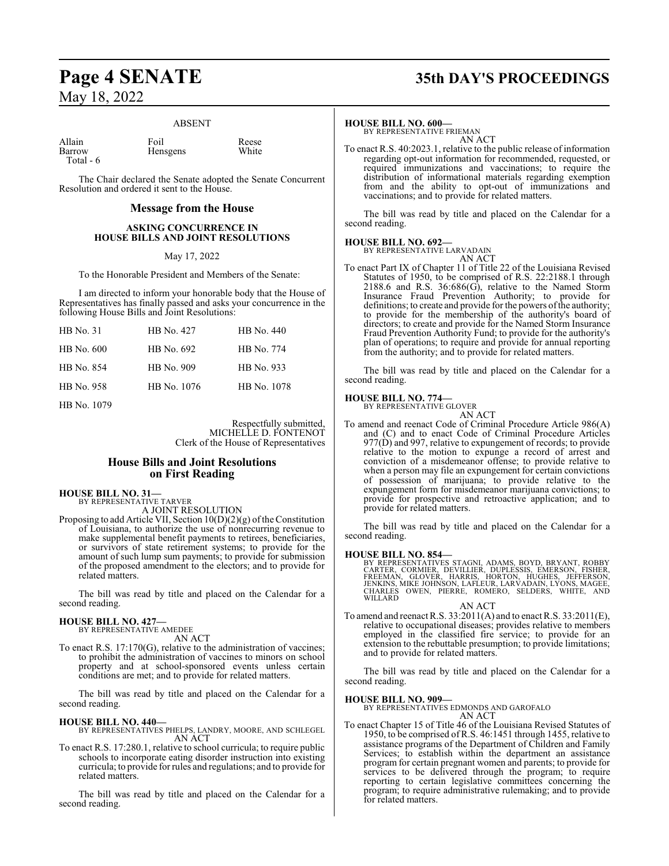### ABSENT

| Allain    | Foil            | Reese |
|-----------|-----------------|-------|
| Barrow    | <b>Hensgens</b> | White |
| Total - 6 |                 |       |

The Chair declared the Senate adopted the Senate Concurrent Resolution and ordered it sent to the House.

### **Message from the House**

### **ASKING CONCURRENCE IN HOUSE BILLS AND JOINT RESOLUTIONS**

### May 17, 2022

To the Honorable President and Members of the Senate:

I am directed to inform your honorable body that the House of Representatives has finally passed and asks your concurrence in the following House Bills and Joint Resolutions:

| HB No. 31  | HB No. 427  | HB No. 440  |
|------------|-------------|-------------|
| HB No. 600 | HB No. 692  | HB No. 774  |
| HB No. 854 | HB No. 909  | HB No. 933  |
| HB No. 958 | HB No. 1076 | HB No. 1078 |
|            |             |             |

HB No. 1079

Respectfully submitted, MICHELLE D. FONTENOT Clerk of the House of Representatives

### **House Bills and Joint Resolutions on First Reading**

**HOUSE BILL NO. 31—** BY REPRESENTATIVE TARVER

A JOINT RESOLUTION

Proposing to add Article VII, Section  $10(D)(2)(g)$  of the Constitution of Louisiana, to authorize the use of nonrecurring revenue to make supplemental benefit payments to retirees, beneficiaries, or survivors of state retirement systems; to provide for the amount of such lump sum payments; to provide for submission of the proposed amendment to the electors; and to provide for related matters.

The bill was read by title and placed on the Calendar for a second reading.

#### **HOUSE BILL NO. 427—** BY REPRESENTATIVE AMEDEE

AN ACT

To enact R.S. 17:170(G), relative to the administration of vaccines; to prohibit the administration of vaccines to minors on school property and at school-sponsored events unless certain conditions are met; and to provide for related matters.

The bill was read by title and placed on the Calendar for a second reading.

### **HOUSE BILL NO. 440—**

BY REPRESENTATIVES PHELPS, LANDRY, MOORE, AND SCHLEGEL AN ACT

To enact R.S. 17:280.1, relative to school curricula; to require public schools to incorporate eating disorder instruction into existing curricula; to provide for rules and regulations; and to provide for related matters.

The bill was read by title and placed on the Calendar for a second reading.

## **Page 4 SENATE 35th DAY'S PROCEEDINGS**

### **HOUSE BILL NO. 600—**

BY REPRESENTATIVE FRIEMAN AN ACT

To enact R.S. 40:2023.1, relative to the public release of information regarding opt-out information for recommended, requested, or required immunizations and vaccinations; to require the distribution of informational materials regarding exemption from and the ability to opt-out of immunizations and vaccinations; and to provide for related matters.

The bill was read by title and placed on the Calendar for a second reading.

### **HOUSE BILL NO. 692—**



To enact Part IX of Chapter 11 of Title 22 of the Louisiana Revised Statutes of 1950, to be comprised of R.S. 22:2188.1 through 2188.6 and R.S. 36:686(G), relative to the Named Storm Insurance Fraud Prevention Authority; to provide for definitions; to create and provide for the powers of the authority; to provide for the membership of the authority's board of directors; to create and provide for the Named Storm Insurance Fraud Prevention Authority Fund; to provide for the authority's plan of operations; to require and provide for annual reporting from the authority; and to provide for related matters.

The bill was read by title and placed on the Calendar for a second reading.

### **HOUSE BILL NO. 774—**

BY REPRESENTATIVE GLOVER AN ACT

To amend and reenact Code of Criminal Procedure Article 986(A) and (C) and to enact Code of Criminal Procedure Articles  $977(D)$  and 997, relative to expungement of records; to provide relative to the motion to expunge a record of arrest and conviction of a misdemeanor offense; to provide relative to when a person may file an expungement for certain convictions of possession of marijuana; to provide relative to the expungement form for misdemeanor marijuana convictions; to provide for prospective and retroactive application; and to provide for related matters.

The bill was read by title and placed on the Calendar for a second reading.

### **HOUSE BILL NO. 854—**

BY REPRESENTATIVES STAGNI, ADAMS, BOYD, BRYANT, ROBBY<br>CARTER, CORMIER, DEVILLIER, DUPLESSIS, EMERSON, FISHER,<br>FREEMAN, GLOVER, HARRIS, HORTON, HUGHES, JEFFERSON,<br>JENKINS, MIKE JOHNSON, LAFLEUR, LARVADAIN, LYONS, MAGEE,<br>CHA

AN ACT

To amend and reenact R.S. 33:2011(A) and to enact R.S. 33:2011(E), relative to occupational diseases; provides relative to members employed in the classified fire service; to provide for an extension to the rebuttable presumption; to provide limitations; and to provide for related matters.

The bill was read by title and placed on the Calendar for a second reading.

**HOUSE BILL NO. 909—** BY REPRESENTATIVES EDMONDS AND GAROFALO AN ACT

To enact Chapter 15 of Title 46 of the Louisiana Revised Statutes of 1950, to be comprised of R.S. 46:1451 through 1455, relative to assistance programs of the Department of Children and Family Services; to establish within the department an assistance program for certain pregnant women and parents; to provide for services to be delivered through the program; to require reporting to certain legislative committees concerning the program; to require administrative rulemaking; and to provide for related matters.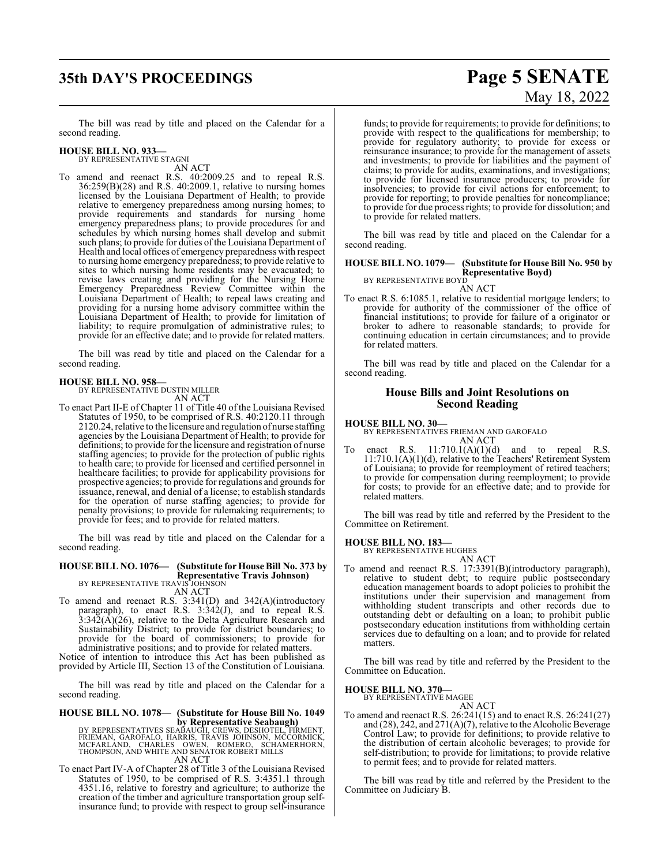## **35th DAY'S PROCEEDINGS Page 5 SENATE**

# May 18, 2022

The bill was read by title and placed on the Calendar for a second reading.

### **HOUSE BILL NO. 933—**

BY REPRESENTATIVE STAGNI AN ACT

To amend and reenact R.S. 40:2009.25 and to repeal R.S. 36:259(B)(28) and R.S. 40:2009.1, relative to nursing homes licensed by the Louisiana Department of Health; to provide relative to emergency preparedness among nursing homes; to provide requirements and standards for nursing home emergency preparedness plans; to provide procedures for and schedules by which nursing homes shall develop and submit such plans; to provide for duties of the Louisiana Department of Health and local offices of emergency preparedness with respect to nursing home emergency preparedness; to provide relative to sites to which nursing home residents may be evacuated; to revise laws creating and providing for the Nursing Home Emergency Preparedness Review Committee within the Louisiana Department of Health; to repeal laws creating and providing for a nursing home advisory committee within the Louisiana Department of Health; to provide for limitation of liability; to require promulgation of administrative rules; to provide for an effective date; and to provide for related matters.

The bill was read by title and placed on the Calendar for a second reading.

**HOUSE BILL NO. 958—** BY REPRESENTATIVE DUSTIN MILLER AN ACT

To enact Part II-E of Chapter 11 of Title 40 of the Louisiana Revised Statutes of 1950, to be comprised of R.S. 40:2120.11 through 2120.24, relative to the licensure and regulation of nurse staffing agencies by the Louisiana Department of Health; to provide for definitions; to provide for the licensure and registration of nurse staffing agencies; to provide for the protection of public rights to health care; to provide for licensed and certified personnel in healthcare facilities; to provide for applicability provisions for prospective agencies; to provide for regulations and grounds for issuance, renewal, and denial of a license; to establish standards for the operation of nurse staffing agencies; to provide for penalty provisions; to provide for rulemaking requirements; to provide for fees; and to provide for related matters.

The bill was read by title and placed on the Calendar for a second reading.

#### **HOUSE BILL NO. 1076— (Substitute for House Bill No. 373 by Representative Travis Johnson)** BY REPRESENTATIVE TRAVIS JOHNSON

AN ACT

To amend and reenact R.S. 3:341(D) and 342(A)(introductory paragraph), to enact R.S. 3:342(J), and to repeal R.S.  $3:34\overline{2}$ (Å)(26), relative to the Delta Agriculture Research and Sustainability District; to provide for district boundaries; to provide for the board of commissioners; to provide for administrative positions; and to provide for related matters.

Notice of intention to introduce this Act has been published as provided by Article III, Section 13 of the Constitution of Louisiana.

The bill was read by title and placed on the Calendar for a second reading.

## **HOUSE BILL NO. 1078— (Substitute for House Bill No. 1049**

**by Representative Seabaugh)**<br>BY REPRESENTATIVES SEABAUGH, CREWS, DESHOTEL, FIRMENT,<br>FRIEMAN, GAROFALO, HARRIS, TRAVIS JOHNSON, MCCORMICK,<br>MCFARLAND, CHARLES OWEN, ROMERO, SCHAMERHORN,<br>THOMPSON, AND WHITE AND SENATOR ROBER

To enact Part IV-A of Chapter 28 of Title 3 of the Louisiana Revised Statutes of 1950, to be comprised of R.S. 3:4351.1 through 4351.16, relative to forestry and agriculture; to authorize the creation of the timber and agriculture transportation group selfinsurance fund; to provide with respect to group self-insurance

funds; to provide for requirements; to provide for definitions; to provide with respect to the qualifications for membership; to provide for regulatory authority; to provide for excess or reinsurance insurance; to provide for the management of assets and investments; to provide for liabilities and the payment of claims; to provide for audits, examinations, and investigations; to provide for licensed insurance producers; to provide for insolvencies; to provide for civil actions for enforcement; to provide for reporting; to provide penalties for noncompliance; to provide for due process rights; to provide for dissolution; and to provide for related matters.

The bill was read by title and placed on the Calendar for a second reading.

### **HOUSE BILL NO. 1079— (Substitute for House Bill No. 950 by Representative Boyd)**

BY REPRESENTATIVE BOYD

- AN ACT
- To enact R.S. 6:1085.1, relative to residential mortgage lenders; to provide for authority of the commissioner of the office of financial institutions; to provide for failure of a originator or broker to adhere to reasonable standards; to provide for continuing education in certain circumstances; and to provide for related matters.

The bill was read by title and placed on the Calendar for a second reading.

### **House Bills and Joint Resolutions on Second Reading**

### **HOUSE BILL NO. 30—**

BY REPRESENTATIVES FRIEMAN AND GAROFALO AN ACT

enact R.S.  $11:710.1(A)(1)(d)$  and to repeal R.S. 11:710.1(A)(1)(d), relative to the Teachers' Retirement System of Louisiana; to provide for reemployment of retired teachers; to provide for compensation during reemployment; to provide for costs; to provide for an effective date; and to provide for related matters.

The bill was read by title and referred by the President to the Committee on Retirement.

**HOUSE BILL NO. 183—**

BY REPRESENTATIVE HUGHES

- AN ACT
- To amend and reenact R.S. 17:3391(B)(introductory paragraph), relative to student debt; to require public postsecondary education management boards to adopt policies to prohibit the institutions under their supervision and management from withholding student transcripts and other records due to outstanding debt or defaulting on a loan; to prohibit public postsecondary education institutions from withholding certain services due to defaulting on a loan; and to provide for related matters.

The bill was read by title and referred by the President to the Committee on Education.

**HOUSE BILL NO. 370—**

BY REPRESENTATIVE MAGEE AN ACT

To amend and reenact R.S. 26:241(15) and to enact R.S. 26:241(27) and (28), 242, and 271(A)(7), relative to the Alcoholic Beverage Control Law; to provide for definitions; to provide relative to the distribution of certain alcoholic beverages; to provide for self-distribution; to provide for limitations; to provide relative to permit fees; and to provide for related matters.

The bill was read by title and referred by the President to the Committee on Judiciary B.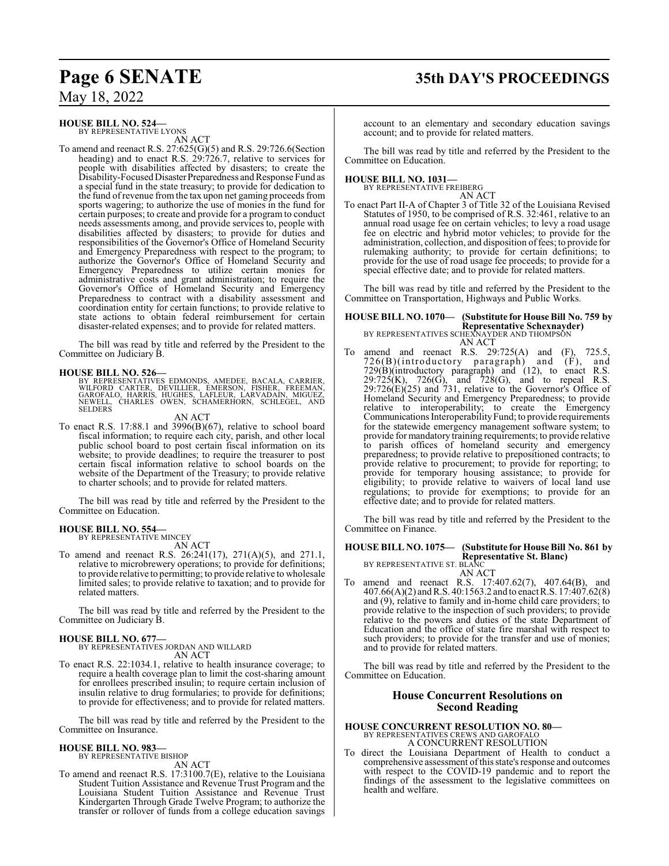## **Page 6 SENATE 35th DAY'S PROCEEDINGS**

May 18, 2022

### **HOUSE BILL NO. 524—**

BY REPRESENTATIVE LYONS AN ACT

To amend and reenact R.S. 27:625(G)(5) and R.S. 29:726.6(Section heading) and to enact R.S. 29:726.7, relative to services for people with disabilities affected by disasters; to create the Disability-Focused Disaster Preparedness and Response Fund as a special fund in the state treasury; to provide for dedication to the fund of revenue fromthe tax upon net gaming proceeds from sports wagering; to authorize the use of monies in the fund for certain purposes; to create and provide for a program to conduct needs assessments among, and provide services to, people with disabilities affected by disasters; to provide for duties and responsibilities of the Governor's Office of Homeland Security and Emergency Preparedness with respect to the program; to authorize the Governor's Office of Homeland Security and Emergency Preparedness to utilize certain monies for administrative costs and grant administration; to require the Governor's Office of Homeland Security and Emergency Preparedness to contract with a disability assessment and coordination entity for certain functions; to provide relative to state actions to obtain federal reimbursement for certain disaster-related expenses; and to provide for related matters.

The bill was read by title and referred by the President to the Committee on Judiciary B.

### **HOUSE BILL NO. 526—**

BY REPRESENTATIVES EDMONDS, AMEDEE, BACALA, CARRIER,<br>WILFORD CARTER, DEVILLIER, EMERSON, FISHER, FREEMAN,<br>GAROFALO, HARRIS, HUGHES, LAFLEUR, LARVADAIN, MIGUEZ,<br>NEWELL, CHARLES OWEN, SCHAMERHORN, SCHLEGEL, AND<br>SELDERS

AN ACT

To enact R.S. 17:88.1 and 3996(B)(67), relative to school board fiscal information; to require each city, parish, and other local public school board to post certain fiscal information on its website; to provide deadlines; to require the treasurer to post certain fiscal information relative to school boards on the website of the Department of the Treasury; to provide relative to charter schools; and to provide for related matters.

The bill was read by title and referred by the President to the Committee on Education.

#### **HOUSE BILL NO. 554—** BY REPRESENTATIVE MINCEY

AN ACT

To amend and reenact R.S. 26:241(17), 271(A)(5), and 271.1, relative to microbrewery operations; to provide for definitions; to provide relative to permitting; to provide relative to wholesale limited sales; to provide relative to taxation; and to provide for related matters.

The bill was read by title and referred by the President to the Committee on Judiciary B.

**HOUSE BILL NO. 677—** BY REPRESENTATIVES JORDAN AND WILLARD AN ACT

To enact R.S. 22:1034.1, relative to health insurance coverage; to require a health coverage plan to limit the cost-sharing amount for enrollees prescribed insulin; to require certain inclusion of insulin relative to drug formularies; to provide for definitions; to provide for effectiveness; and to provide for related matters.

The bill was read by title and referred by the President to the Committee on Insurance.

### **HOUSE BILL NO. 983—**

BY REPRESENTATIVE BISHOP AN ACT

To amend and reenact R.S. 17:3100.7(E), relative to the Louisiana Student Tuition Assistance and Revenue Trust Program and the Louisiana Student Tuition Assistance and Revenue Trust Kindergarten Through Grade Twelve Program; to authorize the transfer or rollover of funds from a college education savings

account to an elementary and secondary education savings account; and to provide for related matters.

The bill was read by title and referred by the President to the Committee on Education.

**HOUSE BILL NO. 1031—** BY REPRESENTATIVE FREIBERG

### AN ACT

To enact Part II-A of Chapter 3 of Title 32 of the Louisiana Revised Statutes of 1950, to be comprised of R.S. 32:461, relative to an annual road usage fee on certain vehicles; to levy a road usage fee on electric and hybrid motor vehicles; to provide for the administration, collection, and disposition of fees; to provide for rulemaking authority; to provide for certain definitions; to provide for the use of road usage fee proceeds; to provide for a special effective date; and to provide for related matters.

The bill was read by title and referred by the President to the Committee on Transportation, Highways and Public Works.

**HOUSE BILL NO. 1070— (Substitute for House Bill No. 759 by Representative Schexnayder)** BY REPRESENTATIVES SCHEXNAYDER AND THOMPSON

AN ACT

To amend and reenact R.S. 29:725(A) and (F), 725.5, 726(B)(introductory paragraph) and (F), and 729(B)(introductory paragraph) and (12), to enact R.S.  $29:725(K)$ ,  $726(G)$ , and  $728(G)$ , and to repeal R.S.  $29:726(E)(25)$  and 731, relative to the Governor's Office of Homeland Security and Emergency Preparedness; to provide relative to interoperability; to create the Emergency Communications Interoperability Fund; to provide requirements for the statewide emergency management software system; to provide for mandatory training requirements; to provide relative to parish offices of homeland security and emergency preparedness; to provide relative to prepositioned contracts; to provide relative to procurement; to provide for reporting; to provide for temporary housing assistance; to provide for eligibility; to provide relative to waivers of local land use regulations; to provide for exemptions; to provide for an effective date; and to provide for related matters.

The bill was read by title and referred by the President to the Committee on Finance.

### **HOUSE BILL NO. 1075— (Substitute for House Bill No. 861 by Representative St. Blanc)**

BY REPRESENTATIVE ST. BLANC

- AN ACT
- To amend and reenact R.S. 17:407.62(7), 407.64(B), and 407.66(A)(2) andR.S. 40:1563.2 and to enact R.S. 17:407.62(8) and (9), relative to family and in-home child care providers; to provide relative to the inspection of such providers; to provide relative to the powers and duties of the state Department of Education and the office of state fire marshal with respect to such providers; to provide for the transfer and use of monies; and to provide for related matters.

The bill was read by title and referred by the President to the Committee on Education.

### **House Concurrent Resolutions on Second Reading**

### **HOUSE CONCURRENT RESOLUTION NO. 80—** BY REPRESENTATIVES CREWS AND GAROFALO A CONCURRENT RESOLUTION

To direct the Louisiana Department of Health to conduct a comprehensive assessment ofthis state's response and outcomes with respect to the COVID-19 pandemic and to report the findings of the assessment to the legislative committees on health and welfare.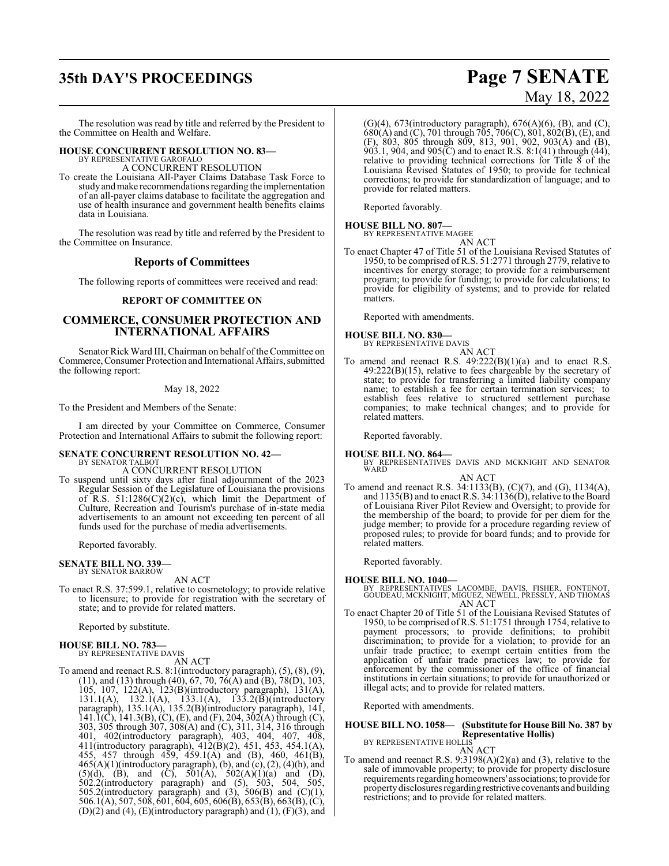## **35th DAY'S PROCEEDINGS Page 7 SENATE**

# May 18, 2022

The resolution was read by title and referred by the President to the Committee on Health and Welfare.

### **HOUSE CONCURRENT RESOLUTION NO. 83—**

BY REPRESENTATIVE GAROFALO A CONCURRENT RESOLUTION

To create the Louisiana All-Payer Claims Database Task Force to study and make recommendations regarding the implementation of an all-payer claims database to facilitate the aggregation and use of health insurance and government health benefits claims data in Louisiana.

The resolution was read by title and referred by the President to the Committee on Insurance.

### **Reports of Committees**

The following reports of committees were received and read:

### **REPORT OF COMMITTEE ON**

### **COMMERCE, CONSUMER PROTECTION AND INTERNATIONAL AFFAIRS**

Senator Rick Ward III, Chairman on behalf of the Committee on Commerce,Consumer Protection and International Affairs, submitted the following report:

### May 18, 2022

To the President and Members of the Senate:

I am directed by your Committee on Commerce, Consumer Protection and International Affairs to submit the following report:

## **SENATE CONCURRENT RESOLUTION NO. 42—** BY SENATOR TALBOT

A CONCURRENT RESOLUTION

To suspend until sixty days after final adjournment of the 2023 Regular Session of the Legislature of Louisiana the provisions of R.S.  $51:1286(C)(2)(c)$ , which limit the Department of Culture, Recreation and Tourism's purchase of in-state media advertisements to an amount not exceeding ten percent of all funds used for the purchase of media advertisements.

Reported favorably.

#### **SENATE BILL NO. 339—** BY SENATOR BARROW

AN ACT

To enact R.S. 37:599.1, relative to cosmetology; to provide relative to licensure; to provide for registration with the secretary of state; and to provide for related matters.

Reported by substitute.

### **HOUSE BILL NO. 783—** BY REPRESENTATIVE DAVIS

AN ACT

To amend and reenact R.S. 8:1(introductory paragraph), (5), (8), (9), (11), and (13) through (40), 67, 70, 76(A) and (B), 78(D), 103, 105, 107, 122(A), 123(B)(introductory paragraph), 131(A), 131.1(A), 132.1(A), 133.1(A), 133.2(B)(introductory paragraph), 135.1(A), 135.2(B)(introductory paragraph), 141,  $141.\overline{1}$ (C),  $141.3$ (B), (C), (E), and (F), 204, 302(A) through (C), 303, 305 through 307, 308(A) and (C), 311, 314, 316 through 401, 402(introductory paragraph), 403, 404, 407, 408, 411(introductory paragraph), 412(B)(2), 451, 453, 454.1(A), 455, 457 through 459, 459.1(A) and (B), 460, 461(B),  $465(A)(1)$ (introductory paragraph), (b), and (c), (2), (4)(h), and  $(5)(d)$ ,  $(B)$ , and  $(C)$ ,  $501(A)$ ,  $502(A)(1)(a)$  and  $(D)$ , 502.2(introductory paragraph) and (5), 503, 504, 505, 505.2(introductory paragraph) and  $(3)$ , 506 $(B)$  and  $(C)(1)$ , 506.1(A), 507, 508, 601, 604, 605, 606(B), 653(B), 663(B), (C),  $(D)(2)$  and  $(4)$ ,  $(E)$ (introductory paragraph) and  $(1)$ ,  $(F)(3)$ , and

 $(G)(4)$ , 673(introductory paragraph), 676(A)(6), (B), and (C), 680(A) and (C), 701 through 705, 706(C), 801, 802(B), (E), and (F), 803, 805 through 809, 813, 901, 902, 903(A) and (B), 903.1, 904, and 905(C) and to enact R.S. 8:1(41) through  $(44)$ , relative to providing technical corrections for Title 8 of the Louisiana Revised Statutes of 1950; to provide for technical corrections; to provide for standardization of language; and to provide for related matters.

Reported favorably.

### **HOUSE BILL NO. 807—**

BY REPRESENTATIVE MAGEE AN ACT

To enact Chapter 47 of Title 51 of the Louisiana Revised Statutes of 1950, to be comprised of R.S. 51:2771 through 2779, relative to incentives for energy storage; to provide for a reimbursement program; to provide for funding; to provide for calculations; to provide for eligibility of systems; and to provide for related matters.

Reported with amendments.

### **HOUSE BILL NO. 830—** BY REPRESENTATIVE DAVIS

AN ACT

To amend and reenact R.S.  $49:222(B)(1)(a)$  and to enact R.S. 49:222(B)(15), relative to fees chargeable by the secretary of state; to provide for transferring a limited liability company name; to establish a fee for certain termination services; to establish fees relative to structured settlement purchase companies; to make technical changes; and to provide for related matters.

Reported favorably.

- 
- **HOUSE BILL NO. 864—** BY REPRESENTATIVES DAVIS AND MCKNIGHT AND SENATOR WARD AN ACT
- To amend and reenact R.S. 34:1133(B), (C)(7), and (G), 1134(A), and 1135(B) and to enact R.S. 34:1136(D), relative to the Board of Louisiana River Pilot Review and Oversight; to provide for the membership of the board; to provide for per diem for the judge member; to provide for a procedure regarding review of proposed rules; to provide for board funds; and to provide for related matters.

Reported favorably.

- **HOUSE BILL NO. 1040—** BY REPRESENTATIVES LACOMBE, DAVIS, FISHER, FONTENOT, GOUDEAU, MCKNIGHT, MIGUEZ, NEWELL, PRESSLY, AND THOMAS AN ACT
- To enact Chapter 20 of Title 51 of the Louisiana Revised Statutes of 1950, to be comprised ofR.S. 51:1751 through 1754, relative to payment processors; to provide definitions; to prohibit discrimination; to provide for a violation; to provide for an unfair trade practice; to exempt certain entities from the application of unfair trade practices law; to provide for enforcement by the commissioner of the office of financial institutions in certain situations; to provide for unauthorized or illegal acts; and to provide for related matters.

Reported with amendments.

#### **HOUSE BILL NO. 1058— (Substitute for House Bill No. 387 by Representative Hollis)** BY REPRESENTATIVE HOLLIS

AN ACT

To amend and reenact R.S. 9:3198(A)(2)(a) and (3), relative to the sale of immovable property; to provide for property disclosure requirements regarding homeowners' associations;to provide for propertydisclosures regarding restrictive covenants and building restrictions; and to provide for related matters.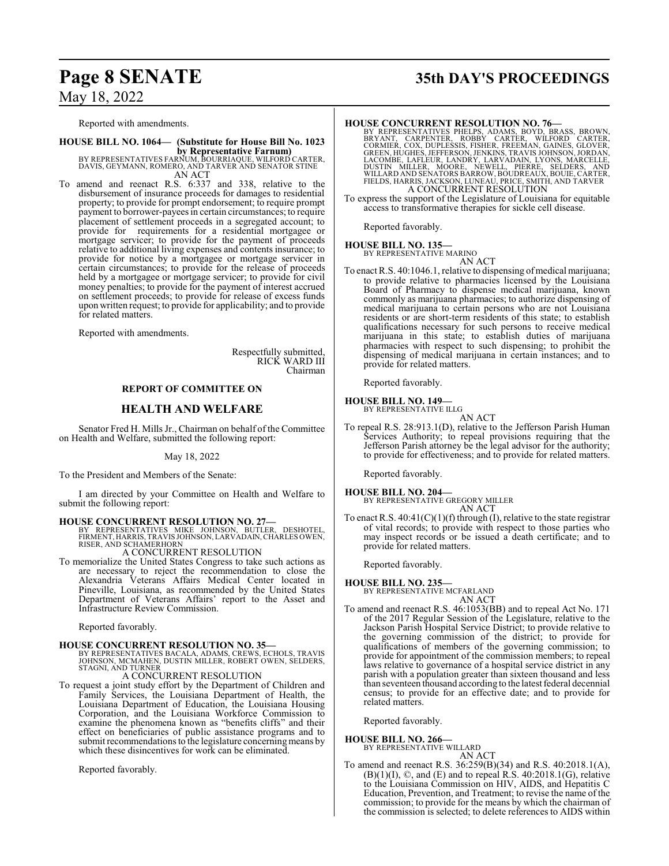## **Page 8 SENATE 35th DAY'S PROCEEDINGS**

### May 18, 2022

Reported with amendments.

## **HOUSE BILL NO. 1064— (Substitute for House Bill No. 1023**

**by Representative Farnum)**<br>BY REPRESENTATIVES FARNUM, BOURRIAQUE, WILFORD CARTER,<br>DAVIS, GEYMANN, ROMERO, AND TARVER AND SENATOR STINE<br>AN ACT

To amend and reenact R.S. 6:337 and 338, relative to the disbursement of insurance proceeds for damages to residential property; to provide for prompt endorsement; to require prompt payment to borrower-payees in certain circumstances; to require placement of settlement proceeds in a segregated account; to provide for requirements for a residential mortgagee or mortgage servicer; to provide for the payment of proceeds relative to additional living expenses and contents insurance; to provide for notice by a mortgagee or mortgage servicer in certain circumstances; to provide for the release of proceeds held by a mortgagee or mortgage servicer; to provide for civil money penalties; to provide for the payment of interest accrued on settlement proceeds; to provide for release of excess funds upon written request; to provide for applicability; and to provide for related matters.

Reported with amendments.

Respectfully submitted, RICK WARD III Chairman

### **REPORT OF COMMITTEE ON**

### **HEALTH AND WELFARE**

Senator Fred H. Mills Jr., Chairman on behalf of the Committee on Health and Welfare, submitted the following report:

### May 18, 2022

To the President and Members of the Senate:

I am directed by your Committee on Health and Welfare to submit the following report:

**HOUSE CONCURRENT RESOLUTION NO. 27—** BY REPRESENTATIVES MIKE JOHNSON, BUTLER, DESHOTEL, FIRMENT, HARRIS, TRAVIS JOHNSON, LARVADAIN,CHARLES OWEN, RISER, AND SCHAMERHORN

A CONCURRENT RESOLUTION

To memorialize the United States Congress to take such actions as are necessary to reject the recommendation to close the Alexandria Veterans Affairs Medical Center located in Pineville, Louisiana, as recommended by the United States Department of Veterans Affairs' report to the Asset and Infrastructure Review Commission.

Reported favorably.

### **HOUSE CONCURRENT RESOLUTION NO. 35—**

- BY REPRESENTATIVES BACALA, ADAMS, CREWS, ECHOLS, TRAVIS JOHNSON, MCMAHEN, DUSTIN MILLER, ROBERT OWEN, SELDERS, STAGNI, AND TURNER A CONCURRENT RESOLUTION
- To request a joint study effort by the Department of Children and Family Services, the Louisiana Department of Health, the Louisiana Department of Education, the Louisiana Housing Corporation, and the Louisiana Workforce Commission to examine the phenomena known as "benefits cliffs" and their effect on beneficiaries of public assistance programs and to submit recommendations to the legislature concerning means by which these disincentives for work can be eliminated.

Reported favorably.

### **HOUSE CONCURRENT RESOLUTION NO. 76—**

- BY REPRESENTATIVES PHELPS, ADAMS, BOYD, BRASS, BROWN, CORPENTER, CORPENTER, CORPENTER, CORRES, CORNER, CORNER,<br>ECRYANT, CARPENTER, ROBBY CARTER, WILFORD, GLOVER,<br>GORMIER, COX, DUPLESSIS, FISHER, FREEMAN, GAINES, GLOVER,<br>LA A CONCURRENT RESOLUTION
- To express the support of the Legislature of Louisiana for equitable access to transformative therapies for sickle cell disease.

Reported favorably.

### **HOUSE BILL NO. 135—**

BY REPRESENTATIVE MARINO

AN ACT To enact R.S. 40:1046.1, relative to dispensing of medical marijuana; to provide relative to pharmacies licensed by the Louisiana Board of Pharmacy to dispense medical marijuana, known commonly as marijuana pharmacies; to authorize dispensing of medical marijuana to certain persons who are not Louisiana residents or are short-term residents of this state; to establish qualifications necessary for such persons to receive medical marijuana in this state; to establish duties of marijuana pharmacies with respect to such dispensing; to prohibit the dispensing of medical marijuana in certain instances; and to provide for related matters.

Reported favorably.

### **HOUSE BILL NO. 149—**

BY REPRESENTATIVE ILLG AN ACT

To repeal R.S. 28:913.1(D), relative to the Jefferson Parish Human Services Authority; to repeal provisions requiring that the Jefferson Parish attorney be the legal advisor for the authority; to provide for effectiveness; and to provide for related matters.

Reported favorably.

**HOUSE BILL NO. 204—** BY REPRESENTATIVE GREGORY MILLER AN ACT

To enact R.S. 40:41(C)(1)(f) through (I), relative to the state registrar of vital records; to provide with respect to those parties who may inspect records or be issued a death certificate; and to provide for related matters.

Reported favorably.

**HOUSE BILL NO. 235—**

BY REPRESENTATIVE MCFARLAND

- AN ACT
- To amend and reenact R.S. 46:1053(BB) and to repeal Act No. 171 of the 2017 Regular Session of the Legislature, relative to the Jackson Parish Hospital Service District; to provide relative to the governing commission of the district; to provide for qualifications of members of the governing commission; to provide for appointment of the commission members; to repeal laws relative to governance of a hospital service district in any parish with a population greater than sixteen thousand and less than seventeen thousand according to the latest federal decennial census; to provide for an effective date; and to provide for related matters.

Reported favorably.

#### **HOUSE BILL NO. 266—** BY REPRESENTATIVE WILLARD

AN ACT

To amend and reenact R.S. 36:259(B)(34) and R.S. 40:2018.1(A),  $(B)(1)(I)$ ,  $\odot$ , and  $(E)$  and to repeal R.S. 40:2018.1(G), relative to the Louisiana Commission on HIV, AIDS, and Hepatitis C Education, Prevention, and Treatment; to revise the name of the commission; to provide for the means by which the chairman of the commission is selected; to delete references to AIDS within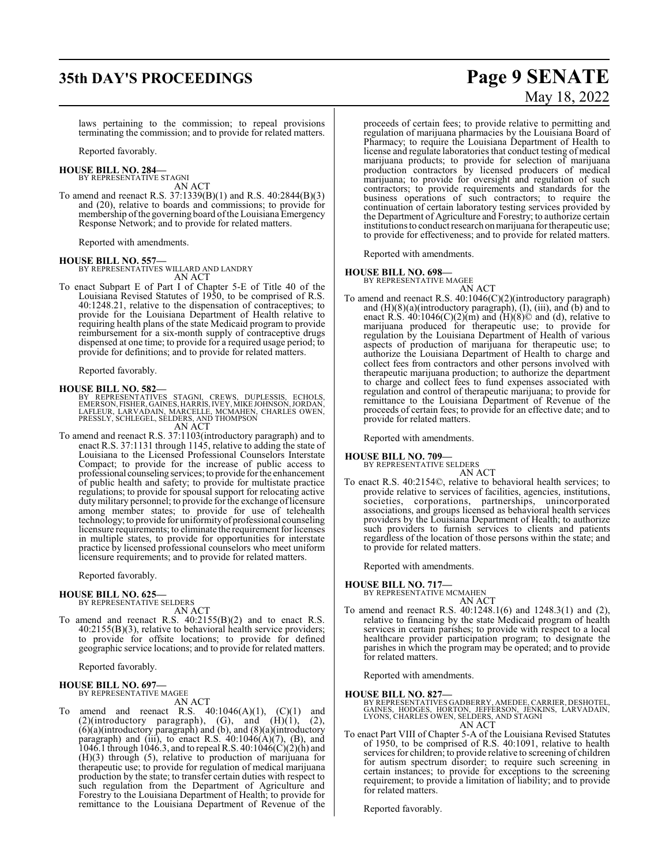## **35th DAY'S PROCEEDINGS Page 9 SENATE**

laws pertaining to the commission; to repeal provisions terminating the commission; and to provide for related matters.

Reported favorably.

**HOUSE BILL NO. 284—** BY REPRESENTATIVE STAGNI

AN ACT

To amend and reenact R.S. 37:1339(B)(1) and R.S. 40:2844(B)(3) and (20), relative to boards and commissions; to provide for membership ofthe governing board ofthe Louisiana Emergency Response Network; and to provide for related matters.

Reported with amendments.

### **HOUSE BILL NO. 557—**

BY REPRESENTATIVES WILLARD AND LANDRY AN ACT

To enact Subpart E of Part I of Chapter 5-E of Title 40 of the Louisiana Revised Statutes of 1950, to be comprised of R.S. 40:1248.21, relative to the dispensation of contraceptives; to provide for the Louisiana Department of Health relative to requiring health plans of the state Medicaid program to provide reimbursement for a six-month supply of contraceptive drugs dispensed at one time; to provide for a required usage period; to provide for definitions; and to provide for related matters.

Reported favorably.

#### **HOUSE BILL NO. 582—**

BY REPRESENTATIVES STAGNI, CREWS, DUPLESSIS, ECHOLS,<br>EMERSON,FISHER,GAINES,HARRIS,IVEY,MIKEJOHNSON,JORDAN,<br>LAFLEUR,LARVADAIN,MARCELLE,MCMAHEN,CHARLES OWEN,<br>PRESSLY,SCHLEGEL,SELDERS,ANDTHOMPSON AN ACT

To amend and reenact R.S. 37:1103(introductory paragraph) and to enact R.S. 37:1131 through 1145, relative to adding the state of Louisiana to the Licensed Professional Counselors Interstate Compact; to provide for the increase of public access to professional counseling services; to provide for the enhancement of public health and safety; to provide for multistate practice regulations; to provide for spousal support for relocating active duty military personnel; to provide for the exchange of licensure among member states; to provide for use of telehealth technology; to provide for uniformityof professional counseling licensure requirements; to eliminate the requirement for licenses in multiple states, to provide for opportunities for interstate practice by licensed professional counselors who meet uniform licensure requirements; and to provide for related matters.

Reported favorably.

**HOUSE BILL NO. 625—** BY REPRESENTATIVE SELDERS

AN ACT

To amend and reenact R.S. 40:2155(B)(2) and to enact R.S. 40:2155(B)(3), relative to behavioral health service providers; to provide for offsite locations; to provide for defined geographic service locations; and to provide for related matters.

Reported favorably.

### **HOUSE BILL NO. 697—** BY REPRESENTATIVE MAGEE

AN ACT

To amend and reenact R.S.  $40:1046(A)(1)$ ,  $(C)(1)$  and  $(2)($ introductory paragraph),  $(G)$ , and  $(H)(1)$ ,  $(2)$ , (6)(a)(introductory paragraph) and (b), and (8)(a)(introductory paragraph) and (iii), to enact R.S.  $40:1046(A)(7)$ , (B), and 1046.1 through 1046.3, and to repeal R.S. 40:1046(C)(2)(h) and (H)(3) through (5), relative to production of marijuana for therapeutic use; to provide for regulation of medical marijuana production by the state; to transfer certain duties with respect to such regulation from the Department of Agriculture and Forestry to the Louisiana Department of Health; to provide for remittance to the Louisiana Department of Revenue of the

# May 18, 2022

proceeds of certain fees; to provide relative to permitting and regulation of marijuana pharmacies by the Louisiana Board of Pharmacy; to require the Louisiana Department of Health to license and regulate laboratories that conduct testing of medical marijuana products; to provide for selection of marijuana production contractors by licensed producers of medical marijuana; to provide for oversight and regulation of such contractors; to provide requirements and standards for the business operations of such contractors; to require the continuation of certain laboratory testing services provided by the Department of Agriculture and Forestry; to authorize certain institutions to conduct research on marijuana for therapeutic use; to provide for effectiveness; and to provide for related matters.

Reported with amendments.

### **HOUSE BILL NO. 698—** BY REPRESENTATIVE MAGEE

AN ACT

To amend and reenact R.S. 40:1046(C)(2)(introductory paragraph) and  $(H)(8)(a)$ (introductory paragraph),  $(I)$ ,  $(iii)$ , and  $(b)$  and to enact R.S.  $40:1046(C)(2)(m)$  and  $(H)(8)$ <sup>©</sup> and (d), relative to marijuana produced for therapeutic use; to provide for regulation by the Louisiana Department of Health of various aspects of production of marijuana for therapeutic use; to authorize the Louisiana Department of Health to charge and collect fees from contractors and other persons involved with therapeutic marijuana production; to authorize the department to charge and collect fees to fund expenses associated with regulation and control of therapeutic marijuana; to provide for remittance to the Louisiana Department of Revenue of the proceeds of certain fees; to provide for an effective date; and to provide for related matters.

Reported with amendments.

**HOUSE BILL NO. 709—** BY REPRESENTATIVE SELDERS

AN ACT

To enact R.S. 40:2154©, relative to behavioral health services; to provide relative to services of facilities, agencies, institutions, societies, corporations, partnerships, unincorporated associations, and groups licensed as behavioral health services providers by the Louisiana Department of Health; to authorize such providers to furnish services to clients and patients regardless of the location of those persons within the state; and to provide for related matters.

Reported with amendments.

**HOUSE BILL NO. 717—**

BY REPRESENTATIVE MCMAHEN

AN ACT To amend and reenact R.S. 40:1248.1(6) and 1248.3(1) and (2), relative to financing by the state Medicaid program of health services in certain parishes; to provide with respect to a local healthcare provider participation program; to designate the parishes in which the program may be operated; and to provide for related matters.

Reported with amendments.

#### **HOUSE BILL NO. 827—**

BY REPRESENTATIVES GADBERRY, AMEDEE, CARRIER, DESHOTEL,<br>GAINES, HODGES, HORTON, JEFFERSON, JENKINS, LARVADAIN,<br>LYONS, CHARLES OWEN, SELDERS, AND STAGNI<br>AN ACT

To enact Part VIII of Chapter 5-A of the Louisiana Revised Statutes of 1950, to be comprised of R.S. 40:1091, relative to health services for children; to provide relative to screening of children for autism spectrum disorder; to require such screening in certain instances; to provide for exceptions to the screening requirement; to provide a limitation of liability; and to provide for related matters.

Reported favorably.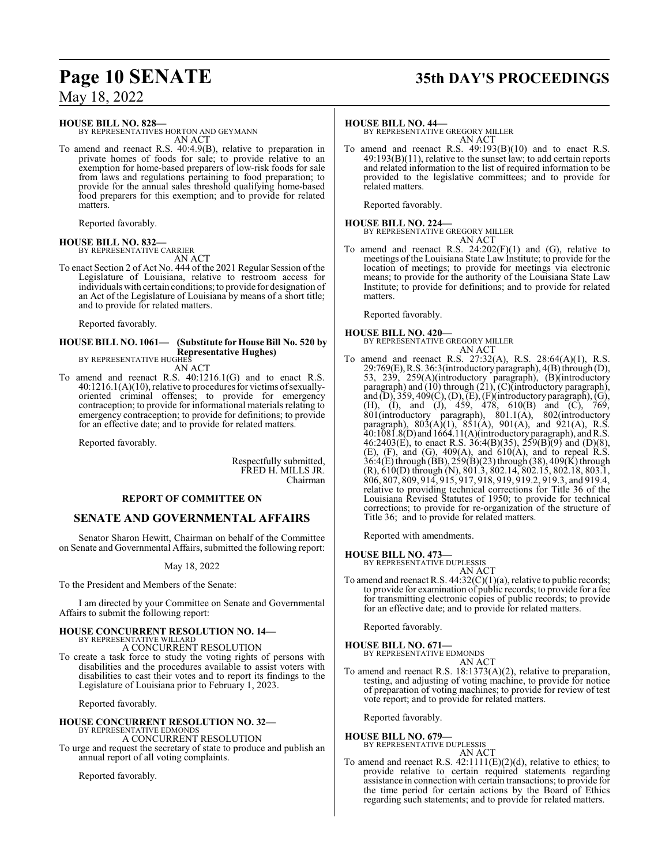### **HOUSE BILL NO. 828—**

BY REPRESENTATIVES HORTON AND GEYMANN AN ACT

To amend and reenact R.S. 40:4.9(B), relative to preparation in private homes of foods for sale; to provide relative to an exemption for home-based preparers of low-risk foods for sale from laws and regulations pertaining to food preparation; to provide for the annual sales threshold qualifying home-based food preparers for this exemption; and to provide for related matters.

Reported favorably.

#### **HOUSE BILL NO. 832—** BY REPRESENTATIVE CARRIER

AN ACT

To enact Section 2 of Act No. 444 of the 2021 Regular Session of the Legislature of Louisiana, relative to restroom access for individuals with certain conditions; to provide for designation of an Act of the Legislature of Louisiana by means of a short title; and to provide for related matters.

Reported favorably.

#### **HOUSE BILL NO. 1061— (Substitute for House Bill No. 520 by Representative Hughes)** BY REPRESENTATIVE HUGHES

AN ACT

To amend and reenact R.S. 40:1216.1(G) and to enact R.S.  $40:1216.1(A)(10)$ , relative to procedures for victims of sexuallyoriented criminal offenses; to provide for emergency contraception; to provide for informational materials relating to emergency contraception; to provide for definitions; to provide for an effective date; and to provide for related matters.

Reported favorably.

Respectfully submitted, FRED H. MILLS JR. Chairman

### **REPORT OF COMMITTEE ON**

### **SENATE AND GOVERNMENTAL AFFAIRS**

Senator Sharon Hewitt, Chairman on behalf of the Committee on Senate and Governmental Affairs, submitted the following report:

### May 18, 2022

To the President and Members of the Senate:

I am directed by your Committee on Senate and Governmental Affairs to submit the following report:

### **HOUSE CONCURRENT RESOLUTION NO. 14—**

BY REPRESENTATIVE WILLARD A CONCURRENT RESOLUTION To create a task force to study the voting rights of persons with disabilities and the procedures available to assist voters with disabilities to cast their votes and to report its findings to the Legislature of Louisiana prior to February 1, 2023.

Reported favorably.

## **HOUSE CONCURRENT RESOLUTION NO. 32—** BY REPRESENTATIVE EDMONDS

A CONCURRENT RESOLUTION To urge and request the secretary of state to produce and publish an annual report of all voting complaints.

Reported favorably.

## **Page 10 SENATE 35th DAY'S PROCEEDINGS**

### **HOUSE BILL NO. 44—**

BY REPRESENTATIVE GREGORY MILLER AN ACT

To amend and reenact R.S. 49:193(B)(10) and to enact R.S. 49:193(B)(11), relative to the sunset law; to add certain reports and related information to the list of required information to be provided to the legislative committees; and to provide for related matters.

Reported favorably.

**HOUSE BILL NO. 224—** BY REPRESENTATIVE GREGORY MILLER

AN ACT To amend and reenact R.S.  $24:202(F)(1)$  and  $(G)$ , relative to meetings of the Louisiana State Law Institute; to provide for the location of meetings; to provide for meetings via electronic means; to provide for the authority of the Louisiana State Law Institute; to provide for definitions; and to provide for related matters.

Reported favorably.

- **HOUSE BILL NO. 420—** BY REPRESENTATIVE GREGORY MILLER AN ACT
- To amend and reenact R.S. 27:32(A), R.S. 28:64(A)(1), R.S. 29:769(E),R.S. 36:3(introductory paragraph), 4(B) through (D), 53, 239, 259(A)(introductory paragraph), (B)(introductory paragraph) and (10) through (21), (C)(introductory paragraph), and (D), 359, 409(C), (D), (E), (F)(introductory paragraph), (G), (H), (I), and (J), 459, 478, 610(B) and (C), 769, 801(introductory paragraph), 801.1(A), 802(introductory paragraph),  $803(A)(1)$ ,  $851(A)$ ,  $901(A)$ , and  $921(A)$ , R.S. 40:1081.8(D) and 1664.11(A)(introductory paragraph), andR.S. 46:2403(E), to enact R.S. 36:4(B)(35), 259(B)(9) and (D)(8), (E), (F), and (G), 409(A), and 610(A), and to repeal R.S. 36:4(E) through (BB), 259(B)(23) through (38), 409(K) through (R), 610(D) through (N), 801.3, 802.14, 802.15, 802.18, 803.1, 806, 807, 809, 914, 915, 917, 918, 919, 919.2, 919.3, and 919.4, relative to providing technical corrections for Title 36 of the Louisiana Revised Statutes of 1950; to provide for technical corrections; to provide for re-organization of the structure of Title 36; and to provide for related matters.

Reported with amendments.

### **HOUSE BILL NO. 473—**

BY REPRESENTATIVE DUPLESSIS AN ACT

To amend and reenact R.S.  $44:32(C)(1)(a)$ , relative to public records; to provide for examination of public records; to provide for a fee for transmitting electronic copies of public records; to provide for an effective date; and to provide for related matters.

Reported favorably.

### **HOUSE BILL NO. 671—** BY REPRESENTATIVE EDMONDS AN ACT

To amend and reenact R.S. 18:1373(A)(2), relative to preparation, testing, and adjusting of voting machine, to provide for notice of preparation of voting machines; to provide for review of test vote report; and to provide for related matters.

Reported favorably.

### **HOUSE BILL NO. 679—** BY REPRESENTATIVE DUPLESSIS

AN ACT To amend and reenact R.S.  $42:1111(E)(2)(d)$ , relative to ethics; to provide relative to certain required statements regarding assistance in connection with certain transactions; to provide for the time period for certain actions by the Board of Ethics regarding such statements; and to provide for related matters.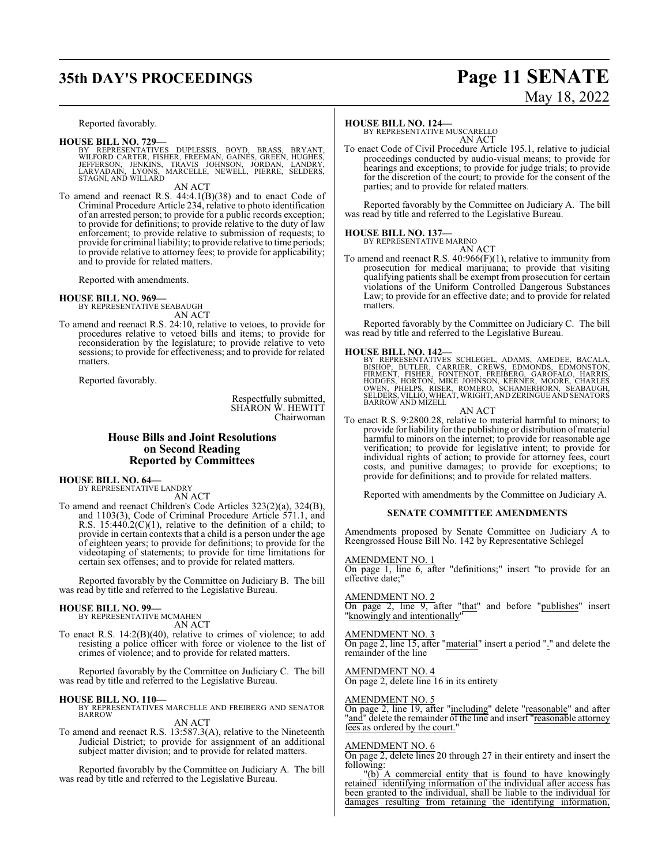## **35th DAY'S PROCEEDINGS Page 11 SENATE**

Reported favorably.

**HOUSE BILL NO. 729—**<br>BY REPRESENTATIVES DUPLESSIS, BOYD, BRASS, BRYANT,<br>WILFORD CARTER, FISHER, FREEMAN, GAINES, GREEN, HUGHES,<br>JEFFERSON, JENKINS, TRAVIS JOHNSON, JORDAN, LANDRY,<br>LARVADAIN, LYONS, MARCELLE, NEWELL, PIERR STAGNI, AND WILLARD

AN ACT

To amend and reenact R.S. 44:4.1(B)(38) and to enact Code of Criminal Procedure Article 234, relative to photo identification of an arrested person; to provide for a public records exception; to provide for definitions; to provide relative to the duty of law enforcement; to provide relative to submission of requests; to provide for criminal liability; to provide relative to time periods; to provide relative to attorney fees; to provide for applicability; and to provide for related matters.

Reported with amendments.

### **HOUSE BILL NO. 969—**

BY REPRESENTATIVE SEABAUGH AN ACT

To amend and reenact R.S. 24:10, relative to vetoes, to provide for procedures relative to vetoed bills and items; to provide for reconsideration by the legislature; to provide relative to veto sessions; to provide for effectiveness; and to provide for related matters.

Reported favorably.

Respectfully submitted, SHARON W. HEWITT Chairwoman

### **House Bills and Joint Resolutions on Second Reading Reported by Committees**

## **HOUSE BILL NO. 64—** BY REPRESENTATIVE LANDRY

AN ACT

To amend and reenact Children's Code Articles 323(2)(a), 324(B), and 1103(3), Code of Criminal Procedure Article 571.1, and R.S.  $15:440.2(C)(1)$ , relative to the definition of a child; to provide in certain contexts that a child is a person under the age of eighteen years; to provide for definitions; to provide for the videotaping of statements; to provide for time limitations for certain sex offenses; and to provide for related matters.

Reported favorably by the Committee on Judiciary B. The bill was read by title and referred to the Legislative Bureau.

### **HOUSE BILL NO. 99—**

BY REPRESENTATIVE MCMAHEN AN ACT

To enact R.S. 14:2(B)(40), relative to crimes of violence; to add resisting a police officer with force or violence to the list of crimes of violence; and to provide for related matters.

Reported favorably by the Committee on Judiciary C. The bill was read by title and referred to the Legislative Bureau.

**HOUSE BILL NO. 110—** BY REPRESENTATIVES MARCELLE AND FREIBERG AND SENATOR BARROW

AN ACT

To amend and reenact R.S. 13:587.3(A), relative to the Nineteenth Judicial District; to provide for assignment of an additional subject matter division; and to provide for related matters.

Reported favorably by the Committee on Judiciary A. The bill was read by title and referred to the Legislative Bureau.

### **HOUSE BILL NO. 124—**

BY REPRESENTATIVE MUSCARELLO AN ACT

To enact Code of Civil Procedure Article 195.1, relative to judicial proceedings conducted by audio-visual means; to provide for hearings and exceptions; to provide for judge trials; to provide for the discretion of the court; to provide for the consent of the parties; and to provide for related matters.

Reported favorably by the Committee on Judiciary A. The bill was read by title and referred to the Legislative Bureau.

### **HOUSE BILL NO. 137—**

BY REPRESENTATIVE MARINO

AN ACT To amend and reenact R.S. 40:966(F)(1), relative to immunity from prosecution for medical marijuana; to provide that visiting qualifying patients shall be exempt from prosecution for certain violations of the Uniform Controlled Dangerous Substances Law; to provide for an effective date; and to provide for related matters.

Reported favorably by the Committee on Judiciary C. The bill was read by title and referred to the Legislative Bureau.

**HOUSE BILL NO. 142—**<br>BY REPRESENTATIVES SCHLEGEL, ADAMS, AMEDEE, BACALA,<br>BISHOP, BUTLER, CARRIER, CREWS, EDMONDS, EDMONSTON,<br>FIRMENT, FISHER, FONTENOT, FREIBERG, GAROFALO, HARRIS,<br>HODGES, HORTON, MIKE JOHNSON, KERNER, MOO

AN ACT

To enact R.S. 9:2800.28, relative to material harmful to minors; to provide for liability for the publishing or distribution of material harmful to minors on the internet; to provide for reasonable age verification; to provide for legislative intent; to provide for individual rights of action; to provide for attorney fees, court costs, and punitive damages; to provide for exceptions; to provide for definitions; and to provide for related matters.

Reported with amendments by the Committee on Judiciary A.

### **SENATE COMMITTEE AMENDMENTS**

Amendments proposed by Senate Committee on Judiciary A to Reengrossed House Bill No. 142 by Representative Schlegel

AMENDMENT NO. 1

On page 1, line 6, after "definitions;" insert "to provide for an effective date;'

AMENDMENT NO. 2

On page 2, line 9, after "that" and before "publishes" insert "knowingly and intentionally"

### AMENDMENT NO. 3

On page 2, line 15, after "material" insert a period "." and delete the remainder of the line

### AMENDMENT NO. 4

On page 2, delete line 16 in its entirety

### AMENDMENT NO. 5

On page 2, line 19, after "including" delete "reasonable" and after "and" delete the remainder of the line and insert "reasonable attorney" fees as ordered by the court."

### AMENDMENT NO. 6

On page 2, delete lines 20 through 27 in their entirety and insert the following:

"(b) A commercial entity that is found to have knowingly retained identifying information of the individual after access has been granted to the individual, shall be liable to the individual for damages resulting from retaining the identifying information,

# May 18, 2022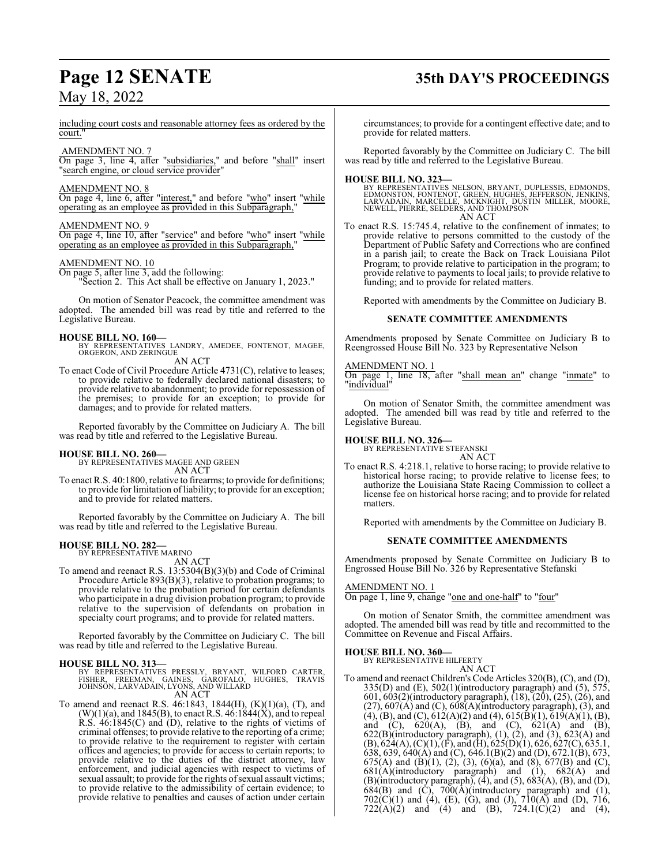including court costs and reasonable attorney fees as ordered by the court."

AMENDMENT NO. 7

On page 3, line 4, after "subsidiaries," and before "shall" insert "search engine, or cloud service provider"

AMENDMENT NO. 8

On page 4, line 6, after "interest," and before "who" insert "while operating as an employee as provided in this Subparagraph,"

### AMENDMENT NO. 9

On page 4, line 10, after "service" and before "who" insert "while operating as an employee as provided in this Subparagraph,

### AMENDMENT NO. 10

On page 5, after line 3, add the following: "Section 2. This Act shall be effective on January 1, 2023."

On motion of Senator Peacock, the committee amendment was adopted. The amended bill was read by title and referred to the Legislative Bureau.

**HOUSE BILL NO. 160—** BY REPRESENTATIVES LANDRY, AMEDEE, FONTENOT, MAGEE, ORGERON, AND ZERINGUE

AN ACT

To enact Code of Civil Procedure Article 4731(C), relative to leases; to provide relative to federally declared national disasters; to provide relative to abandonment; to provide for repossession of the premises; to provide for an exception; to provide for damages; and to provide for related matters.

Reported favorably by the Committee on Judiciary A. The bill was read by title and referred to the Legislative Bureau.

**HOUSE BILL NO. 260—** BY REPRESENTATIVES MAGEE AND GREEN AN ACT

To enact R.S. 40:1800, relative to firearms; to provide for definitions; to provide for limitation ofliability; to provide for an exception; and to provide for related matters.

Reported favorably by the Committee on Judiciary A. The bill was read by title and referred to the Legislative Bureau.

### **HOUSE BILL NO. 282—**

BY REPRESENTATIVE MARINO AN ACT

To amend and reenact R.S. 13:5304(B)(3)(b) and Code of Criminal Procedure Article 893(B)(3), relative to probation programs; to provide relative to the probation period for certain defendants who participate in a drug division probation program; to provide relative to the supervision of defendants on probation in specialty court programs; and to provide for related matters.

Reported favorably by the Committee on Judiciary C. The bill was read by title and referred to the Legislative Bureau.

### **HOUSE BILL NO. 313—**

BY REPRESENTATIVES PRESSLY, BRYANT, WILFORD CARTER,<br>FISHER, FREEMAN, GAINES, GAROFALO, HUGHES, TRAVIS<br>JOHNSON,LARVADAIN,LYONS,ANDWILLARD AN ACT

To amend and reenact R.S. 46:1843, 1844(H), (K)(1)(a), (T), and  $(W)(1)(a)$ , and 1845(B), to enact R.S. 46:1844(X), and to repeal R.S. 46:1845(C) and (D), relative to the rights of victims of criminal offenses; to provide relative to the reporting of a crime; to provide relative to the requirement to register with certain offices and agencies; to provide for access to certain reports; to provide relative to the duties of the district attorney, law enforcement, and judicial agencies with respect to victims of sexual assault; to provide for the rights of sexual assault victims; to provide relative to the admissibility of certain evidence; to provide relative to penalties and causes of action under certain

## **Page 12 SENATE 35th DAY'S PROCEEDINGS**

circumstances; to provide for a contingent effective date; and to provide for related matters.

Reported favorably by the Committee on Judiciary C. The bill was read by title and referred to the Legislative Bureau.

### **HOUSE BILL NO. 323—**

BY REPRESENTATIVES NELSON, BRYANT, DUPLESSIS, EDMONDS,<br>EDMONSTON, FONTENOT, GREEN, HUGHES, JEFFERSON, JENKINS,<br>LARVADAIN, MARCELLE, MCKNIGHT, DUSTIN MILLER, MOORE,<br>NEWELL, PIERRE, SELDERS, AND THOMPSON<br>AN ACT

To enact R.S. 15:745.4, relative to the confinement of inmates; to provide relative to persons committed to the custody of the Department of Public Safety and Corrections who are confined in a parish jail; to create the Back on Track Louisiana Pilot Program; to provide relative to participation in the program; to provide relative to payments to local jails; to provide relative to funding; and to provide for related matters.

Reported with amendments by the Committee on Judiciary B.

### **SENATE COMMITTEE AMENDMENTS**

Amendments proposed by Senate Committee on Judiciary B to Reengrossed House Bill No. 323 by Representative Nelson

### AMENDMENT NO. 1

On page 1, line 18, after "shall mean an" change "inmate" to "*individual*"

On motion of Senator Smith, the committee amendment was adopted. The amended bill was read by title and referred to the Legislative Bureau.

### **HOUSE BILL NO. 326—**

BY REPRESENTATIVE STEFANSKI AN ACT

To enact R.S. 4:218.1, relative to horse racing; to provide relative to historical horse racing; to provide relative to license fees; to authorize the Louisiana State Racing Commission to collect a license fee on historical horse racing; and to provide for related matters.

Reported with amendments by the Committee on Judiciary B.

### **SENATE COMMITTEE AMENDMENTS**

Amendments proposed by Senate Committee on Judiciary B to Engrossed House Bill No. 326 by Representative Stefanski

### AMENDMENT NO. 1

On page 1, line 9, change "one and one-half" to "four"

On motion of Senator Smith, the committee amendment was adopted. The amended bill was read by title and recommitted to the Committee on Revenue and Fiscal Affairs.

### **HOUSE BILL NO. 360—**

BY REPRESENTATIVE HILFERTY AN ACT

To amend and reenact Children's Code Articles 320(B), (C), and (D),  $335(D)$  and (E),  $502(1)$ (introductory paragraph) and (5),  $575$ , 601, 603(2)(introductory paragraph), (18), (20), (25), (26), and  $(27)$ ,  $607(A)$  and  $(C)$ ,  $608(A)$ (introductory paragraph),  $(3)$ , and  $(4)$ ,  $(B)$ , and  $(C)$ ,  $612(A)(2)$  and  $(4)$ ,  $615(B)(1)$ ,  $619(A)(1)$ ,  $(B)$ , and (C),  $620(A)$ , (B), and (C),  $621(A)$  and (B),  $622(B)$ (introductory paragraph),  $(1)$ ,  $(2)$ , and  $(3)$ ,  $623(A)$  and  $(B)$ , 624(A), (C)(1), (F), and (H), 625(D)(1), 626, 627(C), 635.1, 638, 639, 640(A) and (C), 646.1(B)(2) and (D), 672.1(B), 673, 675(A) and (B)(1), (2), (3), (6)(a), and (8), 677(B) and (C),  $681(A)$ (introductory paragraph) and (1),  $682(A)$  and  $(B)$ (introductory paragraph),  $(\overline{4})$ , and  $(5)$ ,  $683(A)$ ,  $(B)$ , and  $(D)$ ,  $684(B)$  and  $(C)$ ,  $700(A)$ (introductory paragraph) and  $(1)$ , 702(C)(1) and (4), (E), (G), and (J), 710(A) and (D), 716,  $722(A)(2)$  and  $(4)$  and  $(B)$ ,  $724.1(C)(2)$  and  $(4)$ ,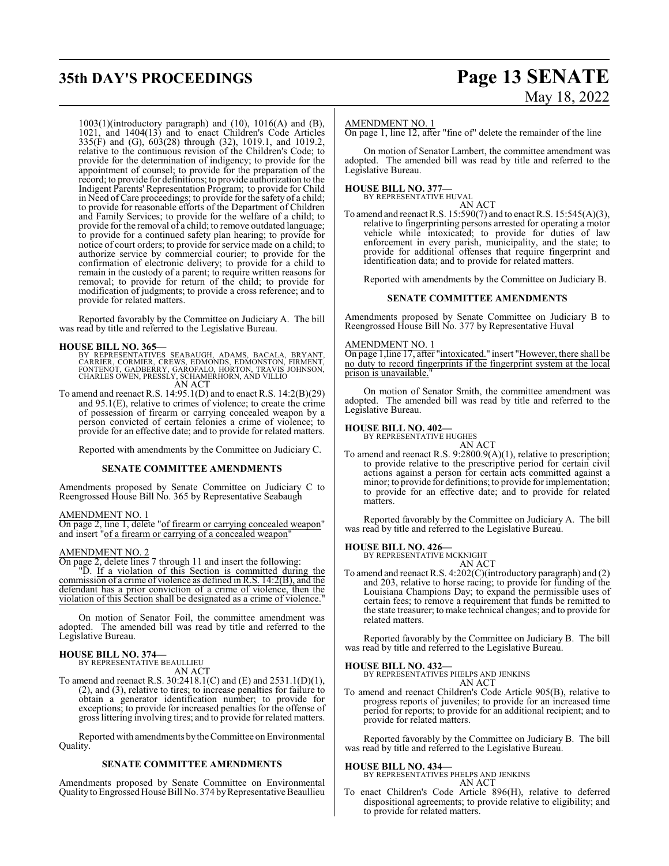## **35th DAY'S PROCEEDINGS Page 13 SENATE**

# May 18, 2022

 $1003(1)$ (introductory paragraph) and  $(10)$ ,  $1016(A)$  and  $(B)$ , 1021, and 1404(13) and to enact Children's Code Articles 335(F) and (G), 603(28) through (32), 1019.1, and 1019.2, relative to the continuous revision of the Children's Code; to provide for the determination of indigency; to provide for the appointment of counsel; to provide for the preparation of the record; to provide for definitions; to provide authorization to the Indigent Parents' Representation Program; to provide for Child in Need of Care proceedings; to provide for the safety of a child; to provide for reasonable efforts of the Department of Children and Family Services; to provide for the welfare of a child; to provide for the removal of a child; to remove outdated language; to provide for a continued safety plan hearing; to provide for notice of court orders; to provide for service made on a child; to authorize service by commercial courier; to provide for the confirmation of electronic delivery; to provide for a child to remain in the custody of a parent; to require written reasons for removal; to provide for return of the child; to provide for modification of judgments; to provide a cross reference; and to provide for related matters.

Reported favorably by the Committee on Judiciary A. The bill was read by title and referred to the Legislative Bureau.

### **HOUSE BILL NO. 365—**

BY REPRESENTATIVES SEABAUGH, ADAMS, BACALA, BRYANT,<br>CARRIER, CORMIER, CREWS, EDMONDS, EDMONSTON, FIRMENT,<br>FONTENOT, GADBERRY, GAROFALO, HORTON, TRAVIS JOHNSON,<br>CHARLES OWEN, PRESSLY, SCHAMERHORN, AND VILLIO<br>AN ACT

To amend and reenact R.S. 14:95.1(D) and to enact R.S. 14:2(B)(29) and 95.1(E), relative to crimes of violence; to create the crime of possession of firearm or carrying concealed weapon by a person convicted of certain felonies a crime of violence; to provide for an effective date; and to provide for related matters.

Reported with amendments by the Committee on Judiciary C.

### **SENATE COMMITTEE AMENDMENTS**

Amendments proposed by Senate Committee on Judiciary C to Reengrossed House Bill No. 365 by Representative Seabaugh

### AMENDMENT NO. 1

On page 2, line 1, delete "of firearm or carrying concealed weapon" and insert "of a firearm or carrying of a concealed weapon"

### AMENDMENT NO. 2

On page 2, delete lines 7 through 11 and insert the following:

"D. If a violation of this Section is committed during the commission of a crime of violence as defined in R.S. 14:2(B), and the defendant has a prior conviction of a crime of violence, then the violation of this Section shall be designated as a crime of violence."

On motion of Senator Foil, the committee amendment was adopted. The amended bill was read by title and referred to the Legislative Bureau.

### **HOUSE BILL NO. 374—**

BY REPRESENTATIVE BEAULLIEU AN ACT

To amend and reenact R.S. 30:2418.1(C) and (E) and 2531.1(D)(1), (2), and (3), relative to tires; to increase penalties for failure to obtain a generator identification number; to provide for exceptions; to provide for increased penalties for the offense of gross littering involving tires; and to provide for related matters.

Reported with amendments by the Committee on Environmental Quality.

### **SENATE COMMITTEE AMENDMENTS**

Amendments proposed by Senate Committee on Environmental Quality to Engrossed House Bill No. 374 by Representative Beaullieu

### AMENDMENT NO. 1

On page 1, line 12, after "fine of" delete the remainder of the line

On motion of Senator Lambert, the committee amendment was adopted. The amended bill was read by title and referred to the Legislative Bureau.

### **HOUSE BILL NO. 377—** BY REPRESENTATIVE HUVAL

AN ACT

To amend and reenact R.S. 15:590(7) and to enact R.S. 15:545(A)(3), relative to fingerprinting persons arrested for operating a motor vehicle while intoxicated; to provide for duties of law enforcement in every parish, municipality, and the state; to provide for additional offenses that require fingerprint and identification data; and to provide for related matters.

Reported with amendments by the Committee on Judiciary B.

### **SENATE COMMITTEE AMENDMENTS**

Amendments proposed by Senate Committee on Judiciary B to Reengrossed House Bill No. 377 by Representative Huval

### AMENDMENT NO. 1

On page 1,line 17, after "intoxicated." insert "However, there shall be no duty to record fingerprints if the fingerprint system at the local prison is unavailable.

On motion of Senator Smith, the committee amendment was adopted. The amended bill was read by title and referred to the Legislative Bureau.

### **HOUSE BILL NO. 402—** BY REPRESENTATIVE HUGHES

AN ACT

To amend and reenact R.S. 9:2800.9(A)(1), relative to prescription; to provide relative to the prescriptive period for certain civil actions against a person for certain acts committed against a minor; to provide for definitions; to provide for implementation; to provide for an effective date; and to provide for related matters.

Reported favorably by the Committee on Judiciary A. The bill was read by title and referred to the Legislative Bureau.

## **HOUSE BILL NO. 426—** BY REPRESENTATIVE MCKNIGHT

AN ACT To amend and reenact R.S. 4:202(C)(introductory paragraph) and (2) and 203, relative to horse racing; to provide for funding of the Louisiana Champions Day; to expand the permissible uses of certain fees; to remove a requirement that funds be remitted to the state treasurer; to make technical changes; and to provide for related matters.

Reported favorably by the Committee on Judiciary B. The bill was read by title and referred to the Legislative Bureau.

### **HOUSE BILL NO. 432—**

BY REPRESENTATIVES PHELPS AND JENKINS AN ACT

To amend and reenact Children's Code Article 905(B), relative to progress reports of juveniles; to provide for an increased time period for reports; to provide for an additional recipient; and to provide for related matters.

Reported favorably by the Committee on Judiciary B. The bill was read by title and referred to the Legislative Bureau.

**HOUSE BILL NO. 434—** BY REPRESENTATIVES PHELPS AND JENKINS AN ACT

To enact Children's Code Article 896(H), relative to deferred dispositional agreements; to provide relative to eligibility; and to provide for related matters.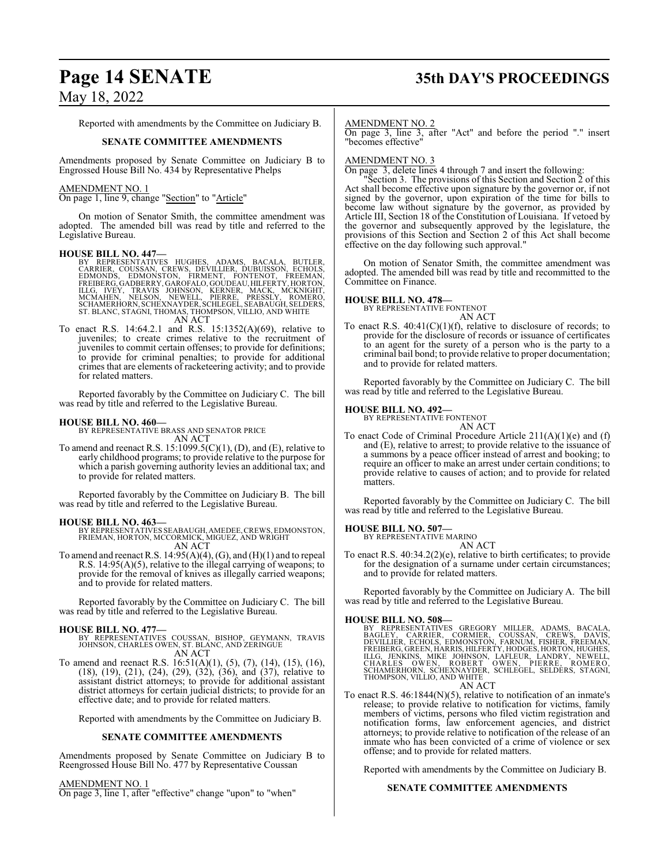## **Page 14 SENATE 35th DAY'S PROCEEDINGS**

### May 18, 2022

Reported with amendments by the Committee on Judiciary B.

### **SENATE COMMITTEE AMENDMENTS**

Amendments proposed by Senate Committee on Judiciary B to Engrossed House Bill No. 434 by Representative Phelps

### AMENDMENT NO. 1

On page 1, line 9, change "Section" to "Article"

On motion of Senator Smith, the committee amendment was adopted. The amended bill was read by title and referred to the Legislative Bureau.

### **HOUSE BILL NO. 447—**

- BY REPRESENTATIVES HUGHES, ADAMS, BACALA, BUTLER, CARRIER, COUSSAN, CREWS, DEVILLIER, DUBUISSON, ECHOLS, EDMONDS, EDMONSTON, FIRMENT, FONTENOT, FREEMAN, ILLG, IVEY, TRAVISTON, HEREMEN, ILLG, IVEY, TRAVIS, JOHNSON, KERNER,
- To enact R.S. 14:64.2.1 and R.S. 15:1352(A)(69), relative to juveniles; to create crimes relative to the recruitment of juveniles to commit certain offenses; to provide for definitions; to provide for criminal penalties; to provide for additional crimes that are elements of racketeering activity; and to provide for related matters.

Reported favorably by the Committee on Judiciary C. The bill was read by title and referred to the Legislative Bureau.

**HOUSE BILL NO. 460—** BY REPRESENTATIVE BRASS AND SENATOR PRICE

AN ACT To amend and reenact R.S. 15:1099.5(C)(1), (D), and (E), relative to early childhood programs; to provide relative to the purpose for which a parish governing authority levies an additional tax; and to provide for related matters.

Reported favorably by the Committee on Judiciary B. The bill was read by title and referred to the Legislative Bureau.

### **HOUSE BILL NO. 463—**

- BY REPRESENTATIVES SEABAUGH, AMEDEE,CREWS, EDMONSTON, FRIEMAN, HORTON, MCCORMICK, MIGUEZ, AND WRIGHT AN ACT
- To amend and reenact R.S.  $14:95(A)(4)$ , (G), and (H)(1) and to repeal R.S. 14:95(A)(5), relative to the illegal carrying of weapons; to provide for the removal of knives as illegally carried weapons; and to provide for related matters.

Reported favorably by the Committee on Judiciary C. The bill was read by title and referred to the Legislative Bureau.

**HOUSE BILL NO. 477—** BY REPRESENTATIVES COUSSAN, BISHOP, GEYMANN, TRAVIS JOHNSON, CHARLES OWEN, ST. BLANC, AND ZERINGUE AN ACT

To amend and reenact R.S. 16:51(A)(1), (5), (7), (14), (15), (16), (18), (19), (21), (24), (29), (32), (36), and (37), relative to assistant district attorneys; to provide for additional assistant district attorneys for certain judicial districts; to provide for an effective date; and to provide for related matters.

Reported with amendments by the Committee on Judiciary B.

### **SENATE COMMITTEE AMENDMENTS**

Amendments proposed by Senate Committee on Judiciary B to Reengrossed House Bill No. 477 by Representative Coussan

AMENDMENT NO. 1

On page 3, line 1, after "effective" change "upon" to "when"

### AMENDMENT NO. 2

On page 3, line 3, after "Act" and before the period "." insert "becomes effective"

### AMENDMENT NO. 3

On page 3, delete lines 4 through 7 and insert the following:

Section 3. The provisions of this Section and Section 2 of this Act shall become effective upon signature by the governor or, if not signed by the governor, upon expiration of the time for bills to become law without signature by the governor, as provided by Article III, Section 18 of the Constitution of Louisiana. If vetoed by the governor and subsequently approved by the legislature, the provisions of this Section and Section 2 of this Act shall become effective on the day following such approval."

On motion of Senator Smith, the committee amendment was adopted. The amended bill was read by title and recommitted to the Committee on Finance.

### **HOUSE BILL NO. 478—**

BY REPRESENTATIVE FONTENOT AN ACT

To enact R.S.  $40:41(C)(1)(f)$ , relative to disclosure of records; to provide for the disclosure of records or issuance of certificates to an agent for the surety of a person who is the party to a criminal bail bond; to provide relative to proper documentation; and to provide for related matters.

Reported favorably by the Committee on Judiciary C. The bill was read by title and referred to the Legislative Bureau.

### **HOUSE BILL NO. 492—**

BY REPRESENTATIVE FONTENOT AN ACT

To enact Code of Criminal Procedure Article 211(A)(1)(e) and (f) and (E), relative to arrest; to provide relative to the issuance of a summons by a peace officer instead of arrest and booking; to require an officer to make an arrest under certain conditions; to provide relative to causes of action; and to provide for related matters.

Reported favorably by the Committee on Judiciary C. The bill was read by title and referred to the Legislative Bureau.

**HOUSE BILL NO. 507—**

BY REPRESENTATIVE MARINO AN ACT

To enact R.S. 40:34.2(2)(e), relative to birth certificates; to provide for the designation of a surname under certain circumstances; and to provide for related matters.

Reported favorably by the Committee on Judiciary A. The bill was read by title and referred to the Legislative Bureau.

### **HOUSE BILL NO. 508—**

BY REPRESENTATIVES GREGGRY MILLER, ADAMS, BACALA,<br>BAGLEY, CARRIER, CORMIER, COUSSAN, CREWS, DAVIS,<br>DEVILLIER, ECHOLS, EDMONSTON, FARNUM, FISHER, FREEMAN,<br>FREIBERG,GREEN,HARRIS,HILFERTY,HODGES,HORTON,HUGHES,<br>ILLG, JENKINS, AN ACT

To enact R.S. 46:1844(N)(5), relative to notification of an inmate's release; to provide relative to notification for victims, family members of victims, persons who filed victim registration and notification forms, law enforcement agencies, and district attorneys; to provide relative to notification of the release of an inmate who has been convicted of a crime of violence or sex offense; and to provide for related matters.

Reported with amendments by the Committee on Judiciary B.

### **SENATE COMMITTEE AMENDMENTS**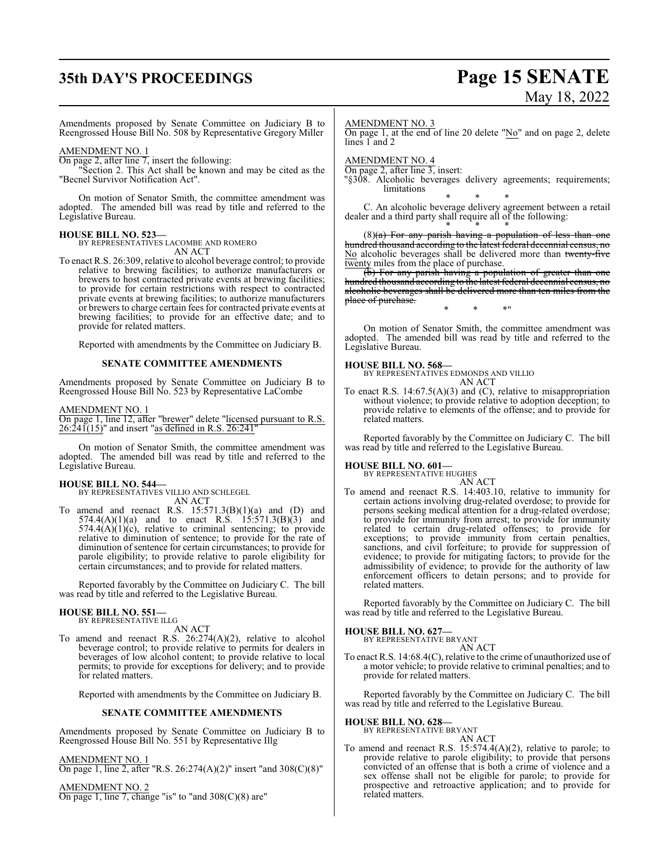## **35th DAY'S PROCEEDINGS Page 15 SENATE**

# May 18, 2022

Amendments proposed by Senate Committee on Judiciary B to Reengrossed House Bill No. 508 by Representative Gregory Miller

### AMENDMENT NO. 1

On page 2, after line 7, insert the following:

"Section 2. This Act shall be known and may be cited as the "Becnel Survivor Notification Act".

On motion of Senator Smith, the committee amendment was adopted. The amended bill was read by title and referred to the Legislative Bureau.

**HOUSE BILL NO. 523—** BY REPRESENTATIVES LACOMBE AND ROMERO AN ACT

To enact R.S. 26:309, relative to alcohol beverage control; to provide relative to brewing facilities; to authorize manufacturers or brewers to host contracted private events at brewing facilities; to provide for certain restrictions with respect to contracted private events at brewing facilities; to authorize manufacturers or brewers to charge certain fees for contracted private events at brewing facilities; to provide for an effective date; and to provide for related matters.

Reported with amendments by the Committee on Judiciary B.

### **SENATE COMMITTEE AMENDMENTS**

Amendments proposed by Senate Committee on Judiciary B to Reengrossed House Bill No. 523 by Representative LaCombe

### AMENDMENT NO. 1

On page 1, line 12, after "brewer" delete "licensed pursuant to R.S.  $26:241(15)$ " and insert "as defined in R.S.  $26:241'$ 

On motion of Senator Smith, the committee amendment was adopted. The amended bill was read by title and referred to the Legislative Bureau.

### **HOUSE BILL NO. 544—**

BY REPRESENTATIVES VILLIO AND SCHLEGEL AN ACT

To amend and reenact R.S.  $15:571.3(B)(1)(a)$  and  $(D)$  and 574.4(A)(1)(a) and to enact R.S. 15:571.3(B)(3) and  $574.4(A)(1)(c)$ , relative to criminal sentencing; to provide relative to diminution of sentence; to provide for the rate of diminution of sentence for certain circumstances; to provide for parole eligibility; to provide relative to parole eligibility for certain circumstances; and to provide for related matters.

Reported favorably by the Committee on Judiciary C. The bill was read by title and referred to the Legislative Bureau.

#### **HOUSE BILL NO. 551—** BY REPRESENTATIVE ILLG

AN ACT

To amend and reenact R.S. 26:274(A)(2), relative to alcohol beverage control; to provide relative to permits for dealers in beverages of low alcohol content; to provide relative to local permits; to provide for exceptions for delivery; and to provide for related matters.

Reported with amendments by the Committee on Judiciary B.

### **SENATE COMMITTEE AMENDMENTS**

Amendments proposed by Senate Committee on Judiciary B to Reengrossed House Bill No. 551 by Representative Illg

AMENDMENT NO. 1

On page 1, line 2, after "R.S. 26:274(A)(2)" insert "and 308(C)(8)"

AMENDMENT NO. 2 On page 1, line 7, change "is" to "and  $308(C)(8)$  are"

### AMENDMENT NO. 3

On page 1, at the end of line 20 delete " $\underline{No}$ " and on page 2, delete lines 1 and 2

### AMENDMENT NO. 4

On page 2, after line 3, insert:

"§308. Alcoholic beverages delivery agreements; requirements; limitations

\* \* \* C. An alcoholic beverage delivery agreement between a retail dealer and a third party shall require all of the following: \* \* \*

(8)(a) For any parish having a population of less than one hundred thousand according to the latest federal decennial census, no No alcoholic beverages shall be delivered more than twenty-five twenty miles from the place of purchase.

(b) For any parish having a population of greater than one hundred thousand according to the latest federal decennial census, no alcoholic beverages shall be delivered more than ten miles from the place of purchase. \* \* \*"

On motion of Senator Smith, the committee amendment was adopted. The amended bill was read by title and referred to the Legislative Bureau.

**HOUSE BILL NO. 568—** BY REPRESENTATIVES EDMONDS AND VILLIO AN ACT

To enact R.S. 14:67.5(A)(3) and (C), relative to misappropriation without violence; to provide relative to adoption deception; to provide relative to elements of the offense; and to provide for related matters.

Reported favorably by the Committee on Judiciary C. The bill was read by title and referred to the Legislative Bureau.

### **HOUSE BILL NO. 601—** BY REPRESENTATIVE HUGHES

AN ACT To amend and reenact R.S. 14:403.10, relative to immunity for certain actions involving drug-related overdose; to provide for persons seeking medical attention for a drug-related overdose; to provide for immunity from arrest; to provide for immunity related to certain drug-related offenses; to provide for exceptions; to provide immunity from certain penalties, sanctions, and civil forfeiture; to provide for suppression of evidence; to provide for mitigating factors; to provide for the admissibility of evidence; to provide for the authority of law enforcement officers to detain persons; and to provide for related matters.

Reported favorably by the Committee on Judiciary C. The bill was read by title and referred to the Legislative Bureau.

### **HOUSE BILL NO. 627—**

BY REPRESENTATIVE BRYANT AN ACT

To enact R.S. 14:68.4(C), relative to the crime of unauthorized use of a motor vehicle; to provide relative to criminal penalties; and to provide for related matters.

Reported favorably by the Committee on Judiciary C. The bill was read by title and referred to the Legislative Bureau.

## **HOUSE BILL NO. 628—** BY REPRESENTATIVE BRYANT

### AN ACT

To amend and reenact R.S. 15:574.4(A)(2), relative to parole; to provide relative to parole eligibility; to provide that persons convicted of an offense that is both a crime of violence and a sex offense shall not be eligible for parole; to provide for prospective and retroactive application; and to provide for related matters.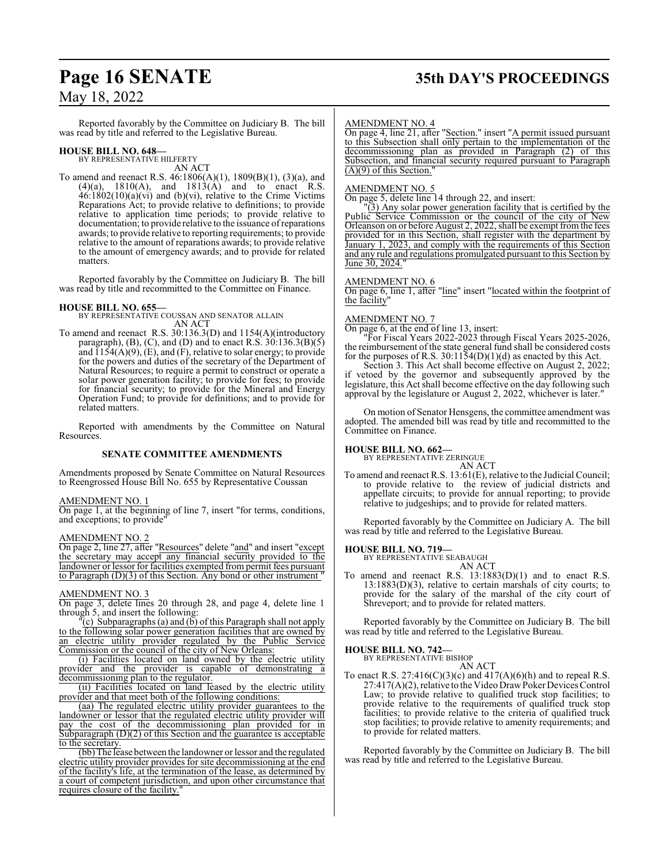## **Page 16 SENATE 35th DAY'S PROCEEDINGS**

### May 18, 2022

Reported favorably by the Committee on Judiciary B. The bill was read by title and referred to the Legislative Bureau.

### **HOUSE BILL NO. 648—**

BY REPRESENTATIVE HILFERTY AN ACT

To amend and reenact R.S. 46:1806(A)(1), 1809(B)(1), (3)(a), and  $(4)(a)$ , 1810(A), and 1813(A) and to enact R.S.  $46:1802(10)(a)(vi)$  and (b)(vi), relative to the Crime Victims Reparations Act; to provide relative to definitions; to provide relative to application time periods; to provide relative to documentation; to provide relative to the issuance ofreparations awards; to provide relative to reporting requirements; to provide relative to the amount of reparations awards; to provide relative to the amount of emergency awards; and to provide for related matters.

Reported favorably by the Committee on Judiciary B. The bill was read by title and recommitted to the Committee on Finance.

**HOUSE BILL NO. 655—** BY REPRESENTATIVE COUSSAN AND SENATOR ALLAIN AN ACT

To amend and reenact R.S. 30:136.3(D) and 1154(A)(introductory paragraph),  $(B)$ ,  $(C)$ , and  $(D)$  and to enact R.S. 30:136.3 $(B)(5)$ and  $\overline{1154(A)(9)}$ , (E), and (F), relative to solar energy; to provide for the powers and duties of the secretary of the Department of Natural Resources; to require a permit to construct or operate a solar power generation facility; to provide for fees; to provide for financial security; to provide for the Mineral and Energy Operation Fund; to provide for definitions; and to provide for related matters.

Reported with amendments by the Committee on Natural Resources.

### **SENATE COMMITTEE AMENDMENTS**

Amendments proposed by Senate Committee on Natural Resources to Reengrossed House Bill No. 655 by Representative Coussan

### AMENDMENT NO. 1

On page 1, at the beginning of line 7, insert "for terms, conditions, and exceptions; to provide"

### AMENDMENT NO. 2

On page 2, line 27, after "Resources" delete "and" and insert "except the secretary may accept any financial security provided to the landowner or lessor for facilities exempted from permit fees pursuant to Paragraph (D)(3) of this Section. Any bond or other instrument "

### AMENDMENT NO. 3

On page 3, delete lines 20 through 28, and page 4, delete line 1 through 5, and insert the following:

 $\mathbb{T}(c)$  Subparagraphs (a) and (b) of this Paragraph shall not apply to the following solar power generation facilities that are owned by an electric utility provider regulated by the Public Service Commission or the council of the city of New Orleans:

(i) Facilities located on land owned by the electric utility provider and the provider is capable of demonstrating a decommissioning plan to the regulator.

(ii) Facilities located on land leased by the electric utility provider and that meet both of the following conditions:

(aa) The regulated electric utility provider guarantees to the landowner or lessor that the regulated electric utility provider will pay the cost of the decommissioning plan provided for in Subparagraph  $(D)(2)$  of this Section and the guarantee is acceptable to the secretary.

(bb)The lease between the landowner or lessor and the regulated electric utility provider provides for site decommissioning at the end of the facility's life, at the termination of the lease, as determined by a court of competent jurisdiction, and upon other circumstance that requires closure of the facility.

#### AMENDMENT NO. 4

On page 4, line 21, after "Section." insert "A permit issued pursuant to this Subsection shall only pertain to the implementation of the decommissioning plan as provided in Paragraph (2) of this Subsection, and financial security required pursuant to Paragraph  $(A)(9)$  of this Section.

### AMENDMENT NO. 5

On page 5, delete line 14 through 22, and insert:

"(3) Any solar power generation facility that is certified by the Public Service Commission or the council of the city of New Orleanson on or before August 2, 2022, shall be exempt fromthe fees provided for in this Section, shall register with the department by January 1, 2023, and comply with the requirements of this Section and any rule and regulations promulgated pursuant to this Section by June 30, 2024."

### AMENDMENT NO. 6

On page 6, line 1, after "line" insert "located within the footprint of the facility"

### AMENDMENT NO. 7

On page 6, at the end of line 13, insert:

"For Fiscal Years 2022-2023 through Fiscal Years 2025-2026, the reimbursement of the state general fund shall be considered costs for the purposes of R.S.  $30:11\overline{5}4(D)(1)(d)$  as enacted by this Act.

Section 3. This Act shall become effective on August 2, 2022; if vetoed by the governor and subsequently approved by the legislature, this Act shall become effective on the day following such approval by the legislature or August 2, 2022, whichever is later."

On motion of Senator Hensgens, the committee amendment was adopted. The amended bill was read by title and recommitted to the Committee on Finance.

**HOUSE BILL NO. 662—** BY REPRESENTATIVE ZERINGUE AN ACT

To amend and reenact R.S. 13:61(E), relative to the Judicial Council; to provide relative to the review of judicial districts and appellate circuits; to provide for annual reporting; to provide relative to judgeships; and to provide for related matters.

Reported favorably by the Committee on Judiciary A. The bill was read by title and referred to the Legislative Bureau.

### **HOUSE BILL NO. 719—** BY REPRESENTATIVE SEABAUGH

AN ACT

To amend and reenact R.S. 13:1883(D)(1) and to enact R.S. 13:1883(D)(3), relative to certain marshals of city courts; to provide for the salary of the marshal of the city court of Shreveport; and to provide for related matters.

Reported favorably by the Committee on Judiciary B. The bill was read by title and referred to the Legislative Bureau.

### **HOUSE BILL NO. 742—**

BY REPRESENTATIVE BISHOP

- AN ACT
- To enact R.S.  $27:416(C)(3)(c)$  and  $417(A)(6)(h)$  and to repeal R.S. 27:417(A)(2), relative to the Video DrawPoker Devices Control Law; to provide relative to qualified truck stop facilities; to provide relative to the requirements of qualified truck stop facilities; to provide relative to the criteria of qualified truck stop facilities; to provide relative to amenity requirements; and to provide for related matters.

Reported favorably by the Committee on Judiciary B. The bill was read by title and referred to the Legislative Bureau.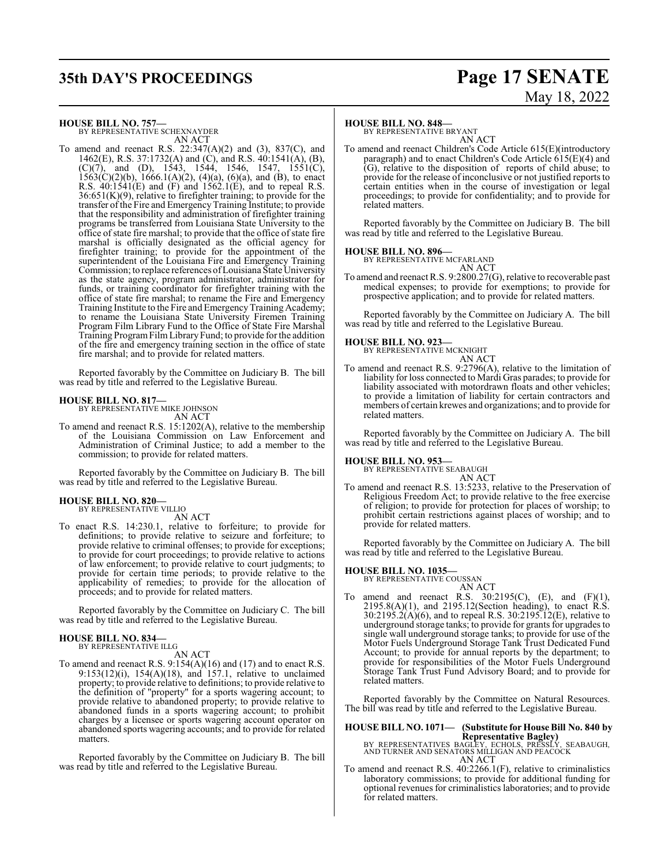## **35th DAY'S PROCEEDINGS Page 17 SENATE**

# May 18, 2022

**HOUSE BILL NO. 757—**

BY REPRESENTATIVE SCHEXNAYDER AN ACT

To amend and reenact R.S. 22:347(A)(2) and (3), 837(C), and 1462(E), R.S. 37:1732(A) and (C), and R.S. 40:1541(A), (B),  $(C)(7)$ , and  $(D)$ , 1543, 1544, 1546, 1547, 1551 $(C)$ ,  $1563(C)(2)(b)$ ,  $1666.1(A)(2)$ ,  $(4)(a)$ ,  $(6)(a)$ , and  $(B)$ , to enact R.S. 40:1541(E) and (F) and 1562.1(E), and to repeal R.S.  $36:651(K)(9)$ , relative to firefighter training; to provide for the transfer of the Fire and Emergency Training Institute; to provide that the responsibility and administration of firefighter training programs be transferred from Louisiana State University to the office of state fire marshal; to provide that the office of state fire marshal is officially designated as the official agency for firefighter training; to provide for the appointment of the superintendent of the Louisiana Fire and Emergency Training Commission; to replace references ofLouisiana State University as the state agency, program administrator, administrator for funds, or training coordinator for firefighter training with the office of state fire marshal; to rename the Fire and Emergency Training Institute to the Fire and EmergencyTraining Academy; to rename the Louisiana State University Firemen Training Program Film Library Fund to the Office of State Fire Marshal Training ProgramFilmLibraryFund; to provide for the addition of the fire and emergency training section in the office of state fire marshal; and to provide for related matters.

Reported favorably by the Committee on Judiciary B. The bill was read by title and referred to the Legislative Bureau.

### **HOUSE BILL NO. 817—**

BY REPRESENTATIVE MIKE JOHNSON AN ACT

To amend and reenact R.S. 15:1202(A), relative to the membership of the Louisiana Commission on Law Enforcement and Administration of Criminal Justice; to add a member to the commission; to provide for related matters.

Reported favorably by the Committee on Judiciary B. The bill was read by title and referred to the Legislative Bureau.

### **HOUSE BILL NO. 820—** BY REPRESENTATIVE VILLIO

AN ACT

To enact R.S. 14:230.1, relative to forfeiture; to provide for definitions; to provide relative to seizure and forfeiture; to provide relative to criminal offenses; to provide for exceptions; to provide for court proceedings; to provide relative to actions of law enforcement; to provide relative to court judgments; to provide for certain time periods; to provide relative to the applicability of remedies; to provide for the allocation of proceeds; and to provide for related matters.

Reported favorably by the Committee on Judiciary C. The bill was read by title and referred to the Legislative Bureau.

### **HOUSE BILL NO. 834—**

BY REPRESENTATIVE ILLG AN ACT

To amend and reenact R.S. 9:154(A)(16) and (17) and to enact R.S. 9:153(12)(i), 154(A)(18), and 157.1, relative to unclaimed property; to provide relative to definitions; to provide relative to the definition of "property" for a sports wagering account; to provide relative to abandoned property; to provide relative to abandoned funds in a sports wagering account; to prohibit charges by a licensee or sports wagering account operator on abandoned sports wagering accounts; and to provide for related matters.

Reported favorably by the Committee on Judiciary B. The bill was read by title and referred to the Legislative Bureau.

### **HOUSE BILL NO. 848—**

BY REPRESENTATIVE BRYANT AN ACT

To amend and reenact Children's Code Article 615(E)(introductory paragraph) and to enact Children's Code Article 615(E)(4) and (G), relative to the disposition of reports of child abuse; to provide for the release of inconclusive or not justified reports to certain entities when in the course of investigation or legal proceedings; to provide for confidentiality; and to provide for related matters.

Reported favorably by the Committee on Judiciary B. The bill was read by title and referred to the Legislative Bureau.

### **HOUSE BILL NO. 896—**

BY REPRESENTATIVE MCFARLAND

AN ACT To amend and reenact R.S. 9:2800.27(G), relative to recoverable past medical expenses; to provide for exemptions; to provide for prospective application; and to provide for related matters.

Reported favorably by the Committee on Judiciary A. The bill was read by title and referred to the Legislative Bureau.

### **HOUSE BILL NO. 923—**

BY REPRESENTATIVE MCKNIGHT AN ACT

To amend and reenact R.S. 9:2796(A), relative to the limitation of liability for loss connected to Mardi Gras parades; to provide for liability associated with motordrawn floats and other vehicles; to provide a limitation of liability for certain contractors and members of certain krewes and organizations; and to provide for related matters.

Reported favorably by the Committee on Judiciary A. The bill was read by title and referred to the Legislative Bureau.

### **HOUSE BILL NO. 953—**

BY REPRESENTATIVE SEABAUGH AN ACT

To amend and reenact R.S. 13:5233, relative to the Preservation of Religious Freedom Act; to provide relative to the free exercise of religion; to provide for protection for places of worship; to prohibit certain restrictions against places of worship; and to provide for related matters.

Reported favorably by the Committee on Judiciary A. The bill was read by title and referred to the Legislative Bureau.

## **HOUSE BILL NO. 1035—** BY REPRESENTATIVE COUSSAN

AN ACT

To amend and reenact R.S.  $30:2195(C)$ , (E), and (F)(1),  $2195.8(A)(1)$ , and  $2195.12$ (Section heading), to enact R.S. 30:2195.2(A)(6), and to repeal R.S. 30:2195.12(E), relative to underground storage tanks; to provide for grants for upgrades to single wall underground storage tanks; to provide for use of the Motor Fuels Underground Storage Tank Trust Dedicated Fund Account; to provide for annual reports by the department; to provide for responsibilities of the Motor Fuels Underground Storage Tank Trust Fund Advisory Board; and to provide for related matters.

Reported favorably by the Committee on Natural Resources. The bill was read by title and referred to the Legislative Bureau.

**HOUSE BILL NO. 1071— (Substitute for House Bill No. 840 by**

**Representative Bagley)**<br>BY REPRESENTATIVES BAGLEY, ECHOLS, PRESSLY, SEABAUGH,<br>AND TURNER AND SENATORS MILLIGAN AND PEACOCK<br>AN ACT

To amend and reenact R.S. 40:2266.1(F), relative to criminalistics laboratory commissions; to provide for additional funding for optional revenues for criminalistics laboratories; and to provide for related matters.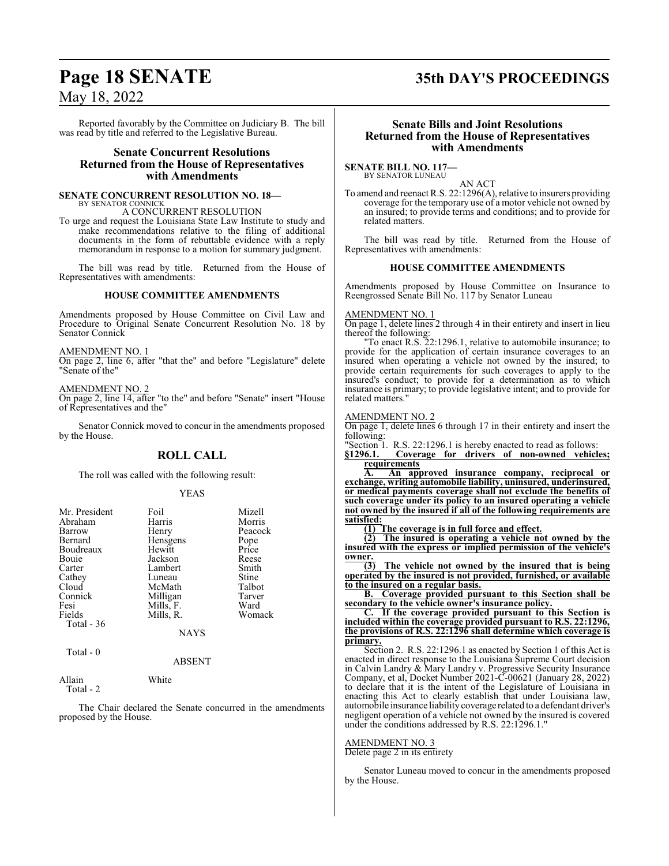## **Page 18 SENATE 35th DAY'S PROCEEDINGS**

### May 18, 2022

Reported favorably by the Committee on Judiciary B. The bill was read by title and referred to the Legislative Bureau.

### **Senate Concurrent Resolutions Returned from the House of Representatives with Amendments**

### **SENATE CONCURRENT RESOLUTION NO. 18—**

BY SENATOR CONNICK A CONCURRENT RESOLUTION

To urge and request the Louisiana State Law Institute to study and make recommendations relative to the filing of additional documents in the form of rebuttable evidence with a reply memorandum in response to a motion for summary judgment.

The bill was read by title. Returned from the House of Representatives with amendments:

### **HOUSE COMMITTEE AMENDMENTS**

Amendments proposed by House Committee on Civil Law and Procedure to Original Senate Concurrent Resolution No. 18 by Senator Connick

### AMENDMENT NO. 1

On page 2, line 6, after "that the" and before "Legislature" delete "Senate of the"

### AMENDMENT NO. 2

On page 2, line 14, after "to the" and before "Senate" insert "House of Representatives and the"

Senator Connick moved to concur in the amendments proposed by the House.

### **ROLL CALL**

The roll was called with the following result:

### YEAS

| Mr. President | Foil      | Mizell  |
|---------------|-----------|---------|
| Abraham       | Harris    | Morris  |
| Barrow        | Henry     | Peacock |
| Bernard       | Hensgens  | Pope    |
| Boudreaux     | Hewitt    | Price   |
| Bouie         | Jackson   | Reese   |
| Carter        | Lambert   | Smith   |
| Cathey        | Luneau    | Stine   |
| Cloud         | McMath    | Talbot  |
| Connick       | Milligan  | Tarver  |
| Fesi          | Mills, F. | Ward    |
| Fields        | Mills, R. | Womack  |
| Total - 36    |           |         |
|               | NAYS      |         |
| Total - 0     |           |         |

### ABSENT

Allain White Total - 2

The Chair declared the Senate concurred in the amendments proposed by the House.

### **Senate Bills and Joint Resolutions Returned from the House of Representatives with Amendments**

**SENATE BILL NO. 117** BY SENATOR LUNEAU

AN ACT

To amend and reenact R.S. 22:1296(A), relative to insurers providing coverage for the temporary use of a motor vehicle not owned by an insured; to provide terms and conditions; and to provide for related matters.

The bill was read by title. Returned from the House of Representatives with amendments:

### **HOUSE COMMITTEE AMENDMENTS**

Amendments proposed by House Committee on Insurance to Reengrossed Senate Bill No. 117 by Senator Luneau

### AMENDMENT NO. 1

On page 1, delete lines 2 through 4 in their entirety and insert in lieu thereof the following:

"To enact R.S. 22:1296.1, relative to automobile insurance; to provide for the application of certain insurance coverages to an insured when operating a vehicle not owned by the insured; to provide certain requirements for such coverages to apply to the insured's conduct; to provide for a determination as to which insurance is primary; to provide legislative intent; and to provide for related matters."

### AMENDMENT NO. 2

On page 1, delete lines 6 through 17 in their entirety and insert the following:

"Section 1. R.S. 22:1296.1 is hereby enacted to read as follows:<br>§1296.1. Coverage for drivers of non-owned vehicle **§1296.1. Coverage for drivers of non-owned vehicles; <u>requirements</u>**<br>**A. An** and

**A. An approved insurance company, reciprocal or exchange, writing automobile liability, uninsured, underinsured, or medical payments coverage shall not exclude the benefits of such coverage under its policy to an insured operating a vehicle not owned by the insured if all of the following requirements are satisfied:**

**(1) The coverage is in full force and effect.**

**(2) The insured is operating a vehicle not owned by the insured with the express or implied permission of the vehicle's owner.** 

**(3) The vehicle not owned by the insured that is being operated by the insured is not provided, furnished, or available to the insured on a regular basis.**

**B. Coverage provided pursuant to this Section shall be secondary to the vehicle owner's insurance policy.**

**C. If the coverage provided pursuant to this Section is included within the coverage provided pursuant to R.S. 22:1296, the provisions of R.S. 22:1296 shall determine which coverage is primary.**

Section 2. R.S. 22:1296.1 as enacted by Section 1 of this Act is enacted in direct response to the Louisiana Supreme Court decision in Calvin Landry & Mary Landry v. Progressive Security Insurance Company, et al, Docket Number 2021-C-00621 (January 28, 2022) to declare that it is the intent of the Legislature of Louisiana in enacting this Act to clearly establish that under Louisiana law, automobile insurance liability coverage related to a defendant driver's negligent operation of a vehicle not owned by the insured is covered under the conditions addressed by R.S. 22:1296.1."

### AMENDMENT NO. 3

Delete page 2 in its entirety

Senator Luneau moved to concur in the amendments proposed by the House.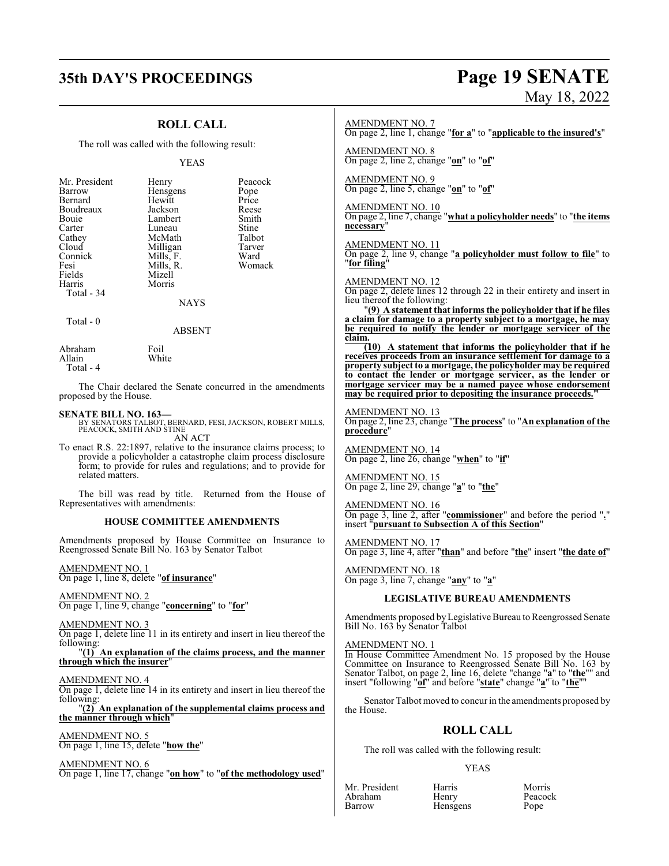# **35th DAY'S PROCEEDINGS Page 19 SENATE**

|  | May 18, 2022 |
|--|--------------|

| <b>ROLL CALL</b>                                                                                                                                                                                                 | <b>AMENDMENT NO. 7</b><br>On page 2, line 1, change "for a" to "applicable to the insured's"                                                                                                                                                                                                                                                       |
|------------------------------------------------------------------------------------------------------------------------------------------------------------------------------------------------------------------|----------------------------------------------------------------------------------------------------------------------------------------------------------------------------------------------------------------------------------------------------------------------------------------------------------------------------------------------------|
| The roll was called with the following result:<br><b>YEAS</b>                                                                                                                                                    | <b>AMENDMENT NO. 8</b><br>On page 2, line 2, change "on" to "of"                                                                                                                                                                                                                                                                                   |
| Mr. President<br>Peacock<br>Henry<br>Barrow<br>Hensgens<br>Pope                                                                                                                                                  | <b>AMENDMENT NO. 9</b><br>On page 2, line 5, change "on" to "of"                                                                                                                                                                                                                                                                                   |
| Hewitt<br>Price<br>Bernard<br>Boudreaux<br>Jackson<br>Reese<br>Smith<br>Bouie<br>Lambert<br>Carter<br>Stine<br>Luneau                                                                                            | <b>AMENDMENT NO. 10</b><br>On page 2, line 7, change "what a policyholder needs" to "the items"<br>necessary"                                                                                                                                                                                                                                      |
| Talbot<br>Cathey<br>McMath<br>Cloud<br>Milligan<br>Tarver<br>Connick<br>Ward<br>Mills, F.<br>Mills, R.<br>Womack<br>Fesi                                                                                         | AMENDMENT NO. 11<br>On page 2, line 9, change "a policyholder must follow to file" to<br>"for filing"                                                                                                                                                                                                                                              |
| Fields<br>Mizell<br>Harris<br>Morris<br>Total - 34                                                                                                                                                               | <b>AMENDMENT NO. 12</b><br>On page 2, delete lines 12 through 22 in their entirety and insert in<br>lieu thereof the following:                                                                                                                                                                                                                    |
| <b>NAYS</b><br>Total - 0<br><b>ABSENT</b>                                                                                                                                                                        | "(9) A statement that informs the policyholder that if he files<br>a claim for damage to a property subject to a mortgage, he may<br>be required to notify the lender or mortgage servicer of the                                                                                                                                                  |
| Abraham<br>Foil<br>Allain<br>White<br>Total - 4<br>The Chair declared the Senate concurred in the amendments                                                                                                     | claim.<br>$\overline{(10)}$ A statement that informs the policyholder that if he<br>receives proceeds from an insurance settlement for damage to a<br>property subject to a mortgage, the policyholder may be required<br>to contact the lender or mortgage servicer, as the lender or<br>mortgage servicer may be a named payee whose endorsement |
| proposed by the House.<br>SENATE BILL NO. 163—<br>BY SENATORS TALBOT, BERNARD, FESI, JACKSON, ROBERT MILLS, PEACOCK, SMITH AND STINE                                                                             | may be required prior to depositing the insurance proceeds."<br>AMENDMENT NO. 13<br>On page 2, line 23, change "The process" to "An explanation of the<br>procedure"                                                                                                                                                                               |
| AN ACT<br>To enact R.S. 22:1897, relative to the insurance claims process; to<br>provide a policyholder a catastrophe claim process disclosure<br>form; to provide for rules and regulations; and to provide for | AMENDMENT NO. 14<br>On page 2, line 26, change "when" to "if"                                                                                                                                                                                                                                                                                      |
| related matters.<br>The bill was read by title. Returned from the House of                                                                                                                                       | AMENDMENT NO. 15<br>On page 2, line 29, change "a" to "the"                                                                                                                                                                                                                                                                                        |
| Representatives with amendments:<br><b>HOUSE COMMITTEE AMENDMENTS</b>                                                                                                                                            | AMENDMENT NO. 16<br>On page 3, line 2, after "commissioner" and before the period "."<br>insert "pursuant to Subsection A of this Section"                                                                                                                                                                                                         |
| Amendments proposed by House Committee on Insurance to<br>Reengrossed Senate Bill No. 163 by Senator Talbot                                                                                                      | <b>AMENDMENT NO. 17</b><br>On page 3, line 4, after "than" and before "the" insert "the date of"                                                                                                                                                                                                                                                   |
| AMENDMENT NO. 1<br>On page 1, line 8, delete "of insurance"                                                                                                                                                      | <b>AMENDMENT NO. 18</b><br>On page 3, line 7, change "any" to "a"                                                                                                                                                                                                                                                                                  |
| AMENDMENT NO. 2<br>On page 1, line 9, change "concerning" to "for"                                                                                                                                               | LEGISLATIVE BUREAU AMENDMENTS                                                                                                                                                                                                                                                                                                                      |
| AMENDMENT NO. 3<br>On page 1, delete line 11 in its entirety and insert in lieu thereof the<br>following:                                                                                                        | Amendments proposed by Legislative Bureau to Reengrossed Senate<br>Bill No. 163 by Senator Talbot                                                                                                                                                                                                                                                  |
| "(1) An explanation of the claims process, and the manner<br>through which the insurer'<br>AMENDMENT NO. 4                                                                                                       | <b>AMENDMENT NO. 1</b><br>In House Committee Amendment No. 15 proposed by the House<br>Committee on Insurance to Reengrossed Senate Bill No. 163 by<br>Senator Talbot, on page 2, line 16, delete "change " <b>a</b> " to "the"" and insert "following " <b>of</b> " and before " <b>state</b> " change " <b>a</b> " to "the""                     |
| On page 1, delete line 14 in its entirety and insert in lieu thereof the<br>following:<br>"(2) An explanation of the supplemental claims process and                                                             | Senator Talbot moved to concur in the amendments proposed by<br>the House.                                                                                                                                                                                                                                                                         |
| the manner through which"                                                                                                                                                                                        | <b>ROLL CALL</b>                                                                                                                                                                                                                                                                                                                                   |
| AMENDMENT NO. 5<br>On page 1, line 15, delete " <u>how the</u> "                                                                                                                                                 | The roll was called with the following result:                                                                                                                                                                                                                                                                                                     |
| <u>AMENDMENT NO. 6</u><br>On page 1, line 17, change "on how" to "of the methodology used"                                                                                                                       | <b>YEAS</b>                                                                                                                                                                                                                                                                                                                                        |

### Abraham Henry Peacock Mr. President Harris Morris Abraham Henry Peacock Barrow Hensgens Pope

Mr. President Harris Morris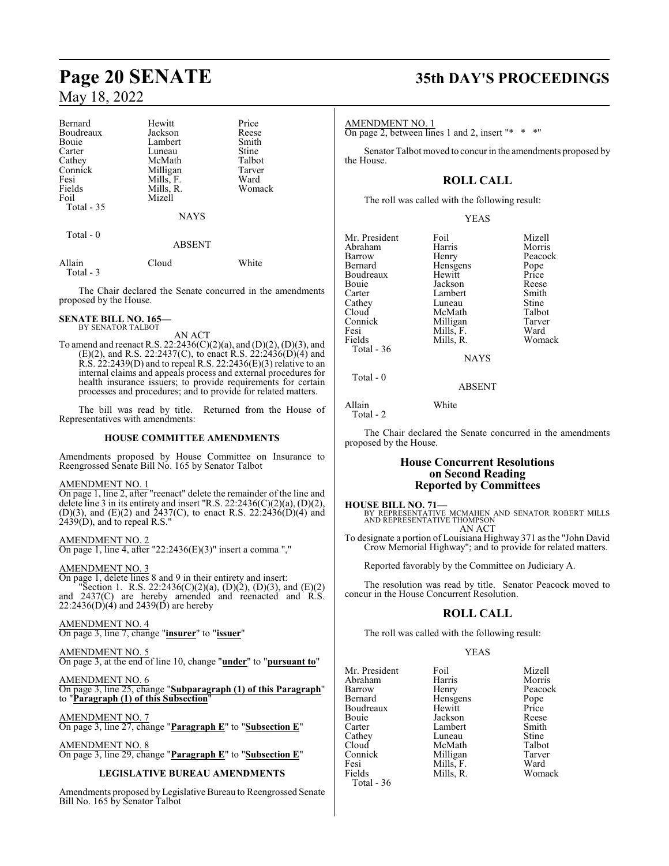### Bernard Hewitt Price<br>Boudreaux Jackson Reese Boudreaux Jackson Reese Bouie Lambert Smith<br>Carter Luneau Stine Carter Luneau Stine<br>
Cathey McMath Talbot Cathey McMath Talbot<br>
Connick Milligan Tarver Connick Milligan Tarver<br>
Fesi Mills, F. Ward Fesi Mills, F. Ward<br>Fields Mills, R. Womack Fields Mills, R.<br>Foil Mizell **Mizell**  Total - 35 NAYS Total - 0 ABSENT Allain Cloud White

The Chair declared the Senate concurred in the amendments proposed by the House.

#### **SENATE BILL NO. 165—** BY SENATOR TALBOT

Total - 3

- 
- AN ACT To amend and reenact R.S. 22:2436(C)(2)(a), and (D)(2), (D)(3), and (E)(2), and R.S. 22:2437(C), to enact R.S. 22:2436(D)(4) and R.S. 22:2439(D) and to repeal R.S. 22:2436(E)(3) relative to an internal claims and appeals process and external procedures for health insurance issuers; to provide requirements for certain processes and procedures; and to provide for related matters.

The bill was read by title. Returned from the House of Representatives with amendments:

### **HOUSE COMMITTEE AMENDMENTS**

Amendments proposed by House Committee on Insurance to Reengrossed Senate Bill No. 165 by Senator Talbot

### AMENDMENT NO. 1

On page 1, line 2, after "reenact" delete the remainder of the line and delete line 3 in its entirety and insert "R.S. 22:2436(C)(2)(a), (D)(2), (D)(3), and (E)(2) and  $2437(C)$ , to enact R.S. 22:2436(D)(4) and  $2439(D)$ , and to repeal R.S."

AMENDMENT NO. 2

On page 1, line 4, after "22:2436(E)(3)" insert a comma ","

### AMENDMENT NO. 3

On page 1, delete lines 8 and 9 in their entirety and insert: "Section 1. R.S. 22:2436(C)(2)(a), (D)(2), (D)(3), and (E)(2) and 2437(C) are hereby amended and reenacted and R.S.  $22:2436(D)(4)$  and  $2439(D)$  are hereby

### AMENDMENT NO. 4

On page 3, line 7, change "**insurer**" to "**issuer**"

### AMENDMENT NO. 5

On page 3, at the end of line 10, change "**under**" to "**pursuant to**"

### AMENDMENT NO. 6

On page 3, line 25, change "**Subparagraph (1) of this Paragraph**" to "**Paragraph (1) of this Subsection**"

AMENDMENT NO. 7

On page 3, line 27, change "**Paragraph E**" to "**Subsection E**"

AMENDMENT NO. 8 On page 3, line 29, change "**Paragraph E**" to "**Subsection E**"

### **LEGISLATIVE BUREAU AMENDMENTS**

Amendments proposed by Legislative Bureau to Reengrossed Senate Bill No. 165 by Senator Talbot

## **Page 20 SENATE 35th DAY'S PROCEEDINGS**

AMENDMENT NO. 1

On page 2, between lines 1 and 2, insert "\* \* \*"

Senator Talbot moved to concur in the amendments proposed by the House.

### **ROLL CALL**

The roll was called with the following result:

YEAS

Mr. President Foil Mizell<br>Abraham Harris Morris Barrow Henry Peacock<br>Bernard Hensgens Pope Hensgens Pope<br>Hewitt Price Boudreaux Hewitt Price Bouie Jackson Reese Carter Lambert Smith<br>Cathey Luneau Stine Cathey Luneau Stine<br>Cloud McMath Talbot Cloud McMath Talbot<br>
Connick Milligan Tarver Connick Milligan Tarve<br>
Fesi Mills F. Ward Fesi Mills, F. Ward<br>Fields Mills, R. Womack

**NAYS** 

Mills, R.

ABSENT

Allain White Total - 2

Total - 36

Total - 0

Abraham Harris<br>Barrow Henry

The Chair declared the Senate concurred in the amendments proposed by the House.

### **House Concurrent Resolutions on Second Reading Reported by Committees**

### **HOUSE BILL NO. 71—**

BY REPRESENTATIVE MCMAHEN AND SENATOR ROBERT MILLS AND REPRESENTATIVE THOMPSON AN ACT

To designate a portion of Louisiana Highway 371 as the "John David Crow Memorial Highway"; and to provide for related matters.

Reported favorably by the Committee on Judiciary A.

The resolution was read by title. Senator Peacock moved to concur in the House Concurrent Resolution.

### **ROLL CALL**

The roll was called with the following result:

Mills, R.

### YEAS

Mr. President Foil Foil Mizell<br>Abraham Harris Morris Abraham Harris<br>Barrow Henry Barrow Henry Peacock<br>Bernard Hensgens Pope Boudreaux Hewitt Price<br>
Bouie Jackson Reese Bouie Jackson Reese Carter Lambert Smith<br>Cathey Luneau Stine Cathey Luneau Stine<br>Cloud McMath Talbot Cloud McMath Talbot<br>Connick Milligan Tarver Connick Milligan Tarve<br>
Fesi Mills, F. Ward Fesi Mills, F. Ward Total - 36

Hensgens Pope<br>Hewitt Price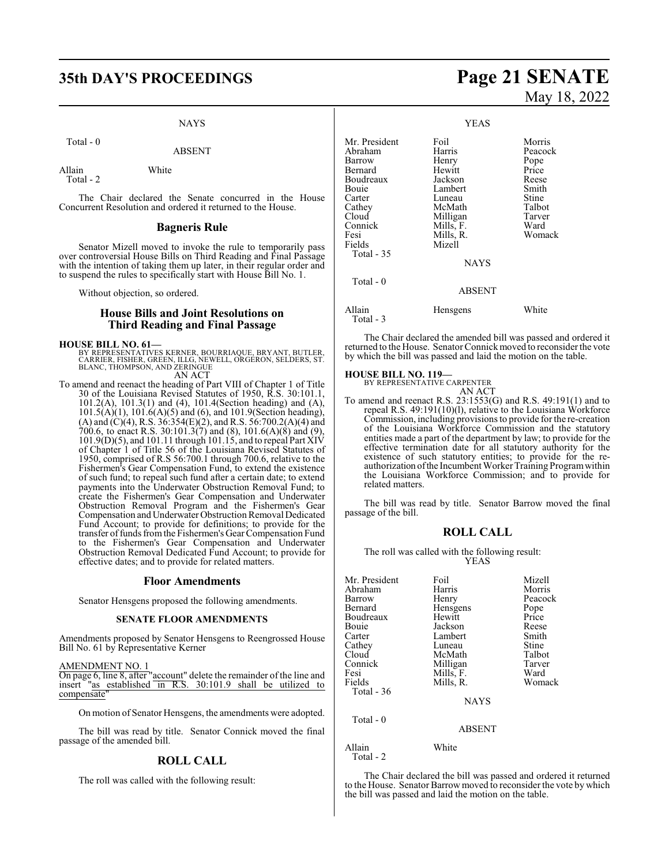## **35th DAY'S PROCEEDINGS Page 21 SENATE**

### NAYS

Total - 0

ABSENT

Allain White Total - 2

The Chair declared the Senate concurred in the House Concurrent Resolution and ordered it returned to the House.

### **Bagneris Rule**

Senator Mizell moved to invoke the rule to temporarily pass over controversial House Bills on Third Reading and Final Passage with the intention of taking them up later, in their regular order and to suspend the rules to specifically start with House Bill No. 1.

Without objection, so ordered.

### **House Bills and Joint Resolutions on Third Reading and Final Passage**

- **HOUSE BILL NO. 61—**<br>BY REPRESENTATIVES KERNER, BOURRIAQUE, BRYANT, BUTLER,<br>CARRIER, FISHER, GREEN, ILLG, NEWELL, ORGERON, SELDERS, ST.<br>BLANC, THOMPSON, AND ZERINGUE
	- AN ACT
- To amend and reenact the heading of Part VIII of Chapter 1 of Title 30 of the Louisiana Revised Statutes of 1950, R.S. 30:101.1, 101.2(A), 101.3(1) and (4), 101.4(Section heading) and (A), 101.5(A)(1), 101.6(A)(5) and (6), and 101.9(Section heading), (A) and (C)(4), R.S. 36:354(E)(2), and R.S. 56:700.2(A)(4) and 700.6, to enact R.S. 30:101.3(7) and (8), 101.6(A)(8) and (9), 101.9(D)(5), and 101.11 through 101.15, and to repeal Part XIV of Chapter 1 of Title 56 of the Louisiana Revised Statutes of 1950, comprised of R.S 56:700.1 through 700.6, relative to the Fishermen's Gear Compensation Fund, to extend the existence of such fund; to repeal such fund after a certain date; to extend payments into the Underwater Obstruction Removal Fund; to create the Fishermen's Gear Compensation and Underwater Obstruction Removal Program and the Fishermen's Gear Compensation and Underwater Obstruction Removal Dedicated Fund Account; to provide for definitions; to provide for the transfer offunds fromthe Fishermen's Gear Compensation Fund to the Fishermen's Gear Compensation and Underwater Obstruction Removal Dedicated Fund Account; to provide for effective dates; and to provide for related matters.

### **Floor Amendments**

Senator Hensgens proposed the following amendments.

### **SENATE FLOOR AMENDMENTS**

Amendments proposed by Senator Hensgens to Reengrossed House Bill No. 61 by Representative Kerner

AMENDMENT NO. 1

On page 6, line 8, after "account" delete the remainder of the line and insert "as established in R.S. 30:101.9 shall be utilized to compensate

On motion of Senator Hensgens, the amendments were adopted.

The bill was read by title. Senator Connick moved the final passage of the amended bill.

### **ROLL CALL**

The roll was called with the following result:

# May 18, 2022

|                                                                                                                                              | <b>YEAS</b>                                                                                                                                |                                                                                                     |
|----------------------------------------------------------------------------------------------------------------------------------------------|--------------------------------------------------------------------------------------------------------------------------------------------|-----------------------------------------------------------------------------------------------------|
| Mr. President<br>Abraham<br>Barrow<br>Bernard<br>Boudreaux<br>Bouie<br>Carter<br>Cathey<br>Cloud<br>Connick<br>Fesi<br>Fields<br>Total $-35$ | Foil<br>Harris<br>Henry<br>Hewitt<br>Jackson<br>Lambert<br>Luneau<br>McMath<br>Milligan<br>Mills, F.<br>Mills, R.<br>Mizell<br><b>NAYS</b> | Morris<br>Peacock<br>Pope<br>Price<br>Reese<br>Smith<br>Stine<br>Talbot<br>Tarver<br>Ward<br>Womack |
| Total - 0                                                                                                                                    | <b>ABSENT</b>                                                                                                                              |                                                                                                     |
| Allain<br>Total - 3                                                                                                                          | <b>Hensgens</b>                                                                                                                            | White                                                                                               |

The Chair declared the amended bill was passed and ordered it returned to the House. Senator Connick moved to reconsider the vote by which the bill was passed and laid the motion on the table.

## **HOUSE BILL NO. 119—** BY REPRESENTATIVE CARPENTER

AN ACT

To amend and reenact R.S. 23:1553(G) and R.S. 49:191(1) and to repeal R.S. 49:191(10)(l), relative to the Louisiana Workforce Commission, including provisions to provide for the re-creation of the Louisiana Workforce Commission and the statutory entities made a part of the department by law; to provide for the effective termination date for all statutory authority for the existence of such statutory entities; to provide for the reauthorization ofthe Incumbent Worker Training Programwithin the Louisiana Workforce Commission; and to provide for related matters.

The bill was read by title. Senator Barrow moved the final passage of the bill.

### **ROLL CALL**

The roll was called with the following result: YEAS

| Mr. President<br>Abraham<br>Barrow<br>Bernard<br>Boudreaux<br>Bouie<br>Carter<br>Cathey<br>Cloud<br>Connick | Foil<br>Harris<br>Henry<br>Hensgens<br>Hewitt<br>Jackson<br>Lambert<br>Luneau<br>McMath<br>Milligan | Mizell<br>Morris<br>Peacock<br>Pope<br>Price<br>Reese<br>Smith<br>Stine<br>Talbot<br>Tarver |
|-------------------------------------------------------------------------------------------------------------|-----------------------------------------------------------------------------------------------------|---------------------------------------------------------------------------------------------|
| Fesi<br>Fields<br>Total - 36<br>Total - 0                                                                   | Mills, F.<br>Mills, R.<br><b>NAYS</b><br><b>ABSENT</b>                                              | Ward<br>Womack                                                                              |
| Allain<br>Total - 2                                                                                         | White                                                                                               |                                                                                             |

The Chair declared the bill was passed and ordered it returned to the House. Senator Barrow moved to reconsider the vote by which the bill was passed and laid the motion on the table.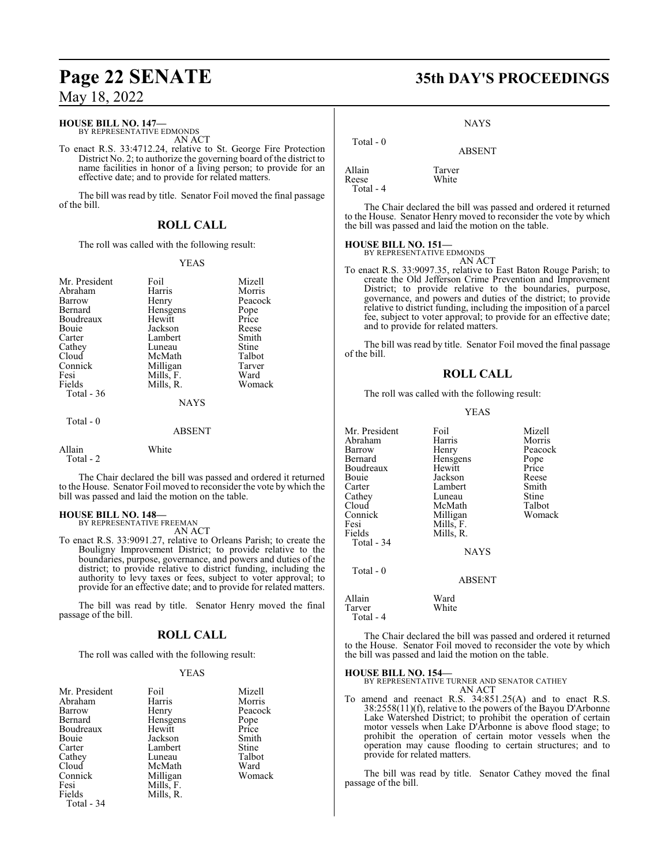### **HOUSE BILL NO. 147—**

BY REPRESENTATIVE EDMONDS AN ACT

To enact R.S. 33:4712.24, relative to St. George Fire Protection District No. 2; to authorize the governing board of the district to name facilities in honor of a living person; to provide for an effective date; and to provide for related matters.

The bill was read by title. Senator Foil moved the final passage of the bill.

### **ROLL CALL**

The roll was called with the following result:

### YEAS

| Mr. President | Foil          | Mizell  |
|---------------|---------------|---------|
| Abraham       | Harris        | Morris  |
| Barrow        | Henry         | Peacock |
| Bernard       | Hensgens      | Pope    |
| Boudreaux     | Hewitt        | Price   |
| Bouie         | Jackson       | Reese   |
| Carter        | Lambert       | Smith   |
| Cathey        | Luneau        | Stine   |
| Cloud         | McMath        | Talbot  |
| Connick       | Milligan      | Tarver  |
| Fesi          | Mills, F.     | Ward    |
| Fields        | Mills, R.     | Womack  |
| Total - 36    |               |         |
|               | <b>NAYS</b>   |         |
| Total $-0$    |               |         |
|               | <b>ABSENT</b> |         |
|               |               |         |

| Allain    | White |
|-----------|-------|
| Total - 2 |       |

The Chair declared the bill was passed and ordered it returned to the House. Senator Foil moved to reconsider the vote by which the bill was passed and laid the motion on the table.

### **HOUSE BILL NO. 148—** BY REPRESENTATIVE FREEMAN

AN ACT

To enact R.S. 33:9091.27, relative to Orleans Parish; to create the Bouligny Improvement District; to provide relative to the boundaries, purpose, governance, and powers and duties of the district; to provide relative to district funding, including the authority to levy taxes or fees, subject to voter approval; to provide for an effective date; and to provide for related matters.

The bill was read by title. Senator Henry moved the final passage of the bill.

### **ROLL CALL**

The roll was called with the following result:

### YEAS

| Mr. President | Foil      | Mizell  |
|---------------|-----------|---------|
| Abraham       | Harris    | Morris  |
| Barrow        | Henry     | Peacock |
| Bernard       | Hensgens  | Pope    |
| Boudreaux     | Hewitt    | Price   |
| Bouie         | Jackson   | Smith   |
| Carter        | Lambert   | Stine   |
| Cathey        | Luneau    | Talbot  |
| Cloud         | McMath    | Ward    |
| Connick       | Milligan  | Womack  |
| Fesi          | Mills, F. |         |
| Fields        | Mills, R. |         |
| $Total - 34$  |           |         |

## **Page 22 SENATE 35th DAY'S PROCEEDINGS**

NAYS

ABSENT

| Total $-0$                   |                 |
|------------------------------|-----------------|
| Allain<br>Reese<br>Total - 4 | Tarver<br>White |

The Chair declared the bill was passed and ordered it returned to the House. Senator Henry moved to reconsider the vote by which the bill was passed and laid the motion on the table.

### **HOUSE BILL NO. 151—** BY REPRESENTATIVE EDMONDS

AN ACT

To enact R.S. 33:9097.35, relative to East Baton Rouge Parish; to create the Old Jefferson Crime Prevention and Improvement District; to provide relative to the boundaries, purpose, governance, and powers and duties of the district; to provide relative to district funding, including the imposition of a parcel fee, subject to voter approval; to provide for an effective date; and to provide for related matters.

The bill was read by title. Senator Foil moved the final passage of the bill.

### **ROLL CALL**

The roll was called with the following result:

### YEAS

| Mr. President     | Foil          | Mizell  |
|-------------------|---------------|---------|
| Abraham           | Harris        | Morris  |
| Barrow            | Henry         | Peacock |
| Bernard           | Hensgens      | Pope    |
| Boudreaux         | Hewitt        | Price   |
| Bouie             | Jackson       | Reese   |
| Carter            | Lambert       | Smith   |
| Cathey            | Luneau        | Stine   |
| Cloud             | McMath        | Talbot  |
| Connick           | Milligan      | Womack  |
| Fesi              | Mills, F.     |         |
| Fields            | Mills, R.     |         |
| <b>Total - 34</b> |               |         |
|                   | <b>NAYS</b>   |         |
| Total - 0         |               |         |
|                   | <b>ABSENT</b> |         |
| Allain            | Ward          |         |
| Tarver            | White         |         |
| Total - 4         |               |         |

The Chair declared the bill was passed and ordered it returned to the House. Senator Foil moved to reconsider the vote by which the bill was passed and laid the motion on the table.

### **HOUSE BILL NO. 154—**

BY REPRESENTATIVE TURNER AND SENATOR CATHEY

- AN ACT
- To amend and reenact R.S. 34:851.25(A) and to enact R.S. 38:2558(11)(f), relative to the powers of the Bayou D'Arbonne Lake Watershed District; to prohibit the operation of certain motor vessels when Lake D'Arbonne is above flood stage; to prohibit the operation of certain motor vessels when the operation may cause flooding to certain structures; and to provide for related matters.

The bill was read by title. Senator Cathey moved the final passage of the bill.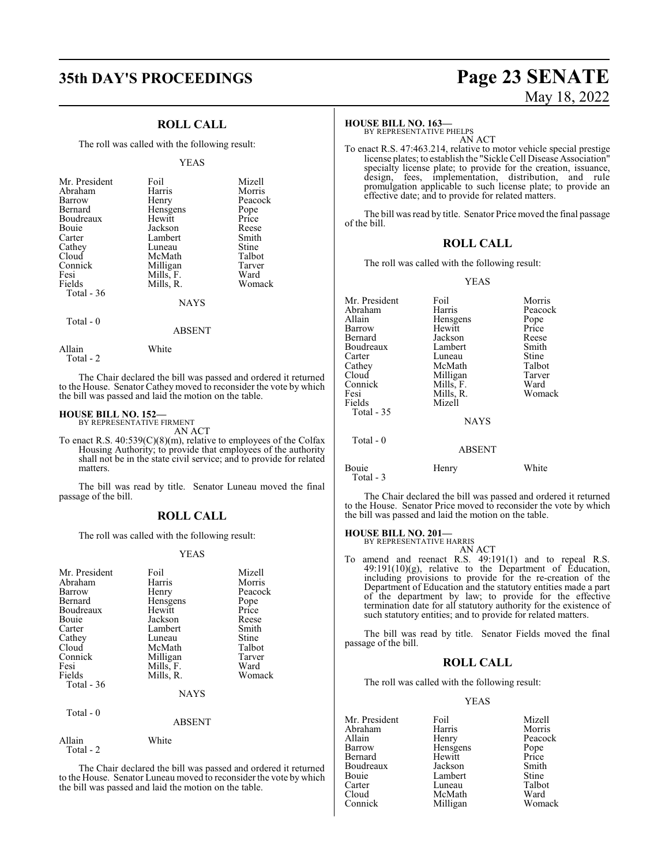### **ROLL CALL**

The roll was called with the following result:

#### YEAS

| Mr. President | Foil      | Mizell  |
|---------------|-----------|---------|
| Abraham       | Harris    | Morris  |
| Barrow        | Henry     | Peacock |
| Bernard       | Hensgens  | Pope    |
| Boudreaux     | Hewitt    | Price   |
| Bouie         | Jackson   | Reese   |
| Carter        | Lambert   | Smith   |
| Cathey        | Luneau    | Stine   |
| Cloud         | McMath    | Talbot  |
| Connick       | Milligan  | Tarver  |
| Fesi          | Mills, F. | Ward    |
| Fields        | Mills, R. | Womack  |
| Total $-36$   |           |         |
|               | NAYS      |         |
| Total - 0     |           |         |

#### ABSENT

Allain White Total - 2

The Chair declared the bill was passed and ordered it returned to the House. Senator Cathey moved to reconsider the vote by which the bill was passed and laid the motion on the table.

#### **HOUSE BILL NO. 152—**

BY REPRESENTATIVE FIRMENT AN ACT

To enact R.S. 40:539(C)(8)(m), relative to employees of the Colfax Housing Authority; to provide that employees of the authority shall not be in the state civil service; and to provide for related matters.

The bill was read by title. Senator Luneau moved the final passage of the bill.

### **ROLL CALL**

The roll was called with the following result:

### YEAS

| Mr. President<br>Abraham<br>Barrow<br>Bernard<br>Boudreaux<br>Bouie<br>Carter<br>Cathey<br>Cloud<br>Connick<br>Fesi<br>Fields<br>Total $-36$ | Foil<br>Harris<br>Henry<br>Hensgens<br>Hewitt<br>Jackson<br>Lambert<br>Luneau<br>McMath<br>Milligan<br>Mills, F.<br>Mills, R.<br><b>NAYS</b> | Mizell<br>Morris<br>Peacock<br>Pope<br>Price<br>Reese<br>Smith<br>Stine<br>Talbot<br>Tarver<br>Ward<br>Womack |
|----------------------------------------------------------------------------------------------------------------------------------------------|----------------------------------------------------------------------------------------------------------------------------------------------|---------------------------------------------------------------------------------------------------------------|
| Total $-0$                                                                                                                                   |                                                                                                                                              |                                                                                                               |
|                                                                                                                                              | ABSENT                                                                                                                                       |                                                                                                               |
| Allain                                                                                                                                       | White                                                                                                                                        |                                                                                                               |

Total - 2

The Chair declared the bill was passed and ordered it returned to the House. Senator Luneau moved to reconsider the vote by which the bill was passed and laid the motion on the table.

## **35th DAY'S PROCEEDINGS Page 23 SENATE** May 18, 2022

### **HOUSE BILL NO. 163—**

BY REPRESENTATIVE PHELPS AN ACT

To enact R.S. 47:463.214, relative to motor vehicle special prestige license plates; to establish the "Sickle Cell Disease Association" specialty license plate; to provide for the creation, issuance, design, fees, implementation, distribution, and rule promulgation applicable to such license plate; to provide an effective date; and to provide for related matters.

The bill was read by title. Senator Price moved the final passage of the bill.

### **ROLL CALL**

The roll was called with the following result:

#### YEAS

| Mr. President<br>Abraham<br>Allain<br>Barrow<br>Bernard<br>Boudreaux<br>Carter<br>Cathey<br>Cloud<br>Connick<br>Fesi<br>Fields<br>Total - 35 | Foil<br>Harris<br>Hensgens<br>Hewitt<br>Jackson<br>Lambert<br>Luneau<br>McMath<br>Milligan<br>Mills, F.<br>Mills, R.<br>Mizell | Morris<br>Peacock<br>Pope<br>Price<br>Reese<br>Smith<br>Stine<br>Talbot<br>Tarver<br>Ward<br>Womack |
|----------------------------------------------------------------------------------------------------------------------------------------------|--------------------------------------------------------------------------------------------------------------------------------|-----------------------------------------------------------------------------------------------------|
|                                                                                                                                              | <b>NAYS</b>                                                                                                                    |                                                                                                     |
| Total - 0                                                                                                                                    | <b>ABSENT</b>                                                                                                                  |                                                                                                     |
| Bouie<br>Total - 3                                                                                                                           | Henry                                                                                                                          | White                                                                                               |

The Chair declared the bill was passed and ordered it returned to the House. Senator Price moved to reconsider the vote by which the bill was passed and laid the motion on the table.

### **HOUSE BILL NO. 201—**

BY REPRESENTATIVE HARRIS AN ACT

To amend and reenact R.S. 49:191(1) and to repeal R.S.  $49:191(10)(g)$ , relative to the Department of Education, including provisions to provide for the re-creation of the Department of Education and the statutory entities made a part of the department by law; to provide for the effective termination date for all statutory authority for the existence of such statutory entities; and to provide for related matters.

The bill was read by title. Senator Fields moved the final passage of the bill.

### **ROLL CALL**

The roll was called with the following result:

### YEAS

| Mr. President | Foil     | Mizell  |
|---------------|----------|---------|
| Abraham       | Harris   | Morris  |
| Allain        | Henry    | Peacock |
| Barrow        | Hensgens | Pope    |
| Bernard       | Hewitt   | Price   |
| Boudreaux     | Jackson  | Smith   |
| Bouie         | Lambert  | Stine   |
| Carter        | Luneau   | Talbot  |
| Cloud         | McMath   | Ward    |
| Connick       | Milligan | Womack  |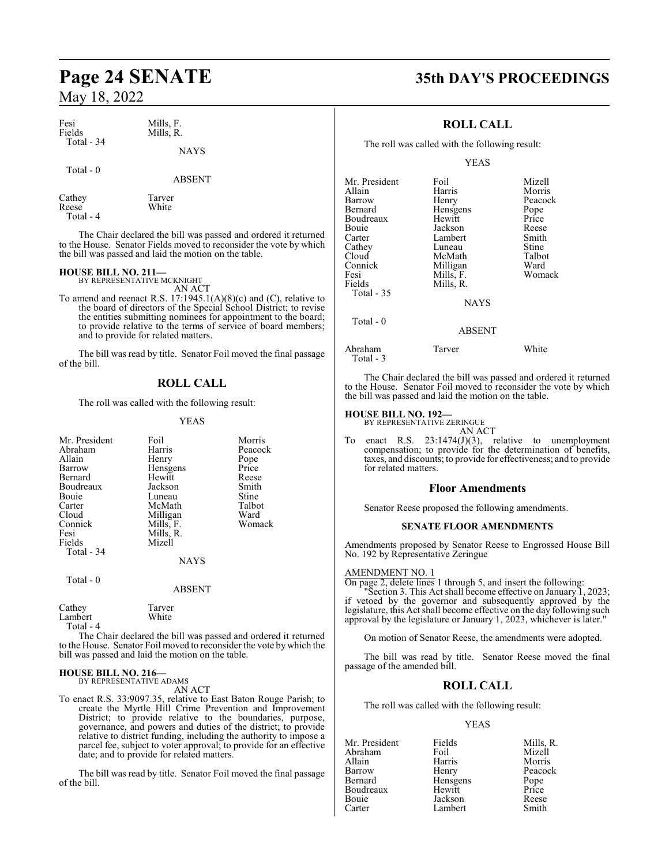| Fesi       | Mills, F.   |
|------------|-------------|
| Fields     | Mills, R.   |
| Total - 34 |             |
|            | <b>NAYS</b> |

Total - 0

ABSENT

| Cathey    | Tarver |
|-----------|--------|
| Reese     | White  |
| Total - 4 |        |

The Chair declared the bill was passed and ordered it returned to the House. Senator Fields moved to reconsider the vote by which the bill was passed and laid the motion on the table.

## **HOUSE BILL NO. 211—** BY REPRESENTATIVE MCKNIGHT

AN ACT

To amend and reenact R.S. 17:1945.1(A)(8)(c) and (C), relative to the board of directors of the Special School District; to revise the entities submitting nominees for appointment to the board; to provide relative to the terms of service of board members; and to provide for related matters.

The bill was read by title. Senator Foil moved the final passage of the bill.

### **ROLL CALL**

The roll was called with the following result:

### YEAS

| Mr. President<br>Abraham<br>Allain<br>Barrow<br>Bernard<br>Boudreaux<br>Bouie<br>Carter<br>Cloud<br>Connick<br>Fesi<br>Fields<br>Total - 34 | Foil<br>Harris<br>Henry<br>Hensgens<br>Hewitt<br>Jackson<br>Luneau<br>McMath<br>Milligan<br>Mills, F.<br>Mills, R.<br>Mizell | Morris<br>Peacock<br>Pope<br>Price<br>Reese<br>Smith<br>Stine<br>Talbot<br>Ward<br>Womack |
|---------------------------------------------------------------------------------------------------------------------------------------------|------------------------------------------------------------------------------------------------------------------------------|-------------------------------------------------------------------------------------------|
|                                                                                                                                             | <b>NAYS</b>                                                                                                                  |                                                                                           |
| Total - 0                                                                                                                                   | <b>ABSENT</b>                                                                                                                |                                                                                           |

| Cathey         | Tarver                                                  |  |
|----------------|---------------------------------------------------------|--|
| Lambert        | White                                                   |  |
| Total - 4      |                                                         |  |
| T <sub>1</sub> | $\sim$ 1 $\sim$ 1 $\sim$ 1 $\sim$ 1 $\sim$ 1 $\sim$ 111 |  |

The Chair declared the bill was passed and ordered it returned to the House. Senator Foil moved to reconsider the vote by which the bill was passed and laid the motion on the table.

#### **HOUSE BILL NO. 216—** BY REPRESENTATIVE ADAMS

AN ACT

To enact R.S. 33:9097.35, relative to East Baton Rouge Parish; to create the Myrtle Hill Crime Prevention and Improvement District; to provide relative to the boundaries, purpose, governance, and powers and duties of the district; to provide relative to district funding, including the authority to impose a parcel fee, subject to voter approval; to provide for an effective date; and to provide for related matters.

The bill was read by title. Senator Foil moved the final passage of the bill.

## **Page 24 SENATE 35th DAY'S PROCEEDINGS**

### **ROLL CALL**

The roll was called with the following result:

YEAS

| Mr. President<br>Allain<br>Barrow<br>Bernard<br>Boudreaux<br>Bouie<br>Carter<br>Cathey<br>Cloud<br>Connick<br>Fesi<br>Fields<br>Total $-35$ | Foil<br>Harris<br>Henry<br>Hensgens<br>Hewitt<br>Jackson<br>Lambert<br>Luneau<br>McMath<br>Milligan<br>Mills, F.<br>Mills, R.<br><b>NAYS</b> | Mizell<br>Morris<br>Peacock<br>Pope<br>Price<br>Reese<br>Smith<br><b>Stine</b><br>Talbot<br>Ward<br>Womack |
|---------------------------------------------------------------------------------------------------------------------------------------------|----------------------------------------------------------------------------------------------------------------------------------------------|------------------------------------------------------------------------------------------------------------|
| Total $-0$                                                                                                                                  | <b>ABSENT</b>                                                                                                                                |                                                                                                            |

Abraham Tarver White Total - 3

The Chair declared the bill was passed and ordered it returned to the House. Senator Foil moved to reconsider the vote by which the bill was passed and laid the motion on the table.

### **HOUSE BILL NO. 192—**

BY REPRESENTATIVE ZERINGUE AN ACT

To enact R.S. 23:1474(J)(3), relative to unemployment compensation; to provide for the determination of benefits, taxes, and discounts; to provide for effectiveness; and to provide for related matters.

### **Floor Amendments**

Senator Reese proposed the following amendments.

### **SENATE FLOOR AMENDMENTS**

Amendments proposed by Senator Reese to Engrossed House Bill No. 192 by Representative Zeringue

### AMENDMENT NO. 1

On page 2, delete lines 1 through 5, and insert the following: "Section 3. This Act shall become effective on January 1, 2023; if vetoed by the governor and subsequently approved by the legislature, this Act shall become effective on the day following such approval by the legislature or January 1, 2023, whichever is later."

On motion of Senator Reese, the amendments were adopted.

The bill was read by title. Senator Reese moved the final passage of the amended bill.

### **ROLL CALL**

The roll was called with the following result:

Lambert

### YEAS

Abraham Foil<br>Allain Harris Allain Harris Morris Barrow Henry Peacock<br>Bernard Hensgens Pope Boudreaux Hewitt Price<br>Bouie Jackson Reese Bouie Jackson Reese

Mr. President Fields Mills, R.<br>Abraham Foil Mizell Hensgens Pope<br>Hewitt Price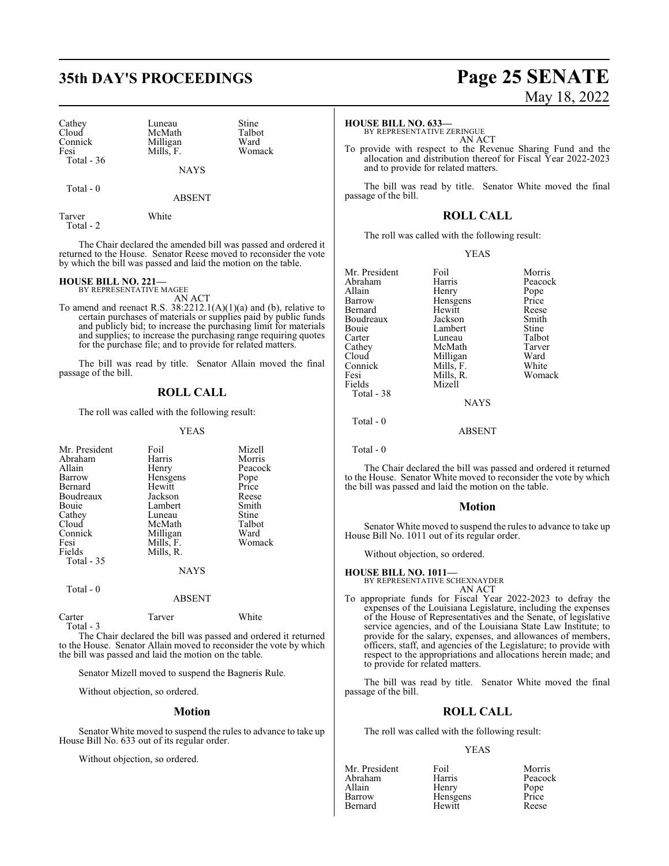Cathey Luneau Stine<br>Cloud McMath Talbot Cloud McMath Talbot<br>Connick Milligan Ward Fesi Mills, F. Total - 36

Milligan Ward<br>
Mills F Womack

NAYS

ABSENT

Tarver White Total - 2

Total - 0

The Chair declared the amended bill was passed and ordered it returned to the House. Senator Reese moved to reconsider the vote by which the bill was passed and laid the motion on the table.

### **HOUSE BILL NO. 221—** BY REPRESENTATIVE MAGEE

AN ACT

To amend and reenact R.S.  $38:2212.1(A)(1)(a)$  and (b), relative to certain purchases of materials or supplies paid by public funds and publicly bid; to increase the purchasing limit for materials and supplies; to increase the purchasing range requiring quotes for the purchase file; and to provide for related matters.

The bill was read by title. Senator Allain moved the final passage of the bill.

### **ROLL CALL**

The roll was called with the following result:

### YEAS

| Mr. President | Foil        | Mizell  |
|---------------|-------------|---------|
| Abraham       | Harris      | Morris  |
| Allain        | Henry       | Peacock |
| Barrow        | Hensgens    | Pope    |
| Bernard       | Hewitt      | Price   |
| Boudreaux     | Jackson     | Reese   |
| Bouie         | Lambert     | Smith   |
| Cathey        | Luneau      | Stine   |
| Cloud         | McMath      | Talbot  |
| Connick       | Milligan    | Ward    |
| Fesi          | Mills, F.   | Womack  |
| Fields        | Mills, R.   |         |
| Total - 35    |             |         |
|               | <b>NAYS</b> |         |

Total - 0

### ABSENT

| Carter    | Tarver | White |
|-----------|--------|-------|
| Total - 3 |        |       |

The Chair declared the bill was passed and ordered it returned to the House. Senator Allain moved to reconsider the vote by which the bill was passed and laid the motion on the table.

Senator Mizell moved to suspend the Bagneris Rule.

Without objection, so ordered.

### **Motion**

Senator White moved to suspend the rules to advance to take up House Bill No. 633 out of its regular order.

Without objection, so ordered.

## **35th DAY'S PROCEEDINGS Page 25 SENATE** May 18, 2022

### **HOUSE BILL NO. 633—**

BY REPRESENTATIVE ZERINGUE AN ACT

To provide with respect to the Revenue Sharing Fund and the allocation and distribution thereof for Fiscal Year 2022-2023 and to provide for related matters.

The bill was read by title. Senator White moved the final passage of the bill.

### **ROLL CALL**

The roll was called with the following result:

YEAS

| Mr. President | Foil        | Morris  |
|---------------|-------------|---------|
| Abraham       | Harris      | Peacock |
| Allain        |             |         |
|               | Henry       | Pope    |
| Barrow        | Hensgens    | Price   |
| Bernard       | Hewitt      | Reese   |
| Boudreaux     | Jackson     | Smith   |
| Bouie         | Lambert     | Stine   |
| Carter        | Luneau      | Talbot  |
| Cathey        | McMath      | Tarver  |
| Cloud         | Milligan    | Ward    |
| Connick       | Mills, F.   | White   |
| Fesi          | Mills, R.   | Womack  |
| Fields        | Mizell      |         |
| Total - 38    |             |         |
|               | <b>NAYS</b> |         |
|               |             |         |

Total - 0

Total - 0

The Chair declared the bill was passed and ordered it returned to the House. Senator White moved to reconsider the vote by which the bill was passed and laid the motion on the table.

ABSENT

### **Motion**

Senator White moved to suspend the rules to advance to take up House Bill No. 1011 out of its regular order.

Without objection, so ordered.

### **HOUSE BILL NO. 1011—**

BY REPRESENTATIVE SCHEXNAYDER AN ACT

To appropriate funds for Fiscal Year 2022-2023 to defray the expenses of the Louisiana Legislature, including the expenses of the House of Representatives and the Senate, of legislative service agencies, and of the Louisiana State Law Institute; to provide for the salary, expenses, and allowances of members, officers, staff, and agencies of the Legislature; to provide with respect to the appropriations and allocations herein made; and to provide for related matters.

The bill was read by title. Senator White moved the final passage of the bill.

### **ROLL CALL**

The roll was called with the following result:

### YEAS

|          | Morris  |
|----------|---------|
| Harris   | Peacock |
| Henry    | Pope    |
| Hensgens | Price   |
| Hewitt   | Reese   |
|          | Foil    |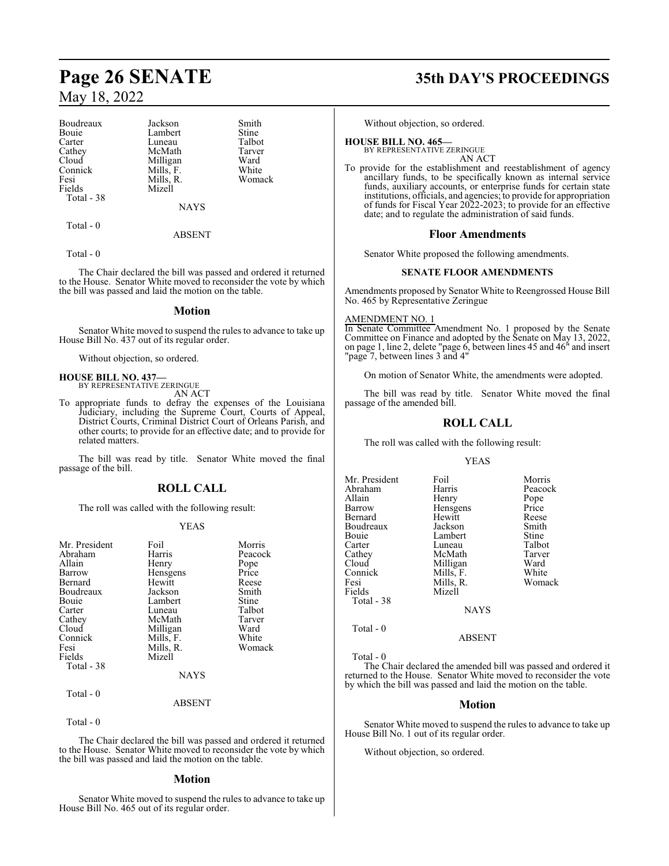| Boudreaux  | Jackson     | Smith  |
|------------|-------------|--------|
| Bouie      | Lambert     | Stine  |
| Carter     | Luneau      | Talbot |
| Cathey     | McMath      | Tarver |
| Cloud      | Milligan    | Ward   |
| Connick    | Mills, F.   | White  |
| Fesi       | Mills, R.   | Womack |
| Fields     | Mizell      |        |
| Total - 38 |             |        |
|            | <b>NAYS</b> |        |
| Total $-0$ |             |        |
|            | ABSENT      |        |

Total - 0

The Chair declared the bill was passed and ordered it returned to the House. Senator White moved to reconsider the vote by which the bill was passed and laid the motion on the table.

### **Motion**

Senator White moved to suspend the rules to advance to take up House Bill No. 437 out of its regular order.

Without objection, so ordered.

**HOUSE BILL NO. 437—** BY REPRESENTATIVE ZERINGUE

AN ACT

To appropriate funds to defray the expenses of the Louisiana Judiciary, including the Supreme Court, Courts of Appeal, District Courts, Criminal District Court of Orleans Parish, and other courts; to provide for an effective date; and to provide for related matters.

The bill was read by title. Senator White moved the final passage of the bill.

### **ROLL CALL**

The roll was called with the following result:

### YEAS

| Mr. President<br>Abraham<br>Allain<br>Barrow<br>Bernard<br>Boudreaux<br><b>Bouje</b><br>Carter<br>Cathey<br>Cloud | Foil<br>Harris<br>Henry<br>Hensgens<br>Hewitt<br>Jackson<br>Lambert<br>Luneau<br>McMath<br>Milligan | Morris<br>Peacock<br>Pope<br>Price<br>Reese<br>Smith<br>Stine<br>Talbot<br>Tarver<br>Ward |
|-------------------------------------------------------------------------------------------------------------------|-----------------------------------------------------------------------------------------------------|-------------------------------------------------------------------------------------------|
|                                                                                                                   |                                                                                                     |                                                                                           |
| Connick                                                                                                           |                                                                                                     | White                                                                                     |
| Fesi                                                                                                              | Mills, F.<br>Mills, R.                                                                              | Womack                                                                                    |
| Fields<br>Total - 38                                                                                              | Mizell                                                                                              |                                                                                           |
|                                                                                                                   | NAYS                                                                                                |                                                                                           |

Total - 0

Total - 0

The Chair declared the bill was passed and ordered it returned to the House. Senator White moved to reconsider the vote by which the bill was passed and laid the motion on the table.

ABSENT

### **Motion**

Senator White moved to suspend the rules to advance to take up House Bill No. 465 out of its regular order.

## **Page 26 SENATE 35th DAY'S PROCEEDINGS**

Without objection, so ordered.

### **HOUSE BILL NO. 465—**

BY REPRESENTATIVE ZERINGUE AN ACT

To provide for the establishment and reestablishment of agency ancillary funds, to be specifically known as internal service funds, auxiliary accounts, or enterprise funds for certain state institutions, officials, and agencies; to provide for appropriation of funds for Fiscal Year 2022-2023; to provide for an effective date; and to regulate the administration of said funds.

### **Floor Amendments**

Senator White proposed the following amendments.

### **SENATE FLOOR AMENDMENTS**

Amendments proposed by Senator White to Reengrossed House Bill No. 465 by Representative Zeringue

### AMENDMENT NO. 1

In Senate Committee Amendment No. 1 proposed by the Senate Committee on Finance and adopted by the Senate on May 13, 2022, on page 1, line 2, delete "page 6, between lines 45 and 46" and insert "page 7, between lines 3 and 4"

On motion of Senator White, the amendments were adopted.

The bill was read by title. Senator White moved the final passage of the amended bill.

### **ROLL CALL**

The roll was called with the following result:

### YEAS

| Mr. President | Foil      | Morris  |
|---------------|-----------|---------|
| Abraham       | Harris    | Peacock |
| Allain        |           |         |
|               | Henry     | Pope    |
| Barrow        | Hensgens  | Price   |
| Bernard       | Hewitt    | Reese   |
| Boudreaux     | Jackson   | Smith   |
| Bouie         | Lambert   | Stine   |
| Carter        | Luneau    | Talbot  |
| Cathey        | McMath    | Tarver  |
| Cloud         | Milligan  | Ward    |
| Connick       | Mills, F. | White   |
| Fesi          | Mills, R. | Womack  |
| Fields        | Mizell    |         |
| Total - 38    |           |         |
|               | NAYS      |         |

NAYS

### ABSENT

Total - 0

Total - 0

The Chair declared the amended bill was passed and ordered it returned to the House. Senator White moved to reconsider the vote by which the bill was passed and laid the motion on the table.

### **Motion**

Senator White moved to suspend the rules to advance to take up House Bill No. 1 out of its regular order.

Without objection, so ordered.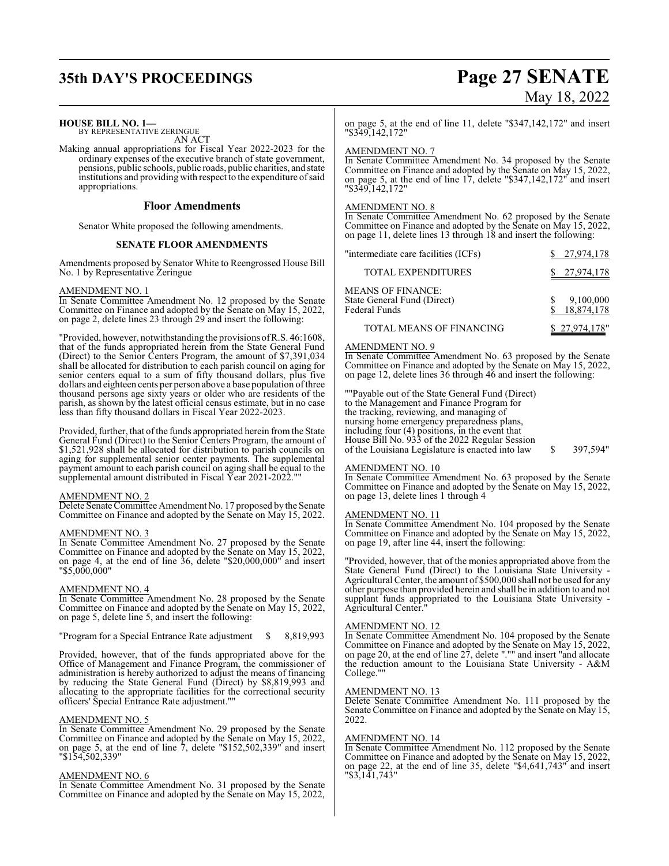## **35th DAY'S PROCEEDINGS Page 27 SENATE**

### **HOUSE BILL NO. 1—**

BY REPRESENTATIVE ZERINGUE AN ACT

Making annual appropriations for Fiscal Year 2022-2023 for the ordinary expenses of the executive branch of state government, pensions, public schools, public roads, public charities, and state institutions and providing with respect to the expenditure ofsaid appropriations.

### **Floor Amendments**

Senator White proposed the following amendments.

### **SENATE FLOOR AMENDMENTS**

Amendments proposed by Senator White to Reengrossed House Bill No. 1 by Representative Zeringue

### AMENDMENT NO. 1

In Senate Committee Amendment No. 12 proposed by the Senate Committee on Finance and adopted by the Senate on May 15, 2022, on page 2, delete lines 23 through 29 and insert the following:

"Provided, however, notwithstanding the provisions ofR.S. 46:1608, that of the funds appropriated herein from the State General Fund (Direct) to the Senior Centers Program, the amount of \$7,391,034 shall be allocated for distribution to each parish council on aging for senior centers equal to a sum of fifty thousand dollars, plus five dollars and eighteen cents per person above a base population ofthree thousand persons age sixty years or older who are residents of the parish, as shown by the latest official census estimate, but in no case less than fifty thousand dollars in Fiscal Year 2022-2023.

Provided, further, that of the funds appropriated herein from the State General Fund (Direct) to the Senior Centers Program, the amount of \$1,521,928 shall be allocated for distribution to parish councils on aging for supplemental senior center payments. The supplemental payment amount to each parish council on aging shall be equal to the supplemental amount distributed in Fiscal Year 2021-2022.""

### AMENDMENT NO. 2

Delete Senate Committee Amendment No. 17 proposed by the Senate Committee on Finance and adopted by the Senate on May 15, 2022.

### AMENDMENT NO. 3

In Senate Committee Amendment No. 27 proposed by the Senate Committee on Finance and adopted by the Senate on May 15, 2022, on page 4, at the end of line 36, delete "\$20,000,000" and insert "\$5,000,000"

### AMENDMENT NO. 4

In Senate Committee Amendment No. 28 proposed by the Senate Committee on Finance and adopted by the Senate on May 15, 2022, on page 5, delete line 5, and insert the following:

"Program for a Special Entrance Rate adjustment \$ 8,819,993

Provided, however, that of the funds appropriated above for the Office of Management and Finance Program, the commissioner of administration is hereby authorized to adjust the means of financing by reducing the State General Fund (Direct) by \$8,819,993 and allocating to the appropriate facilities for the correctional security officers' Special Entrance Rate adjustment.""

### AMENDMENT NO. 5

In Senate Committee Amendment No. 29 proposed by the Senate Committee on Finance and adopted by the Senate on May 15, 2022, on page 5, at the end of line 7, delete "\$152,502,339" and insert "\$154,502,339"

### AMENDMENT NO. 6

In Senate Committee Amendment No. 31 proposed by the Senate Committee on Finance and adopted by the Senate on May 15, 2022,

# May 18, 2022

on page 5, at the end of line 11, delete "\$347,142,172" and insert "\$349,142,172"

### AMENDMENT NO. 7

In Senate Committee Amendment No. 34 proposed by the Senate Committee on Finance and adopted by the Senate on May 15, 2022, on page 5, at the end of line 17, delete "\$347,142,172" and insert "\$349,142,172"

### AMENDMENT NO. 8

In Senate Committee Amendment No. 62 proposed by the Senate Committee on Finance and adopted by the Senate on May 15, 2022, on page 11, delete lines 13 through 18 and insert the following:

| "intermediate care facilities (ICFs)                                     | 27,974,178              |
|--------------------------------------------------------------------------|-------------------------|
| <b>TOTAL EXPENDITURES</b>                                                | \$27,974,178            |
| <b>MEANS OF FINANCE:</b><br>State General Fund (Direct)<br>Federal Funds | 9,100,000<br>18,874,178 |
| TOTAL MEANS OF FINANCING                                                 | \$27,974,178"           |

### AMENDMENT NO. 9

In Senate Committee Amendment No. 63 proposed by the Senate Committee on Finance and adopted by the Senate on May 15, 2022, on page 12, delete lines 36 through 46 and insert the following:

""Payable out of the State General Fund (Direct) to the Management and Finance Program for the tracking, reviewing, and managing of nursing home emergency preparedness plans, including four (4) positions, in the event that House Bill No. 933 of the 2022 Regular Session of the Louisiana Legislature is enacted into law \$ 397,594"

### AMENDMENT NO. 10

In Senate Committee Amendment No. 63 proposed by the Senate Committee on Finance and adopted by the Senate on May 15, 2022, on page 13, delete lines 1 through 4

### AMENDMENT NO. 11

In Senate Committee Amendment No. 104 proposed by the Senate Committee on Finance and adopted by the Senate on May 15, 2022, on page 19, after line 44, insert the following:

"Provided, however, that of the monies appropriated above from the State General Fund (Direct) to the Louisiana State University - Agricultural Center, the amount of \$500,000 shall not be used for any other purpose than provided herein and shall be in addition to and not supplant funds appropriated to the Louisiana State University - Agricultural Center."

### AMENDMENT NO. 12

In Senate Committee Amendment No. 104 proposed by the Senate Committee on Finance and adopted by the Senate on May 15, 2022, on page 20, at the end of line 27, delete "."" and insert "and allocate the reduction amount to the Louisiana State University - A&M College.""

### MENDMENT NO. 13

Delete Senate Committee Amendment No. 111 proposed by the Senate Committee on Finance and adopted by the Senate on May 15, 2022.

### AMENDMENT NO. 14

In Senate Committee Amendment No. 112 proposed by the Senate Committee on Finance and adopted by the Senate on May 15, 2022, on page 22, at the end of line 35, delete "\$4,641,743" and insert "\$3,141,743"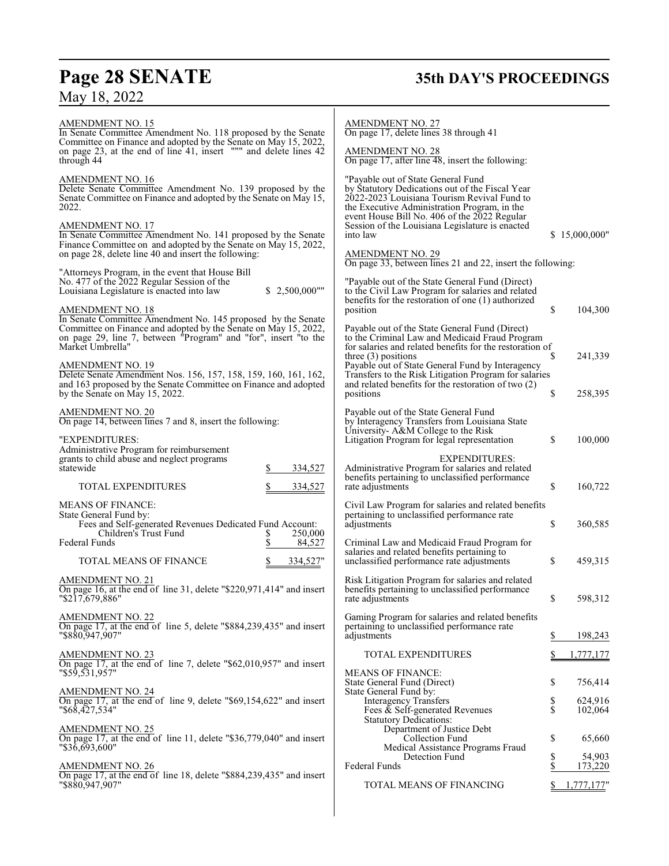# **Page 28 SENATE**<br>May 18, 2022

## **Page 28 SENATE 35th DAY'S PROCEEDINGS**

| AMENDMENT NO. 15<br>In Senate Committee Amendment No. 118 proposed by the Senate                                                                                                                                                                                                                                                                                                                                                            | <b>AMENDMENT NO. 27</b><br>On page 17, delete lines 38 through 41                                                                                                                                                                                                                                                                                                                                             |
|---------------------------------------------------------------------------------------------------------------------------------------------------------------------------------------------------------------------------------------------------------------------------------------------------------------------------------------------------------------------------------------------------------------------------------------------|---------------------------------------------------------------------------------------------------------------------------------------------------------------------------------------------------------------------------------------------------------------------------------------------------------------------------------------------------------------------------------------------------------------|
| Committee on Finance and adopted by the Senate on May 15, 2022,<br>on page 23, at the end of line 41, insert """ and delete lines 42<br>through 44                                                                                                                                                                                                                                                                                          | <b>AMENDMENT NO. 28</b><br>On page 17, after line 48, insert the following:                                                                                                                                                                                                                                                                                                                                   |
| <b>AMENDMENT NO. 16</b><br>Delete Senate Committee Amendment No. 139 proposed by the<br>Senate Committee on Finance and adopted by the Senate on May 15,<br>2022.<br><u>AMENDMENT NO. 17</u><br>In Senate Committee Amendment No. 141 proposed by the Senate<br>Finance Committee on and adopted by the Senate on May 15, 2022,<br>on page 28, delete line 40 and insert the following:<br>"Attorneys Program, in the event that House Bill | "Payable out of State General Fund<br>by Statutory Dedications out of the Fiscal Year<br>2022-2023 Louisiana Tourism Revival Fund to<br>the Executive Administration Program, in the<br>event House Bill No. 406 of the 2022 Regular<br>Session of the Louisiana Legislature is enacted<br>\$15,000,000"<br>into law<br><b>AMENDMENT NO. 29</b><br>On page 33, between lines 21 and 22, insert the following: |
| No. 477 of the 2022 Regular Session of the<br>$$2,500,000$ ""<br>Louisiana Legislature is enacted into law                                                                                                                                                                                                                                                                                                                                  | "Payable out of the State General Fund (Direct)<br>to the Civil Law Program for salaries and related<br>benefits for the restoration of one (1) authorized                                                                                                                                                                                                                                                    |
| AMENDMENT NO. 18<br>In Senate Committee Amendment No. 145 proposed by the Senate<br>Committee on Finance and adopted by the Senate on May 15, 2022,<br>on page 29, line 7, between "Program" and "for", insert "to the<br>Market Umbrella"                                                                                                                                                                                                  | \$<br>104,300<br>position<br>Payable out of the State General Fund (Direct)<br>to the Criminal Law and Medicaid Fraud Program<br>for salaries and related benefits for the restoration of                                                                                                                                                                                                                     |
| <b>AMENDMENT NO. 19</b><br>Delete Senate Amendment Nos. 156, 157, 158, 159, 160, 161, 162,<br>and 163 proposed by the Senate Committee on Finance and adopted<br>by the Senate on May 15, 2022.                                                                                                                                                                                                                                             | 241,339<br>three $(3)$ positions<br>S<br>Payable out of State General Fund by Interagency<br>Transfers to the Risk Litigation Program for salaries<br>and related benefits for the restoration of two (2)<br>\$<br>258,395<br>positions                                                                                                                                                                       |
| AMENDMENT NO. 20<br>On page 14, between lines 7 and 8, insert the following:                                                                                                                                                                                                                                                                                                                                                                | Payable out of the State General Fund<br>by Interagency Transfers from Louisiana State<br>University-A&M College to the Risk                                                                                                                                                                                                                                                                                  |
| "EXPENDITURES:<br>Administrative Program for reimbursement<br>grants to child abuse and neglect programs<br>statewide<br>\$<br>334,527                                                                                                                                                                                                                                                                                                      | \$<br>100,000<br>Litigation Program for legal representation<br><b>EXPENDITURES:</b><br>Administrative Program for salaries and related                                                                                                                                                                                                                                                                       |
| TOTAL EXPENDITURES<br>\$<br><u>334,527</u>                                                                                                                                                                                                                                                                                                                                                                                                  | benefits pertaining to unclassified performance<br>\$<br>160,722<br>rate adjustments                                                                                                                                                                                                                                                                                                                          |
| <b>MEANS OF FINANCE:</b><br>State General Fund by:<br>Fees and Self-generated Revenues Dedicated Fund Account:<br>Children's Trust Fund<br>250,000<br>S                                                                                                                                                                                                                                                                                     | Civil Law Program for salaries and related benefits<br>pertaining to unclassified performance rate<br>\$<br>360,585<br>adjustments                                                                                                                                                                                                                                                                            |
| Federal Funds<br>\$<br>84,527<br>TOTAL MEANS OF FINANCE<br>334,527"                                                                                                                                                                                                                                                                                                                                                                         | Criminal Law and Medicaid Fraud Program for<br>salaries and related benefits pertaining to<br>\$<br>459,315<br>unclassified performance rate adjustments                                                                                                                                                                                                                                                      |
| <b>AMENDMENT NO. 21</b><br>On page 16, at the end of line 31, delete "\$220,971,414" and insert<br>"\$217,679,886"                                                                                                                                                                                                                                                                                                                          | Risk Litigation Program for salaries and related<br>benefits pertaining to unclassified performance<br>598,312<br>\$<br>rate adjustments                                                                                                                                                                                                                                                                      |
| <b>AMENDMENT NO. 22</b><br>On page 17, at the end of line 5, delete "\$884,239,435" and insert<br>"\$880,947,907"                                                                                                                                                                                                                                                                                                                           | Gaming Program for salaries and related benefits<br>pertaining to unclassified performance rate<br>198,243<br>adjustments<br>\$                                                                                                                                                                                                                                                                               |
| <b>AMENDMENT NO. 23</b><br>On page 17, at the end of line 7, delete " $$62,010,957"$ and insert                                                                                                                                                                                                                                                                                                                                             | TOTAL EXPENDITURES<br>1,777,177                                                                                                                                                                                                                                                                                                                                                                               |
| "\$59,531,957"                                                                                                                                                                                                                                                                                                                                                                                                                              | <b>MEANS OF FINANCE:</b><br>State General Fund (Direct)<br>\$<br>756,414                                                                                                                                                                                                                                                                                                                                      |
| AMENDMENT NO. 24<br>On page 17, at the end of line 9, delete "\$69,154,622" and insert<br>"\$68,427,534"                                                                                                                                                                                                                                                                                                                                    | State General Fund by:<br>624,916<br>\$<br><b>Interagency Transfers</b><br>Fees $\&$ Self-generated Revenues<br>\$<br>102,064                                                                                                                                                                                                                                                                                 |
| <b>AMENDMENT NO. 25</b>                                                                                                                                                                                                                                                                                                                                                                                                                     | <b>Statutory Dedications:</b><br>Department of Justice Debt                                                                                                                                                                                                                                                                                                                                                   |
| On page 17, at the end of line 11, delete "\$36,779,040" and insert<br>"\$36,693,600"                                                                                                                                                                                                                                                                                                                                                       | Collection Fund<br>\$<br>65,660<br>Medical Assistance Programs Fraud<br>\$<br>Detection Fund<br>54,903                                                                                                                                                                                                                                                                                                        |
| <b>AMENDMENT NO. 26</b><br>On page 17, at the end of line 18, delete "\$884,239,435" and insert                                                                                                                                                                                                                                                                                                                                             | Federal Funds<br>\$<br>173,220                                                                                                                                                                                                                                                                                                                                                                                |
| "\$880,947,907"                                                                                                                                                                                                                                                                                                                                                                                                                             | TOTAL MEANS OF FINANCING<br>1,777,177"                                                                                                                                                                                                                                                                                                                                                                        |
|                                                                                                                                                                                                                                                                                                                                                                                                                                             |                                                                                                                                                                                                                                                                                                                                                                                                               |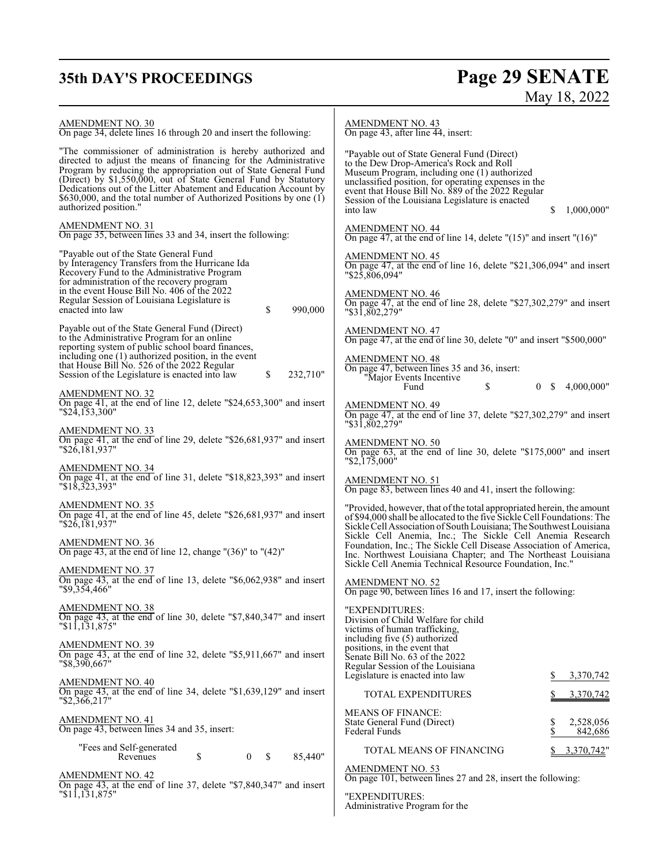## **35th DAY'S PROCEEDINGS Page 29 SENATE**

# May 18, 2022

AMENDMENT NO. 30 On page 34, delete lines 16 through 20 and insert the following: "The commissioner of administration is hereby authorized and directed to adjust the means of financing for the Administrative Program by reducing the appropriation out of State General Fund (Direct) by \$1,550,000, out of State General Fund by Statutory Dedications out of the Litter Abatement and Education Account by \$630,000, and the total number of Authorized Positions by one (1) authorized position." AMENDMENT NO. 31 On page 35, between lines 33 and 34, insert the following: "Payable out of the State General Fund by Interagency Transfers from the Hurricane Ida Recovery Fund to the Administrative Program for administration of the recovery program in the event House Bill No. 406 of the 2022 Regular Session of Louisiana Legislature is enacted into law  $\frac{1}{2}$  8 990,000 Payable out of the State General Fund (Direct) to the Administrative Program for an online reporting system of public school board finances, including one (1) authorized position, in the event that House Bill No. 526 of the 2022 Regular Session of the Legislature is enacted into law  $\qquad$  \$ 232,710" AMENDMENT NO. 32 On page 41, at the end of line 12, delete "\$24,653,300" and insert "\$24,153,300" AMENDMENT NO. 33 On page 41, at the end of line 29, delete "\$26,681,937" and insert "\$26,181,937" AMENDMENT NO. 34 On page 41, at the end of line 31, delete "\$18,823,393" and insert "\$18,323,393" AMENDMENT NO. 35 On page 41, at the end of line 45, delete "\$26,681,937" and insert "\$26,181,937" AMENDMENT NO. 36 On page 43, at the end of line 12, change "(36)" to "(42)" AMENDMENT NO. 37 On page 43, at the end of line 13, delete "\$6,062,938" and insert "\$9,354,466" AMENDMENT NO. 38 On page 43, at the end of line 30, delete "\$7,840,347" and insert "\$11,131,875" AMENDMENT NO. 39 On page 43, at the end of line 32, delete "\$5,911,667" and insert "\$8,390,667" AMENDMENT NO. 40 On page 43, at the end of line 34, delete "\$1,639,129" and insert "\$2,366,217" AMENDMENT NO. 41 On page 43, between lines 34 and 35, insert: "Fees and Self-generated Revenues \$ 0 \$ 85,440" AMENDMENT NO. 42 On page 43, at the end of line 37, delete "\$7,840,347" and insert "\$11,131,875" AMENDMENT NO. 43 On page 43, after line 44, insert: "Payable out of State General Fund (Direct) to the Dew Drop-America's Rock and Roll Museum Program, including one (1) authorized unclassified position, for operating expenses in the event that House Bill No. 889 of the 2022 Regular Session of the Louisiana Legislature is enacted  $$ 1,000,000"$ AMENDMENT NO. 44 On page 47, at the end of line 14, delete "(15)" and insert "(16)" AMENDMENT NO. 45 On page 47, at the end of line 16, delete "\$21,306,094" and insert "\$25,806,094" AMENDMENT NO. 46 On page 47, at the end of line 28, delete "\$27,302,279" and insert "\$31,802,279" AMENDMENT NO. 47 On page 47, at the end of line 30, delete "0" and insert "\$500,000" AMENDMENT NO. 48 On page 47, between lines 35 and 36, insert: "Major Events Incentive Fund \$ 0 \$ 4,000,000" AMENDMENT NO. 49 On page 47, at the end of line 37, delete "\$27,302,279" and insert "\$31,802,279" AMENDMENT NO. 50 On page 63, at the end of line 30, delete "\$175,000" and insert "\$2,175,000" AMENDMENT NO. 51 On page 83, between lines 40 and 41, insert the following: "Provided, however, that of the total appropriated herein, the amount of \$94,000 shall be allocated to the five Sickle Cell Foundations: The Sickle Cell Association of South Louisiana; The Southwest Louisiana Sickle Cell Anemia, Inc.; The Sickle Cell Anemia Research Foundation, Inc.; The Sickle Cell Disease Association of America, Inc. Northwest Louisiana Chapter; and The Northeast Louisiana Sickle Cell Anemia Technical Resource Foundation, Inc." AMENDMENT NO. 52 On page 90, between lines 16 and 17, insert the following: "EXPENDITURES: Division of Child Welfare for child victims of human trafficking, including five (5) authorized positions, in the event that Senate Bill No. 63 of the 2022 Regular Session of the Louisiana Legislature is enacted into law  $\qquad$  \$ 3,370,742 TOTAL EXPENDITURES  $$3,370,742$ MEANS OF FINANCE: State General Fund (Direct)  $$^{8}$  2,528,056<br>Federal Funds  $$^{8}$  842,686 Federal Funds TOTAL MEANS OF FINANCING \$3,370,742" AMENDMENT NO. 53 On page 101, between lines 27 and 28, insert the following: "EXPENDITURES: Administrative Program for the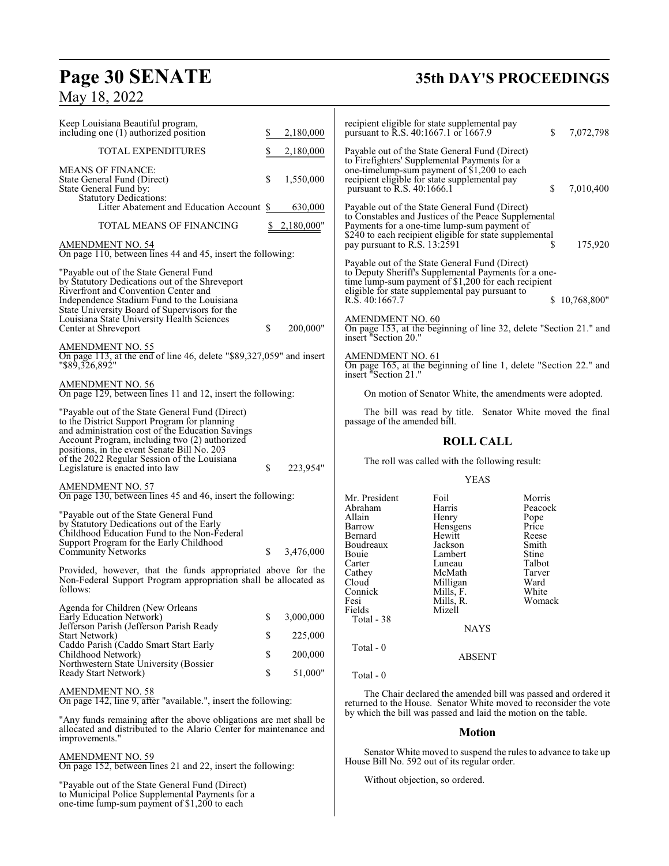## **Page 30 SENATE 35th DAY'S PROCEEDINGS**

## May 18, 2022

| Keep Louisiana Beautiful program,<br>including one (1) authorized position                                                                                                                                                       | 2,180,000       |                                                              | recipient eligible for state supplemental pay<br>pursuant to R.S. 40:1667.1 or 1667.9                                                                                                                            | \$                                                  | 7,072,798     |
|----------------------------------------------------------------------------------------------------------------------------------------------------------------------------------------------------------------------------------|-----------------|--------------------------------------------------------------|------------------------------------------------------------------------------------------------------------------------------------------------------------------------------------------------------------------|-----------------------------------------------------|---------------|
| <b>TOTAL EXPENDITURES</b>                                                                                                                                                                                                        | 2,180,000       |                                                              | Payable out of the State General Fund (Direct)                                                                                                                                                                   |                                                     |               |
| <b>MEANS OF FINANCE:</b><br>State General Fund (Direct)<br>State General Fund by:<br><b>Statutory Dedications:</b>                                                                                                               | \$<br>1,550,000 | pursuant to R.S. 40:1666.1                                   | to Firefighters' Supplemental Payments for a<br>one-timelump-sum payment of \$1,200 to each<br>recipient eligible for state supplemental pay                                                                     | \$                                                  | 7,010,400     |
| Litter Abatement and Education Account \$                                                                                                                                                                                        | 630,000         |                                                              | Payable out of the State General Fund (Direct)<br>to Constables and Justices of the Peace Supplemental                                                                                                           |                                                     |               |
| TOTAL MEANS OF FINANCING                                                                                                                                                                                                         | 2,180,000"      |                                                              | Payments for a one-time lump-sum payment of<br>\$240 to each recipient eligible for state supplemental                                                                                                           |                                                     |               |
| AMENDMENT NO. 54<br>On page 110, between lines 44 and 45, insert the following:                                                                                                                                                  |                 | pay pursuant to R.S. 13:2591                                 |                                                                                                                                                                                                                  | S                                                   | 175,920       |
| "Payable out of the State General Fund"<br>by Statutory Dedications out of the Shreveport<br>Riverfront and Convention Center and<br>Independence Stadium Fund to the Louisiana<br>State University Board of Supervisors for the |                 | $R.\overline{S}$ . 40:1667.7                                 | Payable out of the State General Fund (Direct)<br>to Deputy Sheriff's Supplemental Payments for a one-<br>time lump-sum payment of \$1,200 for each recipient<br>eligible for state supplemental pay pursuant to |                                                     | \$10,768,800" |
| Louisiana State University Health Sciences<br>Center at Shreveport                                                                                                                                                               | \$<br>200,000"  | AMENDMENT NO. 60<br>insert "Section 20."                     | On page 153, at the beginning of line 32, delete "Section 21." and                                                                                                                                               |                                                     |               |
| AMENDMENT NO. 55<br>On page 113, at the end of line 46, delete "\$89,327,059" and insert<br>"\$89,326,892"                                                                                                                       |                 | <b>AMENDMENT NO. 61</b><br>insert "Section 21."              | On page 165, at the beginning of line 1, delete "Section 22." and                                                                                                                                                |                                                     |               |
| <b>AMENDMENT NO. 56</b><br>On page 129, between lines 11 and 12, insert the following:                                                                                                                                           |                 |                                                              | On motion of Senator White, the amendments were adopted.                                                                                                                                                         |                                                     |               |
| "Payable out of the State General Fund (Direct)<br>to the District Support Program for planning<br>and administration cost of the Education Savings                                                                              |                 | passage of the amended bill.                                 | The bill was read by title. Senator White moved the final                                                                                                                                                        |                                                     |               |
| Account Program, including two (2) authorized                                                                                                                                                                                    |                 |                                                              | <b>ROLL CALL</b>                                                                                                                                                                                                 |                                                     |               |
| positions, in the event Senate Bill No. 203<br>of the 2022 Regular Session of the Louisiana<br>Legislature is enacted into law                                                                                                   | \$<br>223,954"  |                                                              | The roll was called with the following result:                                                                                                                                                                   |                                                     |               |
| <b>AMENDMENT NO. 57</b>                                                                                                                                                                                                          |                 |                                                              | <b>YEAS</b>                                                                                                                                                                                                      |                                                     |               |
| On page 130, between lines 45 and 46, insert the following:                                                                                                                                                                      |                 | Mr. President                                                | Foil                                                                                                                                                                                                             | Morris                                              |               |
| "Payable out of the State General Fund<br>by Statutory Dedications out of the Early<br>Childhood Education Fund to the Non-Federal<br>Support Program for the Early Childhood<br>Community Networks                              | \$<br>3,476,000 | Abraham<br>Allain<br>Barrow<br>Bernard<br>Boudreaux<br>Bouie | Harris<br>Henry<br>Hensgens<br>Hewitt<br>Jackson<br>Lambert                                                                                                                                                      | Peacock<br>Pope<br>Price<br>Reese<br>Smith<br>Stine |               |
| Provided, however, that the funds appropriated above for the<br>Non-Federal Support Program appropriation shall be allocated as<br>follows:                                                                                      |                 | Carter<br>Cathey<br>Cloud<br>Connick                         | Luneau<br>McMath<br>Milligan<br>Mills, F.                                                                                                                                                                        | Talbot<br>Tarver<br>Ward<br>White                   |               |
| Agenda for Children (New Orleans<br>Early Education Network)                                                                                                                                                                     | \$<br>3,000,000 | Fesi<br>Fields<br>Total - 38                                 | Mills, R.<br>Mizell                                                                                                                                                                                              | Womack                                              |               |
| Jefferson Parish (Jefferson Parish Ready<br>Start Network)                                                                                                                                                                       | \$<br>225,000   |                                                              | <b>NAYS</b>                                                                                                                                                                                                      |                                                     |               |
| Caddo Parish (Caddo Smart Start Early<br>Childhood Network)                                                                                                                                                                      | \$<br>200,000   | Total - 0                                                    | <b>ABSENT</b>                                                                                                                                                                                                    |                                                     |               |
| Northwestern State University (Bossier<br>Ready Start Network)                                                                                                                                                                   | \$<br>51,000"   | Total - 0                                                    |                                                                                                                                                                                                                  |                                                     |               |
|                                                                                                                                                                                                                                  |                 |                                                              |                                                                                                                                                                                                                  |                                                     |               |
| <b>AMENDMENT NO. 58</b><br>On page 142, line 9, after "available.", insert the following:                                                                                                                                        |                 |                                                              | The Chair declared the amended bill was passed and ordered it<br>returned to the House. Senator White moved to reconsider the vote                                                                               |                                                     |               |
| "Any funds remaining after the above obligations are met shall be                                                                                                                                                                |                 |                                                              | by which the bill was passed and laid the motion on the table.                                                                                                                                                   |                                                     |               |
| allocated and distributed to the Alario Center for maintenance and<br>improvements."                                                                                                                                             |                 |                                                              | <b>Motion</b>                                                                                                                                                                                                    |                                                     |               |

Without objection, so ordered.

On page 152, between lines 21 and 22, insert the following:

"Payable out of the State General Fund (Direct) to Municipal Police Supplemental Payments for a one-time lump-sum payment of \$1,200 to each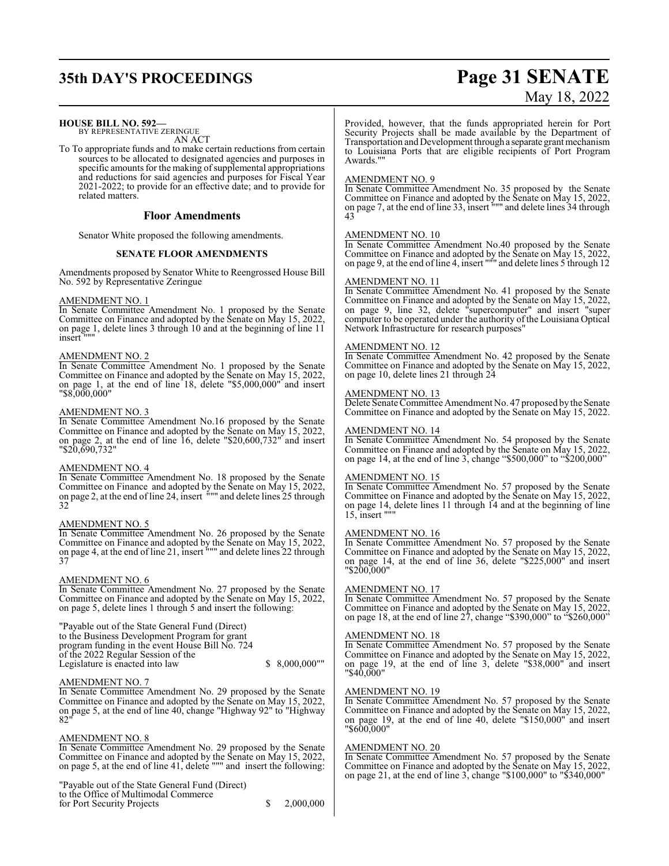## **35th DAY'S PROCEEDINGS Page 31 SENATE**

### **HOUSE BILL NO. 592—**

BY REPRESENTATIVE ZERINGUE AN ACT

To To appropriate funds and to make certain reductions from certain sources to be allocated to designated agencies and purposes in specific amounts for the making of supplemental appropriations and reductions for said agencies and purposes for Fiscal Year 2021-2022; to provide for an effective date; and to provide for related matters.

### **Floor Amendments**

Senator White proposed the following amendments.

### **SENATE FLOOR AMENDMENTS**

Amendments proposed by Senator White to Reengrossed House Bill No. 592 by Representative Zeringue

### AMENDMENT NO. 1

In Senate Committee Amendment No. 1 proposed by the Senate Committee on Finance and adopted by the Senate on May 15, 2022, on page 1, delete lines 3 through 10 and at the beginning of line 11 insert """

### AMENDMENT NO. 2

In Senate Committee Amendment No. 1 proposed by the Senate Committee on Finance and adopted by the Senate on May 15, 2022, on page 1, at the end of line 18, delete "\$5,000,000" and insert "\$8,000,000"

### AMENDMENT NO. 3

In Senate Committee Amendment No.16 proposed by the Senate Committee on Finance and adopted by the Senate on May 15, 2022, on page 2, at the end of line 16, delete "\$20,600,732" and insert "\$20,690,732"

### AMENDMENT NO. 4

In Senate Committee Amendment No. 18 proposed by the Senate Committee on Finance and adopted by the Senate on May 15, 2022, on page 2, at the end of line 24, insert """ and delete lines 25 through 32

### AMENDMENT NO. 5

In Senate Committee Amendment No. 26 proposed by the Senate Committee on Finance and adopted by the Senate on May 15, 2022, on page 4, at the end of line 21, insert """ and delete lines 22 through 37

### AMENDMENT NO. 6

In Senate Committee Amendment No. 27 proposed by the Senate Committee on Finance and adopted by the Senate on May 15, 2022, on page 5, delete lines 1 through 5 and insert the following:

"Payable out of the State General Fund (Direct) to the Business Development Program for grant program funding in the event House Bill No. 724 of the 2022 Regular Session of the Legislature is enacted into law \$ 8,000,000""

### AMENDMENT NO. 7

In Senate Committee Amendment No. 29 proposed by the Senate Committee on Finance and adopted by the Senate on May 15, 2022, on page 5, at the end of line 40, change "Highway 92" to "Highway 82"

### AMENDMENT NO. 8

In Senate Committee Amendment No. 29 proposed by the Senate Committee on Finance and adopted by the Senate on May 15, 2022, on page 5, at the end of line 41, delete """ and insert the following:

"Payable out of the State General Fund (Direct) to the Office of Multimodal Commerce for Port Security Projects  $\qquad \qquad$  \$ 2,000,000

# May 18, 2022

Provided, however, that the funds appropriated herein for Port Security Projects shall be made available by the Department of Transportation and Development through a separate grant mechanism to Louisiana Ports that are eligible recipients of Port Program Awards.""

### AMENDMENT NO. 9

In Senate Committee Amendment No. 35 proposed by the Senate Committee on Finance and adopted by the Senate on May 15, 2022, on page 7, at the end of line 33, insert """ and delete lines 34 through 43

### AMENDMENT NO. 10

In Senate Committee Amendment No.40 proposed by the Senate Committee on Finance and adopted by the Senate on May 15, 2022, on page 9, at the end of line 4, insert """ and delete lines 5 through 12

### AMENDMENT NO. 11

In Senate Committee Amendment No. 41 proposed by the Senate Committee on Finance and adopted by the Senate on May 15, 2022, on page 9, line 32, delete "supercomputer" and insert "super computer to be operated under the authority of the Louisiana Optical Network Infrastructure for research purposes"

### AMENDMENT NO. 12

In Senate Committee Amendment No. 42 proposed by the Senate Committee on Finance and adopted by the Senate on May 15, 2022, on page 10, delete lines 21 through 24

### AMENDMENT NO. 13

Delete Senate Committee Amendment No. 47 proposed by the Senate Committee on Finance and adopted by the Senate on May 15, 2022.

### AMENDMENT NO. 14

In Senate Committee Amendment No. 54 proposed by the Senate Committee on Finance and adopted by the Senate on May 15, 2022, on page 14, at the end of line 3, change "\$500,000" to "\$200,000"

### AMENDMENT NO. 15

In Senate Committee Amendment No. 57 proposed by the Senate Committee on Finance and adopted by the Senate on May 15, 2022, on page 14, delete lines 11 through 14 and at the beginning of line 15, insert """

### AMENDMENT NO. 16

In Senate Committee Amendment No. 57 proposed by the Senate Committee on Finance and adopted by the Senate on May 15, 2022, on page 14, at the end of line 36, delete "\$225,000" and insert "\$200,000"

### AMENDMENT NO. 17

In Senate Committee Amendment No. 57 proposed by the Senate Committee on Finance and adopted by the Senate on May 15, 2022, on page 18, at the end of line 27, change "\$390,000" to "\$260,000"

### AMENDMENT NO. 18

In Senate Committee Amendment No. 57 proposed by the Senate Committee on Finance and adopted by the Senate on May 15, 2022, on page 19, at the end of line 3, delete "\$38,000" and insert "\$40,000"

### AMENDMENT NO. 19

In Senate Committee Amendment No. 57 proposed by the Senate Committee on Finance and adopted by the Senate on May 15, 2022, on page 19, at the end of line 40, delete "\$150,000" and insert "\$600,000"

### AMENDMENT NO. 20

In Senate Committee Amendment No. 57 proposed by the Senate Committee on Finance and adopted by the Senate on May 15, 2022, on page 21, at the end of line 3, change "\$100,000" to "\$340,000"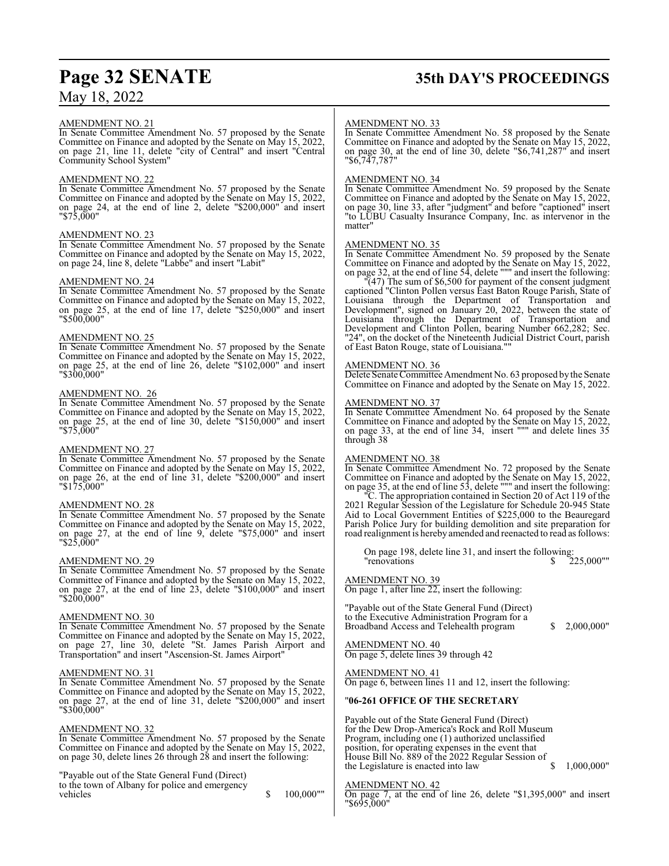### AMENDMENT NO. 21

In Senate Committee Amendment No. 57 proposed by the Senate Committee on Finance and adopted by the Senate on May 15, 2022, on page 21, line 11, delete "city of Central" and insert "Central Community School System"

### AMENDMENT NO. 22

In Senate Committee Amendment No. 57 proposed by the Senate Committee on Finance and adopted by the Senate on May 15, 2022, on page 24, at the end of line 2, delete "\$200,000" and insert "\$75,000"

### AMENDMENT NO. 23

In Senate Committee Amendment No. 57 proposed by the Senate Committee on Finance and adopted by the Senate on May 15, 2022, on page 24, line 8, delete "Labbe" and insert "Labit"

### AMENDMENT NO. 24

In Senate Committee Amendment No. 57 proposed by the Senate Committee on Finance and adopted by the Senate on May 15, 2022, on page 25, at the end of line 17, delete "\$250,000" and insert "\$500,000"

### AMENDMENT NO. 25

In Senate Committee Amendment No. 57 proposed by the Senate Committee on Finance and adopted by the Senate on May 15, 2022, on page 25, at the end of line 26, delete "\$102,000" and insert "\$300,000"

### AMENDMENT NO. 26

In Senate Committee Amendment No. 57 proposed by the Senate Committee on Finance and adopted by the Senate on May 15, 2022, on page 25, at the end of line 30, delete "\$150,000" and insert "\$75,000"

### AMENDMENT NO. 27

In Senate Committee Amendment No. 57 proposed by the Senate Committee on Finance and adopted by the Senate on May 15, 2022, on page 26, at the end of line 31, delete "\$200,000" and insert "\$175,000"

### AMENDMENT NO. 28

In Senate Committee Amendment No. 57 proposed by the Senate Committee on Finance and adopted by the Senate on May 15, 2022, on page 27, at the end of line 9, delete "\$75,000" and insert "\$25,000"

### AMENDMENT NO. 29

In Senate Committee Amendment No. 57 proposed by the Senate Committee of Finance and adopted by the Senate on May 15, 2022, on page 27, at the end of line 23, delete "\$100,000" and insert "\$200,000"

### AMENDMENT NO. 30

In Senate Committee Amendment No. 57 proposed by the Senate Committee on Finance and adopted by the Senate on May 15, 2022, on page 27, line 30, delete "St. James Parish Airport and Transportation" and insert "Ascension-St. James Airport"

### AMENDMENT NO. 31

In Senate Committee Amendment No. 57 proposed by the Senate Committee on Finance and adopted by the Senate on May 15, 2022, on page 27, at the end of line 31, delete "\$200,000" and insert "\$300,000"

### AMENDMENT NO. 32

In Senate Committee Amendment No. 57 proposed by the Senate Committee on Finance and adopted by the Senate on May 15, 2022, on page 30, delete lines 26 through 28 and insert the following:

"Payable out of the State General Fund (Direct) to the town of Albany for police and emergency 100,000""

## **Page 32 SENATE 35th DAY'S PROCEEDINGS**

### AMENDMENT NO. 33

In Senate Committee Amendment No. 58 proposed by the Senate Committee on Finance and adopted by the Senate on May 15, 2022, on page 30, at the end of line 30, delete "\$6,741,287" and insert "\$6,747,787"

### AMENDMENT NO. 34

In Senate Committee Amendment No. 59 proposed by the Senate Committee on Finance and adopted by the Senate on May 15, 2022, on page 30, line 33, after "judgment" and before "captioned" insert "to LUBU Casualty Insurance Company, Inc. as intervenor in the matter"

### AMENDMENT NO. 35

In Senate Committee Amendment No. 59 proposed by the Senate Committee on Finance and adopted by the Senate on May 15, 2022, on page 32, at the end of line 54, delete """ and insert the following:

"(47) The sum of \$6,500 for payment of the consent judgment captioned "Clinton Pollen versus East Baton Rouge Parish, State of Louisiana through the Department of Transportation and Development", signed on January 20, 2022, between the state of Louisiana through the Department of Transportation and Development and Clinton Pollen, bearing Number 662,282; Sec. "24", on the docket of the Nineteenth Judicial District Court, parish of East Baton Rouge, state of Louisiana.""

### AMENDMENT NO. 36

Delete Senate Committee Amendment No. 63 proposed by the Senate Committee on Finance and adopted by the Senate on May 15, 2022.

### AMENDMENT NO. 37

In Senate Committee Amendment No. 64 proposed by the Senate Committee on Finance and adopted by the Senate on May 15, 2022, on page 33, at the end of line 34, insert """ and delete lines 35 through 38

### AMENDMENT NO. 38

In Senate Committee Amendment No. 72 proposed by the Senate Committee on Finance and adopted by the Senate on May 15, 2022, on page 35, at the end of line 53, delete """ and insert the following:

"C. The appropriation contained in Section 20 of Act 119 of the 2021 Regular Session of the Legislature for Schedule 20-945 State Aid to Local Government Entities of \$225,000 to the Beauregard Parish Police Jury for building demolition and site preparation for road realignment is hereby amended and reenacted to read as follows:

On page 198, delete line 31, and insert the following: "renovations \$ 225,000""

### AMENDMENT NO. 39

On page 1, after line 22, insert the following:

"Payable out of the State General Fund (Direct) to the Executive Administration Program for a Broadband Access and Telehealth program \$ 2,000,000"

AMENDMENT NO. 40 On page 5, delete lines 39 through 42

AMENDMENT NO. 41 On page 6, between lines 11 and 12, insert the following:

### "**06-261 OFFICE OF THE SECRETARY**

Payable out of the State General Fund (Direct) for the Dew Drop-America's Rock and Roll Museum Program, including one (1) authorized unclassified position, for operating expenses in the event that House Bill No. 889 of the 2022 Regular Session of the Legislature is enacted into law  $$ 1,000,000"$ 

### AMENDMENT NO. 42

On page 7, at the end of line 26, delete "\$1,395,000" and insert "\$695,000"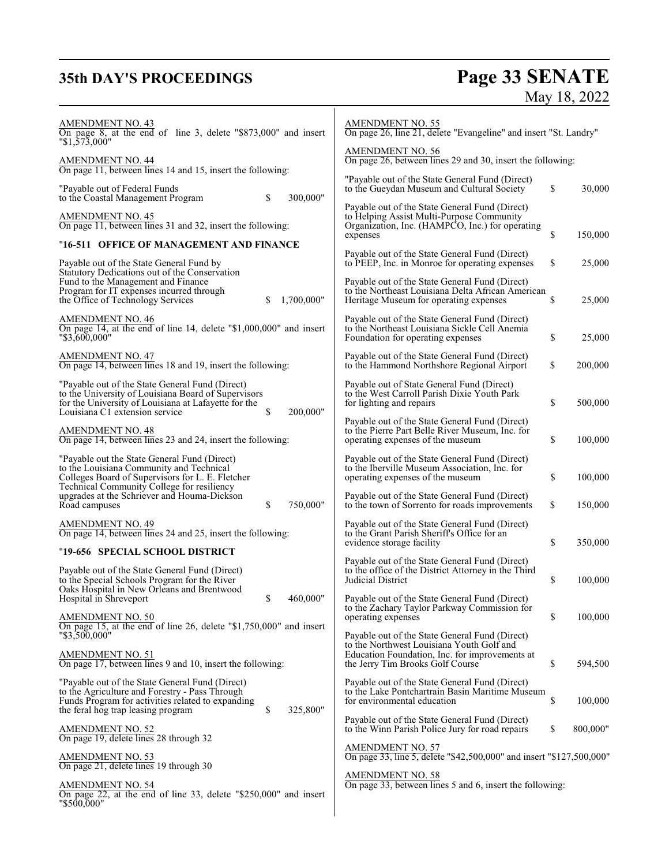## **35th DAY'S PROCEEDINGS**

# **Page 33 SENATE**<br>May 18, 2022

| <b>AMENDMENT NO. 43</b><br>On page 8, at the end of line 3, delete "\$873,000" and insert<br>$"\$1,57\overline{3},000"$                                                                                            | <b>AMENDMENT NO. 55</b><br>On page 26, line 21, delete "Evangeline" and insert "St. Landry"                                                                              |
|--------------------------------------------------------------------------------------------------------------------------------------------------------------------------------------------------------------------|--------------------------------------------------------------------------------------------------------------------------------------------------------------------------|
| <b>AMENDMENT NO. 44</b><br>On page 11, between lines 14 and 15, insert the following:                                                                                                                              | <b>AMENDMENT NO. 56</b><br>On page 26, between lines 29 and 30, insert the following:                                                                                    |
| "Payable out of Federal Funds<br>300,000"<br>\$<br>to the Coastal Management Program                                                                                                                               | "Payable out of the State General Fund (Direct)<br>\$<br>to the Gueydan Museum and Cultural Society<br>30,000                                                            |
| <b>AMENDMENT NO. 45</b><br>On page 11, between lines 31 and 32, insert the following:                                                                                                                              | Payable out of the State General Fund (Direct)<br>to Helping Assist Multi-Purpose Community<br>Organization, Inc. (HAMPCO, Inc.) for operating                           |
|                                                                                                                                                                                                                    | \$<br>150,000<br>expenses                                                                                                                                                |
| "16-511   OFFICE OF MANAGEMENT AND FINANCE<br>Payable out of the State General Fund by                                                                                                                             | Payable out of the State General Fund (Direct)<br>\$<br>to PEEP, Inc. in Monroe for operating expenses<br>25,000                                                         |
| Statutory Dedications out of the Conservation<br>Fund to the Management and Finance<br>Program for IT expenses incurred through<br>1,700,000"<br>the Office of Technology Services<br>\$                           | Payable out of the State General Fund (Direct)<br>to the Northeast Louisiana Delta African American<br><sup>\$</sup><br>Heritage Museum for operating expenses<br>25,000 |
| <b>AMENDMENT NO. 46</b><br>On page 14, at the end of line 14, delete " $$1,000,000$ " and insert<br>$"\$3,600,000"$                                                                                                | Payable out of the State General Fund (Direct)<br>to the Northeast Louisiana Sickle Cell Anemia<br>\$<br>Foundation for operating expenses<br>25,000                     |
| <b>AMENDMENT NO. 47</b><br>On page 14, between lines 18 and 19, insert the following:                                                                                                                              | Payable out of the State General Fund (Direct)<br>\$<br>to the Hammond Northshore Regional Airport<br>200,000                                                            |
| "Payable out of the State General Fund (Direct)<br>to the University of Louisiana Board of Supervisors<br>for the University of Louisiana at Lafayette for the<br>Louisiana C1 extension service<br>\$<br>200,000" | Payable out of State General Fund (Direct)<br>to the West Carroll Parish Dixie Youth Park<br>\$<br>for lighting and repairs<br>500,000                                   |
| AMENDMENT NO. 48<br>On page 14, between lines 23 and 24, insert the following:                                                                                                                                     | Payable out of the State General Fund (Direct)<br>to the Pierre Part Belle River Museum, Inc. for<br>\$<br>operating expenses of the museum<br>100,000                   |
| "Payable out the State General Fund (Direct)<br>to the Louisiana Community and Technical<br>Colleges Board of Supervisors for L. E. Fletcher<br>Technical Community College for resiliency                         | Payable out of the State General Fund (Direct)<br>to the Iberville Museum Association, Inc. for<br>\$<br>operating expenses of the museum<br>100,000                     |
| upgrades at the Schriever and Houma-Dickson<br>\$<br>Road campuses<br>750,000"                                                                                                                                     | Payable out of the State General Fund (Direct)<br>\$<br>to the town of Sorrento for roads improvements<br>150,000                                                        |
| AMENDMENT NO. 49<br>On page 14, between lines 24 and 25, insert the following:                                                                                                                                     | Payable out of the State General Fund (Direct)<br>to the Grant Parish Sheriff's Office for an<br>\$<br>evidence storage facility<br>350,000                              |
| "19-656 SPECIAL SCHOOL DISTRICT                                                                                                                                                                                    |                                                                                                                                                                          |
| Payable out of the State General Fund (Direct)<br>to the Special Schools Program for the River<br>Oaks Hospital in New Orleans and Brentwood                                                                       | Payable out of the State General Fund (Direct)<br>to the office of the District Attorney in the Third<br>Judicial District<br>100,000<br>S                               |
| Hospital in Shreveport<br>\$<br>460,000"<br>AMENDMENT NO. 50                                                                                                                                                       | Payable out of the State General Fund (Direct)<br>to the Zachary Taylor Parkway Commission for<br>\$<br>100,000<br>operating expenses                                    |
| On page 15, at the end of line 26, delete " $$1,750,000$ " and insert<br>$"$ \$3,500,000"                                                                                                                          | Payable out of the State General Fund (Direct)<br>to the Northwest Louisiana Youth Golf and                                                                              |
| <b>AMENDMENT NO. 51</b><br>On page 17, between lines 9 and 10, insert the following:                                                                                                                               | Education Foundation, Inc. for improvements at<br>\$<br>the Jerry Tim Brooks Golf Course<br>594,500                                                                      |
| "Payable out of the State General Fund (Direct)<br>to the Agriculture and Forestry - Pass Through<br>Funds Program for activities related to expanding<br>\$<br>the feral hog trap leasing program<br>325,800"     | Payable out of the State General Fund (Direct)<br>to the Lake Pontchartrain Basin Maritime Museum<br>\$<br>for environmental education<br>100,000                        |
| AMENDMENT NO. 52<br>On page 19, delete lines 28 through 32                                                                                                                                                         | Payable out of the State General Fund (Direct)<br>\$<br>800,000"<br>to the Winn Parish Police Jury for road repairs                                                      |
| AMENDMENT NO. 53<br>On page 21, delete lines 19 through 30                                                                                                                                                         | <b>AMENDMENT NO. 57</b><br>On page 33, line 5, delete "\$42,500,000" and insert "\$127,500,000"                                                                          |
| AMENDMENT NO. 54<br>On page 22, at the end of line 33, delete "\$250,000" and insert<br>"\$500,000"                                                                                                                | AMENDMENT NO. 58<br>On page 33, between lines 5 and 6, insert the following:                                                                                             |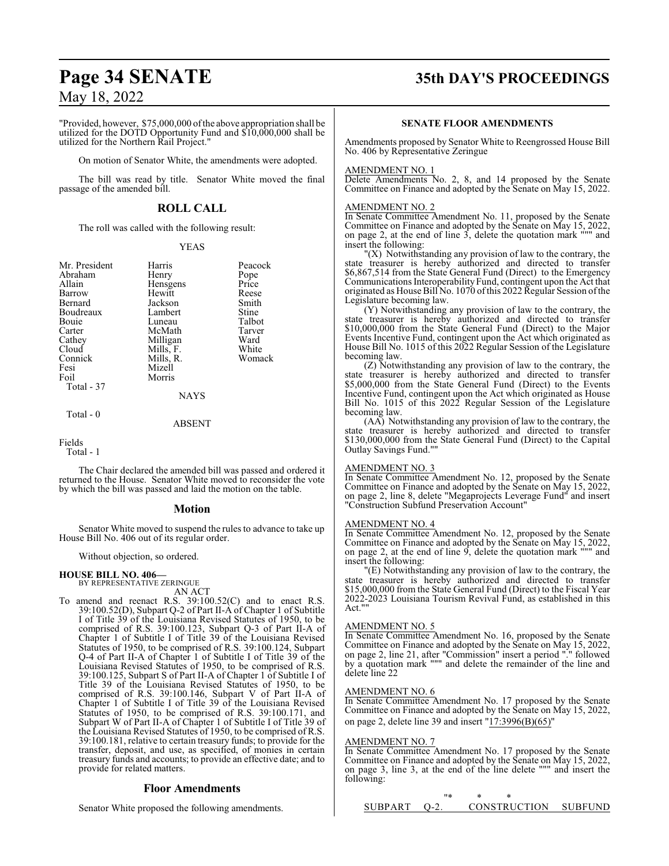## **Page 34 SENATE 35th DAY'S PROCEEDINGS**

May 18, 2022

"Provided, however, \$75,000,000 ofthe above appropriation shall be utilized for the DOTD Opportunity Fund and \$10,000,000 shall be utilized for the Northern Rail Project."

On motion of Senator White, the amendments were adopted.

The bill was read by title. Senator White moved the final passage of the amended bill.

### **ROLL CALL**

The roll was called with the following result:

### YEAS

| Mr. President | Harris    | Peacock |
|---------------|-----------|---------|
| Abraham       | Henry     | Pope    |
| Allain        | Hensgens  | Price   |
| Barrow        | Hewitt    | Reese   |
| Bernard       | Jackson   | Smith   |
| Boudreaux     | Lambert   | Stine   |
| Bouie         | Luneau    | Talbot  |
| Carter        | McMath    | Tarver  |
| Cathey        | Milligan  | Ward    |
| Cloud         | Mills, F. | White   |
| Connick       | Mills, R. | Womack  |
| Fesi          | Mizell    |         |
| Foil          | Morris    |         |
| Total - 37    |           |         |
|               | NAYS      |         |

Total - 0

### ABSENT

### Fields

Total - 1

The Chair declared the amended bill was passed and ordered it returned to the House. Senator White moved to reconsider the vote by which the bill was passed and laid the motion on the table.

### **Motion**

Senator White moved to suspend the rules to advance to take up House Bill No. 406 out of its regular order.

Without objection, so ordered.

**HOUSE BILL NO. 406—** BY REPRESENTATIVE ZERINGUE AN ACT

To amend and reenact R.S. 39:100.52(C) and to enact R.S. 39:100.52(D), Subpart Q-2 of Part II-A of Chapter 1 of Subtitle I of Title 39 of the Louisiana Revised Statutes of 1950, to be comprised of R.S. 39:100.123, Subpart Q-3 of Part II-A of Chapter 1 of Subtitle I of Title 39 of the Louisiana Revised Statutes of 1950, to be comprised of R.S. 39:100.124, Subpart Q-4 of Part II-A of Chapter 1 of Subtitle I of Title 39 of the Louisiana Revised Statutes of 1950, to be comprised of R.S. 39:100.125, Subpart S of Part II-A of Chapter 1 of Subtitle I of Title 39 of the Louisiana Revised Statutes of 1950, to be comprised of R.S. 39:100.146, Subpart V of Part II-A of Chapter 1 of Subtitle I of Title 39 of the Louisiana Revised Statutes of 1950, to be comprised of R.S. 39:100.171, and Subpart W of Part II-A of Chapter 1 of Subtitle I of Title 39 of the Louisiana Revised Statutes of 1950, to be comprised of R.S. 39:100.181, relative to certain treasury funds; to provide for the transfer, deposit, and use, as specified, of monies in certain treasury funds and accounts; to provide an effective date; and to provide for related matters.

### **Floor Amendments**

Senator White proposed the following amendments.

### **SENATE FLOOR AMENDMENTS**

Amendments proposed by Senator White to Reengrossed House Bill No. 406 by Representative Zeringue

### AMENDMENT NO. 1

Delete Amendments No. 2, 8, and 14 proposed by the Senate Committee on Finance and adopted by the Senate on May 15, 2022.

### AMENDMENT NO. 2

In Senate Committee Amendment No. 11, proposed by the Senate Committee on Finance and adopted by the Senate on May 15, 2022, on page 2, at the end of line 3, delete the quotation mark """ and insert the following:

"(X) Notwithstanding any provision of law to the contrary, the state treasurer is hereby authorized and directed to transfer \$6,867,514 from the State General Fund (Direct) to the Emergency Communications Interoperability Fund, contingent upon the Act that originated as House Bill No. 1070 of this 2022 Regular Session of the Legislature becoming law.

(Y) Notwithstanding any provision of law to the contrary, the state treasurer is hereby authorized and directed to transfer \$10,000,000 from the State General Fund (Direct) to the Major Events Incentive Fund, contingent upon the Act which originated as House Bill No. 1015 of this 2022 Regular Session of the Legislature becoming law.

(Z) Notwithstanding any provision of law to the contrary, the state treasurer is hereby authorized and directed to transfer \$5,000,000 from the State General Fund (Direct) to the Events Incentive Fund, contingent upon the Act which originated as House Bill No. 1015 of this 2022 Regular Session of the Legislature becoming law.

(AA) Notwithstanding any provision of law to the contrary, the state treasurer is hereby authorized and directed to transfer \$130,000,000 from the State General Fund (Direct) to the Capital Outlay Savings Fund.""

### AMENDMENT NO. 3

In Senate Committee Amendment No. 12, proposed by the Senate Committee on Finance and adopted by the Senate on May 15, 2022, on page 2, line 8, delete "Megaprojects Leverage Fund" and insert "Construction Subfund Preservation Account"

### AMENDMENT NO. 4

In Senate Committee Amendment No. 12, proposed by the Senate Committee on Finance and adopted by the Senate on May 15, 2022, on page 2, at the end of line 9, delete the quotation mark """ and insert the following:

"(E) Notwithstanding any provision of law to the contrary, the state treasurer is hereby authorized and directed to transfer \$15,000,000 from the State General Fund (Direct) to the Fiscal Year 2022-2023 Louisiana Tourism Revival Fund, as established in this Act."

### AMENDMENT NO. 5

In Senate Committee Amendment No. 16, proposed by the Senate Committee on Finance and adopted by the Senate on May 15, 2022, on page 2, line 21, after "Commission" insert a period "." followed by a quotation mark """ and delete the remainder of the line and delete line 22

### AMENDMENT NO. 6

In Senate Committee Amendment No. 17 proposed by the Senate Committee on Finance and adopted by the Senate on May 15, 2022, on page 2, delete line 39 and insert "17:3996(B)(65)"

### AMENDMENT NO. 7

In Senate Committee Amendment No. 17 proposed by the Senate Committee on Finance and adopted by the Senate on May 15, 2022, on page 3, line 3, at the end of the line delete """ and insert the following:

|                | 11 sk |                     |         |
|----------------|-------|---------------------|---------|
| <b>SUBPART</b> |       | <b>CONSTRUCTION</b> | SUBFUND |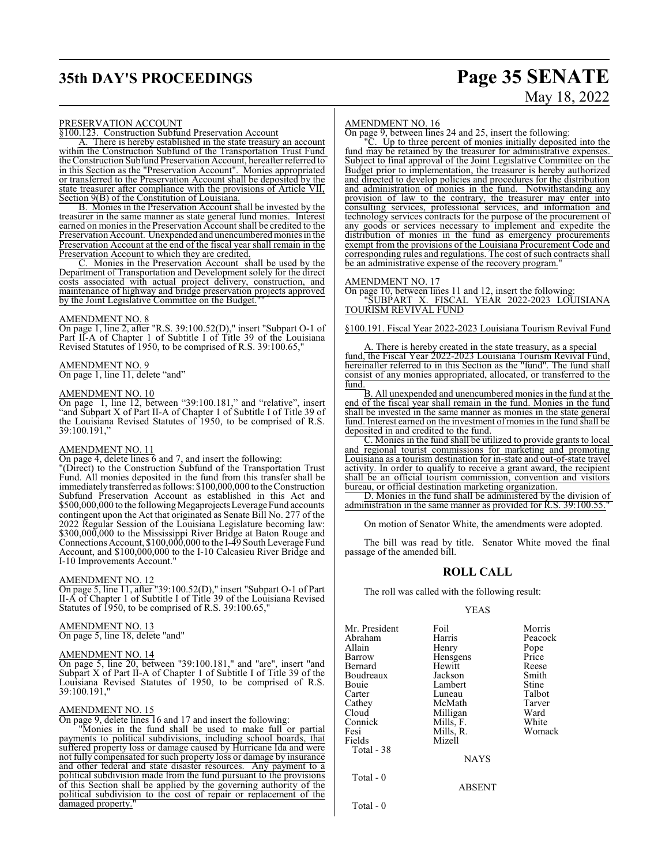## **35th DAY'S PROCEEDINGS Page 35 SENATE**

# May 18, 2022

### PRESERVATION ACCOUNT

§100.123. Construction Subfund Preservation Account

A. There is hereby established in the state treasury an account within the Construction Subfund of the Transportation Trust Fund the Construction Subfund Preservation Account, hereafter referred to in this Section as the "Preservation Account". Monies appropriated or transferred to the Preservation Account shall be deposited by the state treasurer after compliance with the provisions of Article VII, Section 9(B) of the Constitution of Louisiana.

B. Monies in the Preservation Account shall be invested by the treasurer in the same manner as state general fund monies. Interest earned on monies in the Preservation Account shall be credited to the Preservation Account. Unexpended and unencumbered monies in the Preservation Account at the end of the fiscal year shall remain in the **Preservation Account to which they are credited.**<br>C. Monies in the Preservation Account sh

Monies in the Preservation Account shall be used by the Department of Transportation and Development solely for the direct costs associated with actual project delivery, construction, and maintenance of highway and bridge preservation projects approved by the Joint Legislative Committee on the Budget.""

### AMENDMENT NO. 8

On page 1, line 2, after "R.S. 39:100.52(D)," insert "Subpart O-1 of Part II-A of Chapter 1 of Subtitle I of Title 39 of the Louisiana Revised Statutes of 1950, to be comprised of R.S. 39:100.65,"

### AMENDMENT NO. 9

On page 1, line 11, delete "and"

### AMENDMENT NO. 10

On page 1, line 12, between "39:100.181," and "relative", insert "and Subpart X of Part II-A of Chapter 1 of Subtitle I of Title 39 of the Louisiana Revised Statutes of 1950, to be comprised of R.S. 39:100.191,"

### AMENDMENT NO. 11

On page 4, delete lines 6 and 7, and insert the following:

"(Direct) to the Construction Subfund of the Transportation Trust Fund. All monies deposited in the fund from this transfer shall be immediately transferred as follows: \$100,000,000 to the Construction Subfund Preservation Account as established in this Act and \$500,000,000 to the following Megaprojects Leverage Fund accounts contingent upon the Act that originated as Senate Bill No. 277 of the 2022 Regular Session of the Louisiana Legislature becoming law: \$300,000,000 to the Mississippi River Bridge at Baton Rouge and Connections Account, \$100,000,000 to the I-49 South Leverage Fund Account, and \$100,000,000 to the I-10 Calcasieu River Bridge and I-10 Improvements Account."

### AMENDMENT NO. 12

On page 5, line 11, after "39:100.52(D)," insert "Subpart O-1 of Part II-A of Chapter 1 of Subtitle I of Title 39 of the Louisiana Revised Statutes of 1950, to be comprised of R.S. 39:100.65,"

### AMENDMENT NO. 13

On page 5, line 18, delete "and"

### AMENDMENT NO. 14

On page 5, line 20, between "39:100.181," and "are", insert "and Subpart X of Part II-A of Chapter 1 of Subtitle I of Title 39 of the Louisiana Revised Statutes of 1950, to be comprised of R.S. 39:100.191,"

### AMENDMENT NO. 15

On page 9, delete lines 16 and 17 and insert the following:

"Monies in the fund shall be used to make full or partial payments to political subdivisions, including school boards, that suffered property loss or damage caused by Hurricane Ida and were not fully compensated for such property loss or damage by insurance and other federal and state disaster resources. Any payment to a political subdivision made from the fund pursuant to the provisions of this Section shall be applied by the governing authority of the political subdivision to the cost of repair or replacement of the damaged property.

### AMENDMENT NO. 16

On page 9, between lines 24 and 25, insert the following:

C. Up to three percent of monies initially deposited into the fund may be retained by the treasurer for administrative expenses. Subject to final approval of the Joint Legislative Committee on the Budget prior to implementation, the treasurer is hereby authorized and directed to develop policies and procedures for the distribution and administration of monies in the fund. Notwithstanding any provision of law to the contrary, the treasurer may enter into consulting services, professional services, and information and technology services contracts for the purpose of the procurement of any goods or services necessary to implement and expedite the distribution of monies in the fund as emergency procurements exempt from the provisions of the Louisiana Procurement Code and corresponding rules and regulations. The cost of such contracts shall be an administrative expense of the recovery program.'

### AMENDMENT NO. 17

On page 10, between lines 11 and 12, insert the following: "SUBPART X. FISCAL YEAR 2022-2023 LOUISIANA TOURISM REVIVAL FUND

§100.191. Fiscal Year 2022-2023 Louisiana Tourism Revival Fund

A. There is hereby created in the state treasury, as a special fund, the Fiscal Year 2022-2023 Louisiana Tourism Revival Fund, hereinafter referred to in this Section as the "fund". The fund shall consist of any monies appropriated, allocated, or transferred to the fund.

B. All unexpended and unencumbered monies in the fund at the end of the fiscal year shall remain in the fund. Monies in the fund shall be invested in the same manner as monies in the state general fund. Interest earned on the investment of monies in the fund shall be deposited in and credited to the fund.

C. Monies in the fund shall be utilized to provide grants to local and regional tourist commissions for marketing and promoting Louisiana as a tourism destination for in-state and out-of-state travel activity. In order to qualify to receive a grant award, the recipient shall be an official tourism commission, convention and visitors bureau, or official destination marketing organization.

D. Monies in the fund shall be administered by the division of administration in the same manner as provided for R.S. 39:100.55."

On motion of Senator White, the amendments were adopted.

The bill was read by title. Senator White moved the final passage of the amended bill.

### **ROLL CALL**

The roll was called with the following result:

### YEAS

Mr. President Foil Foil Morris<br>Abraham Harris Peacock Abraham Harris Peacock<br>Allain Henry Pope Allain Henry Pope<br>
Barrow Hensgens Price Bernard Hewitt Reese Boudreaux Jackson Smith Carter Luneau Talbot<br>Cathey McMath Tarver Cathey McMath Tarve<br>Cloud Milligan Ward Cloud Milligan Ward<br>Connick Mills, F. White Connick Mills, F. White<br>
Fesi Mills, R. Womack Mills, R.<br>Mizell Fields Total - 38 Total - 0

Hensgens Price<br>Hewitt Reese Lambert Stine<br>
Luneau Talbot

NAYS

Total - 0

ABSENT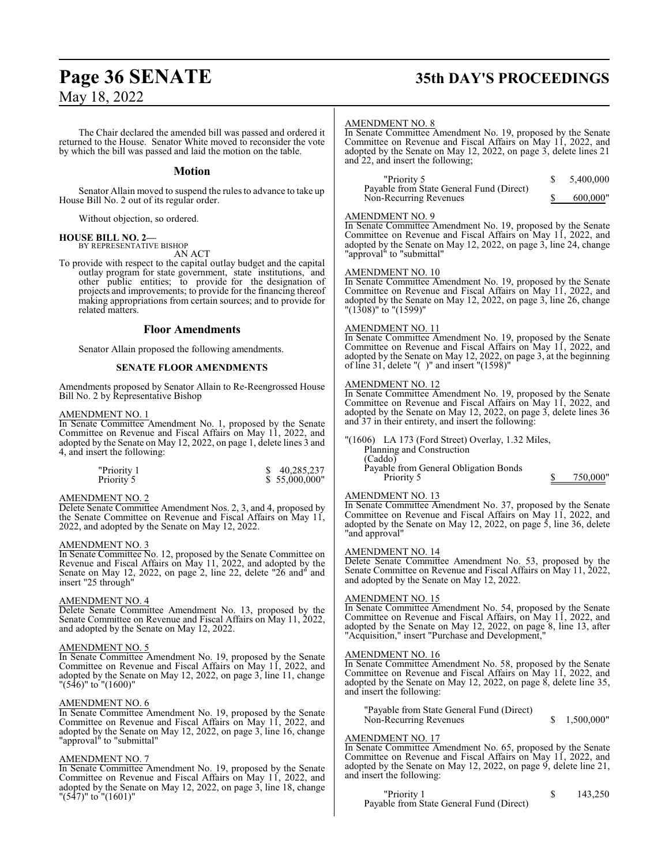The Chair declared the amended bill was passed and ordered it returned to the House. Senator White moved to reconsider the vote by which the bill was passed and laid the motion on the table.

### **Motion**

Senator Allain moved to suspend the rules to advance to take up House Bill No. 2 out of its regular order.

Without objection, so ordered.

## **HOUSE BILL NO. 2—** BY REPRESENTATIVE BISHOP

AN ACT

To provide with respect to the capital outlay budget and the capital outlay program for state government, state institutions, and other public entities; to provide for the designation of projects and improvements; to provide for the financing thereof making appropriations from certain sources; and to provide for related matters.

### **Floor Amendments**

Senator Allain proposed the following amendments.

### **SENATE FLOOR AMENDMENTS**

Amendments proposed by Senator Allain to Re-Reengrossed House Bill No. 2 by Representative Bishop

### AMENDMENT NO. 1

In Senate Committee Amendment No. 1, proposed by the Senate Committee on Revenue and Fiscal Affairs on May 11, 2022, and adopted by the Senate on May 12, 2022, on page 1, delete lines 3 and 4, and insert the following:

| "Priority 1 | 40,285,237    |
|-------------|---------------|
| Priority 5  | \$55,000,000" |

### AMENDMENT NO. 2

Delete Senate Committee Amendment Nos. 2, 3, and 4, proposed by the Senate Committee on Revenue and Fiscal Affairs on May 11, 2022, and adopted by the Senate on May 12, 2022.

### AMENDMENT NO. 3

In Senate Committee No. 12, proposed by the Senate Committee on Revenue and Fiscal Affairs on May 11, 2022, and adopted by the Senate on May 12, 2022, on page 2, line 22, delete "26 and" and insert "25 through"

### AMENDMENT NO. 4

Delete Senate Committee Amendment No. 13, proposed by the Senate Committee on Revenue and Fiscal Affairs on May 11, 2022, and adopted by the Senate on May 12, 2022.

### AMENDMENT NO. 5

In Senate Committee Amendment No. 19, proposed by the Senate Committee on Revenue and Fiscal Affairs on May 11, 2022, and adopted by the Senate on May 12, 2022, on page 3, line 11, change "(546)" to "(1600)"

### AMENDMENT NO. 6

In Senate Committee Amendment No. 19, proposed by the Senate Committee on Revenue and Fiscal Affairs on May 11, 2022, and adopted by the Senate on May 12, 2022, on page 3, line 16, change "approval" to "submittal"

### AMENDMENT NO. 7

In Senate Committee Amendment No. 19, proposed by the Senate Committee on Revenue and Fiscal Affairs on May 11, 2022, and adopted by the Senate on May 12, 2022, on page 3, line 18, change "(547)" to "(1601)"

## **Page 36 SENATE 35th DAY'S PROCEEDINGS**

### AMENDMENT NO. 8

In Senate Committee Amendment No. 19, proposed by the Senate Committee on Revenue and Fiscal Affairs on May 11, 2022, and adopted by the Senate on May 12, 2022, on page 3, delete lines 21 and 22, and insert the following;

| "Priority 5                              | 5.400,000 |
|------------------------------------------|-----------|
| Payable from State General Fund (Direct) |           |
| Non-Recurring Revenues                   | 600,000"  |

### AMENDMENT NO. 9

In Senate Committee Amendment No. 19, proposed by the Senate Committee on Revenue and Fiscal Affairs on May 11, 2022, and adopted by the Senate on May 12, 2022, on page 3, line 24, change "approval" to "submittal"

### AMENDMENT NO. 10

In Senate Committee Amendment No. 19, proposed by the Senate Committee on Revenue and Fiscal Affairs on May 11, 2022, and adopted by the Senate on May 12, 2022, on page 3, line 26, change "(1308)" to "(1599)"

### AMENDMENT NO. 11

In Senate Committee Amendment No. 19, proposed by the Senate Committee on Revenue and Fiscal Affairs on May 11, 2022, and adopted by the Senate on May 12, 2022, on page 3, at the beginning of line 31, delete "( )" and insert "(1598)"

### AMENDMENT NO. 12

In Senate Committee Amendment No. 19, proposed by the Senate Committee on Revenue and Fiscal Affairs on May 11, 2022, and adopted by the Senate on May 12, 2022, on page 3, delete lines 36 and 37 in their entirety, and insert the following:

"(1606) LA 173 (Ford Street) Overlay, 1.32 Miles, Planning and Construction (Caddo) Payable from General Obligation Bonds 750,000"

### AMENDMENT NO. 13

In Senate Committee Amendment No. 37, proposed by the Senate Committee on Revenue and Fiscal Affairs on May 11, 2022, and adopted by the Senate on May 12, 2022, on page 5, line 36, delete "and approval"

### AMENDMENT NO. 14

Delete Senate Committee Amendment No. 53, proposed by the Senate Committee on Revenue and Fiscal Affairs on May 11, 2022, and adopted by the Senate on May 12, 2022.

### AMENDMENT NO. 15

In Senate Committee Amendment No. 54, proposed by the Senate Committee on Revenue and Fiscal Affairs, on May 11, 2022, and adopted by the Senate on May 12, 2022, on page 8, line 13, after "Acquisition," insert "Purchase and Development,"

### AMENDMENT NO. 16

In Senate Committee Amendment No. 58, proposed by the Senate Committee on Revenue and Fiscal Affairs on May 11, 2022, and adopted by the Senate on May 12, 2022, on page 8, delete line 35, and insert the following:

"Payable from State General Fund (Direct) Non-Recurring Revenues  $\qquad$  \$ 1,500,000"

### AMENDMENT NO. 17

In Senate Committee Amendment No. 65, proposed by the Senate Committee on Revenue and Fiscal Affairs on May 11, 2022, and adopted by the Senate on May 12, 2022, on page 9, delete line 21, and insert the following:

 $"Priority 1$   $$ 143,250$ Payable from State General Fund (Direct)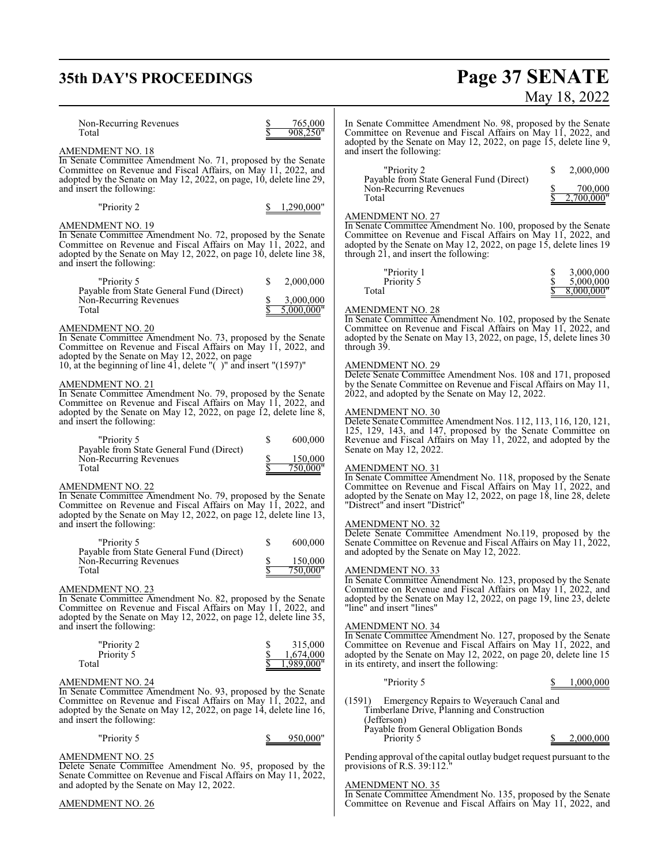AMENDMENT NO. 26

## **35th DAY'S PROCEEDINGS Page 37 SENATE** May 18, 2022

|                                                                                                                                                                                                                                                                                                                                                                                                        | 171.U<br>10, 2022                                                                                                                                                                                                                                                                                                                                                                   |
|--------------------------------------------------------------------------------------------------------------------------------------------------------------------------------------------------------------------------------------------------------------------------------------------------------------------------------------------------------------------------------------------------------|-------------------------------------------------------------------------------------------------------------------------------------------------------------------------------------------------------------------------------------------------------------------------------------------------------------------------------------------------------------------------------------|
| Non-Recurring Revenues<br>765,000<br>908,250"<br>Total<br>AMENDMENT NO. 18                                                                                                                                                                                                                                                                                                                             | In Senate Committee Amendment No. 98, proposed by the Senate<br>Committee on Revenue and Fiscal Affairs on May 11, 2022, and<br>adopted by the Senate on May 12, 2022, on page 15, delete line 9,<br>and insert the following:                                                                                                                                                      |
| In Senate Committee Amendment No. 71, proposed by the Senate<br>Committee on Revenue and Fiscal Affairs, on May 11, 2022, and<br>adopted by the Senate on May 12, 2022, on page, 10, delete line 29,<br>and insert the following:                                                                                                                                                                      | "Priority 2<br>\$<br>2,000,000<br>Payable from State General Fund (Direct)<br>Non-Recurring Revenues<br>700,000<br>2.700.000"<br>Total                                                                                                                                                                                                                                              |
| "Priority 2<br>1,290,000"<br><b>AMENDMENT NO. 19</b><br>In Senate Committee Amendment No. 72, proposed by the Senate<br>Committee on Revenue and Fiscal Affairs on May 11, 2022, and<br>adopted by the Senate on May 12, 2022, on page 10, delete line 38,<br>and insert the following:                                                                                                                | <b>AMENDMENT NO. 27</b><br>In Senate Committee Amendment No. 100, proposed by the Senate<br>Committee on Revenue and Fiscal Affairs on May 11, 2022, and<br>adopted by the Senate on May 12, 2022, on page 15, delete lines 19<br>through 21, and insert the following:                                                                                                             |
| "Priority 5<br>\$<br>2,000,000<br>Payable from State General Fund (Direct)<br>Non-Recurring Revenues<br>3,000,000<br>S<br>5,000,000"<br>Total<br><b>AMENDMENT NO. 20</b><br>In Senate Committee Amendment No. 73, proposed by the Senate<br>Committee on Revenue and Fiscal Affairs on May 11, 2022, and<br>adopted by the Senate on May 12, 2022, on page                                             | "Priority 1<br>3,000,000<br>S<br>\$<br>5,000,000<br>Priority 5<br>8,000,000"<br>Total<br><b>AMENDMENT NO. 28</b><br>In Senate Committee Amendment No. 102, proposed by the Senate<br>Committee on Revenue and Fiscal Affairs on May 11, 2022, and<br>adopted by the Senate on May 13, 2022, on page, 15, delete lines 30<br>through 39.                                             |
| 10, at the beginning of line 41, delete "()" and insert "(1597)"<br>AMENDMENT NO. 21<br>In Senate Committee Amendment No. 79, proposed by the Senate<br>Committee on Revenue and Fiscal Affairs on May 11, 2022, and<br>adopted by the Senate on May 12, 2022, on page 12, delete line 8,<br>and insert the following:                                                                                 | <b>AMENDMENT NO. 29</b><br>Delete Senate Committee Amendment Nos. 108 and 171, proposed<br>by the Senate Committee on Revenue and Fiscal Affairs on May 11,<br>2022, and adopted by the Senate on May 12, 2022.<br><b>AMENDMENT NO. 30</b><br>Delete Senate Committee Amendment Nos. 112, 113, 116, 120, 121,<br>125, 129, 143, and 147, proposed by the Senate Committee on        |
| 600,000<br>"Priority 5<br>\$<br>Payable from State General Fund (Direct)<br>Non-Recurring Revenues<br>150,000<br>\$<br>Total<br>750,000"<br><b>AMENDMENT NO. 22</b><br>In Senate Committee Amendment No. 79, proposed by the Senate<br>Committee on Revenue and Fiscal Affairs on May 11, 2022, and<br>adopted by the Senate on May 12, 2022, on page 12, delete line 13,<br>and insert the following: | Revenue and Fiscal Affairs on May 11, 2022, and adopted by the<br>Senate on May 12, 2022.<br>AMENDMENT NO. 31<br>In Senate Committee Amendment No. 118, proposed by the Senate<br>Committee on Revenue and Fiscal Affairs on May 11, 2022, and<br>adopted by the Senate on May 12, 2022, on page 18, line 28, delete<br>"Distrect" and insert "District"<br><b>AMENDMENT NO. 32</b> |
| \$<br>600,000<br>"Priority 5<br>Payable from State General Fund (Direct)<br>Non-Recurring Revenues<br>150,000<br>\$<br>750,000"<br>Total                                                                                                                                                                                                                                                               | Delete Senate Committee Amendment No.119, proposed by the<br>Senate Committee on Revenue and Fiscal Affairs on May 11, 2022,<br>and adopted by the Senate on May 12, 2022.<br><b>AMENDMENT NO. 33</b>                                                                                                                                                                               |
| <b>AMENDMENT NO. 23</b><br>In Senate Committee Amendment No. 82, proposed by the Senate<br>Committee on Revenue and Fiscal Affairs on May 11, 2022, and<br>adopted by the Senate on May 12, 2022, on page 12, delete line 35,<br>and insert the following:                                                                                                                                             | In Senate Committee Amendment No. 123, proposed by the Senate<br>Committee on Revenue and Fiscal Affairs on May 11, 2022, and<br>adopted by the Senate on May 12, 2022, on page 19, line 23, delete<br>"line" and insert "lines"<br><b>AMENDMENT NO. 34</b>                                                                                                                         |
| "Priority 2<br>\$<br>315,000<br>\$<br>Priority 5<br>1,674,000<br>Total<br>,989,000"                                                                                                                                                                                                                                                                                                                    | In Senate Committee Amendment No. 127, proposed by the Senate<br>Committee on Revenue and Fiscal Affairs on May 11, 2022, and<br>adopted by the Senate on May 12, 2022, on page 20, delete line 15<br>in its entirety, and insert the following:                                                                                                                                    |
| AMENDMENT NO. 24<br>In Senate Committee Amendment No. 93, proposed by the Senate<br>Committee on Revenue and Fiscal Affairs on May 11, 2022, and<br>adopted by the Senate on May 12, 2022, on page 14, delete line 16,<br>and insert the following:                                                                                                                                                    | "Priority 5<br>S<br>1,000,000<br>Emergency Repairs to Weyerauch Canal and<br>(1591)<br>Timberlane Drive, Planning and Construction<br>(Jefferson)<br>Payable from General Obligation Bonds                                                                                                                                                                                          |
| "Priority 5<br>950,000"<br><u>\$</u><br><b>AMENDMENT NO. 25</b><br>Delete Senate Committee Amendment No. 95, proposed by the                                                                                                                                                                                                                                                                           | Priority 5<br>2,000,000<br>Pending approval of the capital outlay budget request pursuant to the<br>provisions of R.S. $39:112."$                                                                                                                                                                                                                                                   |
| Senate Committee on Revenue and Fiscal Affairs on May 11, 2022,<br>and adopted by the Senate on May 12, 2022.                                                                                                                                                                                                                                                                                          | <b>AMENDMENT NO. 35</b>                                                                                                                                                                                                                                                                                                                                                             |

In Senate Committee Amendment No. 135, proposed by the Senate Committee on Revenue and Fiscal Affairs on May 11, 2022, and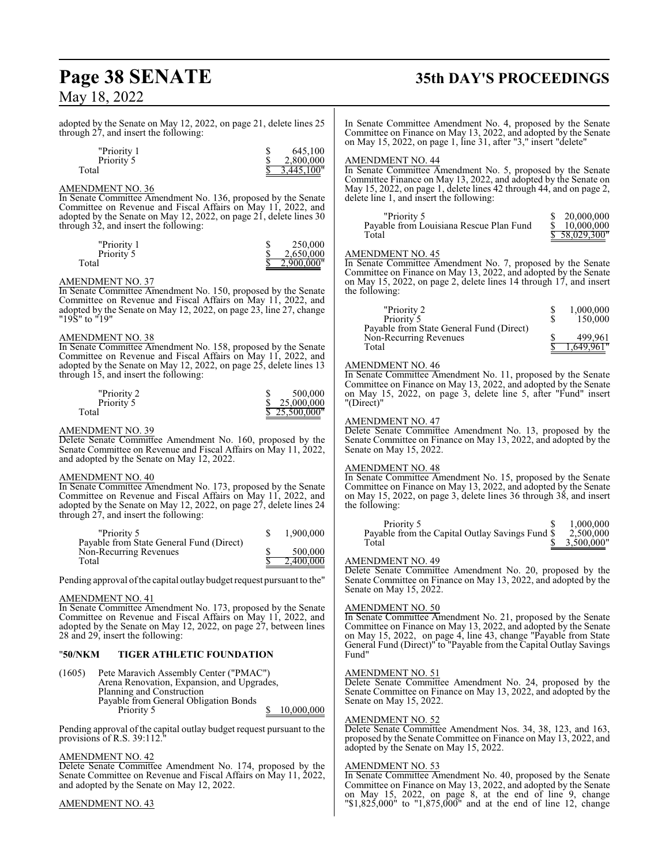## **Page 38 SENATE 35th DAY'S PROCEEDINGS**

### May 18, 2022

adopted by the Senate on May 12, 2022, on page 21, delete lines 25 through 27, and insert the following: "Priority 1 <br>Priority 5 <br>S 2,800,000 Priority 5  $\frac{$2,800,000}{$3,445,100"$  $3,445,100"$ AMENDMENT NO. 36 In Senate Committee Amendment No. 136, proposed by the Senate Committee on Revenue and Fiscal Affairs on May 11, 2022, and adopted by the Senate on May 12, 2022, on page 21, delete lines 30 through 32, and insert the following: "Priority 1 <br>Priority 5 <br>S 2,650,000 Priority<sup>5</sup>  $2.900,000$ " AMENDMENT NO. 37 In Senate Committee Amendment No. 150, proposed by the Senate Committee on Revenue and Fiscal Affairs on May 11, 2022, and adopted by the Senate on May 12, 2022, on page 23, line 27, change "19S" to "19" AMENDMENT NO. 38 In Senate Committee Amendment No. 158, proposed by the Senate Committee on Revenue and Fiscal Affairs on May 11, 2022, and adopted by the Senate on May 12, 2022, on page 25, delete lines 13 through 15, and insert the following: "Priority 2 \$ 500,000<br>Priority 5 \$ 25,000,000 Priority 5 <br>
Priority 5 <br>
Total <br>  $\frac{$25,000,000}{$25,500,000"$ 25,500,000" AMENDMENT NO. 39 Delete Senate Committee Amendment No. 160, proposed by the Senate Committee on Revenue and Fiscal Affairs on May 11, 2022, and adopted by the Senate on May 12, 2022. AMENDMENT NO. 40 In Senate Committee Amendment No. 173, proposed by the Senate Committee on Revenue and Fiscal Affairs on May 11, 2022, and adopted by the Senate on May 12, 2022, on page 27, delete lines 24 through 27, and insert the following: "Priority 5 \$ 1,900,000 Payable from State General Fund (Direct) Non-Recurring Revenues<br>
Total  $\frac{$8 \times 500,000}{1}$ 2,400,000 Pending approval of the capital outlay budget request pursuant to the" AMENDMENT NO. 41 In Senate Committee Amendment No. 173, proposed by the Senate Committee on Revenue and Fiscal Affairs on May 11, 2022, and adopted by the Senate on May 12, 2022, on page 27, between lines 28 and 29, insert the following: "**50/NKM TIGER ATHLETIC FOUNDATION** "(Direct)" Fund"

(1605) Pete Maravich Assembly Center ("PMAC") Arena Renovation, Expansion, and Upgrades, Planning and Construction Payable from General Obligation Bonds 10,000,000

Pending approval of the capital outlay budget request pursuant to the provisions of R.S. 39:112.

### AMENDMENT NO. 42

Delete Senate Committee Amendment No. 174, proposed by the Senate Committee on Revenue and Fiscal Affairs on May 11, 2022, and adopted by the Senate on May 12, 2022.

### AMENDMENT NO. 43

In Senate Committee Amendment No. 4, proposed by the Senate Committee on Finance on May 13, 2022, and adopted by the Senate on May 15, 2022, on page 1, line 31, after "3," insert "delete"

### AMENDMENT NO. 44

In Senate Committee Amendment No. 5, proposed by the Senate Committee Finance on May 13, 2022, and adopted by the Senate on May 15, 2022, on page 1, delete lines 42 through 44, and on page 2, delete line 1, and insert the following:

| "Priority 5                             | \$ 20,000,000 |
|-----------------------------------------|---------------|
| Payable from Louisiana Rescue Plan Fund | 10,000,000    |
| Total                                   | \$58,029,300" |

### AMENDMENT NO. 45

In Senate Committee Amendment No. 7, proposed by the Senate Committee on Finance on May 13, 2022, and adopted by the Senate on May 15, 2022, on page 2, delete lines 14 through 17, and insert the following:

| "Priority 2                              | 1,000,000  |
|------------------------------------------|------------|
| Priority 5                               | 150,000    |
| Payable from State General Fund (Direct) |            |
| Non-Recurring Revenues                   | 499.961    |
| Total                                    | 1,649,961" |

### AMENDMENT NO. 46

In Senate Committee Amendment No. 11, proposed by the Senate Committee on Finance on May 13, 2022, and adopted by the Senate on May 15, 2022, on page 3, delete line 5, after "Fund" insert

### AMENDMENT NO. 47

Delete Senate Committee Amendment No. 13, proposed by the Senate Committee on Finance on May 13, 2022, and adopted by the Senate on May 15, 2022.

#### AMENDMENT NO. 48

In Senate Committee Amendment No. 15, proposed by the Senate Committee on Finance on May 13, 2022, and adopted by the Senate on May 15, 2022, on page 3, delete lines 36 through 38, and insert the following:

| Priority 5                                      | 1,000,000  |
|-------------------------------------------------|------------|
| Payable from the Capital Outlay Savings Fund \$ | 2.500,000  |
| Total                                           | 3.500.000" |

### AMENDMENT NO. 49

Delete Senate Committee Amendment No. 20, proposed by the Senate Committee on Finance on May 13, 2022, and adopted by the Senate on May 15, 2022.

### AMENDMENT NO. 50

In Senate Committee Amendment No. 21, proposed by the Senate Committee on Finance on May 13, 2022, and adopted by the Senate on May 15, 2022, on page 4, line 43, change "Payable from State General Fund (Direct)" to "Payable from the Capital Outlay Savings

### AMENDMENT NO. 51

Delete Senate Committee Amendment No. 24, proposed by the Senate Committee on Finance on May 13, 2022, and adopted by the Senate on May 15, 2022.

### AMENDMENT NO. 52

Delete Senate Committee Amendment Nos. 34, 38, 123, and 163, proposed by the Senate Committee on Finance on May 13, 2022, and adopted by the Senate on May 15, 2022.

### AMENDMENT NO. 53

In Senate Committee Amendment No. 40, proposed by the Senate Committee on Finance on May 13, 2022, and adopted by the Senate on May 15, 2022, on page 8, at the end of line 9, change "\$1,825,000" to "1,875,000" and at the end of line 12, change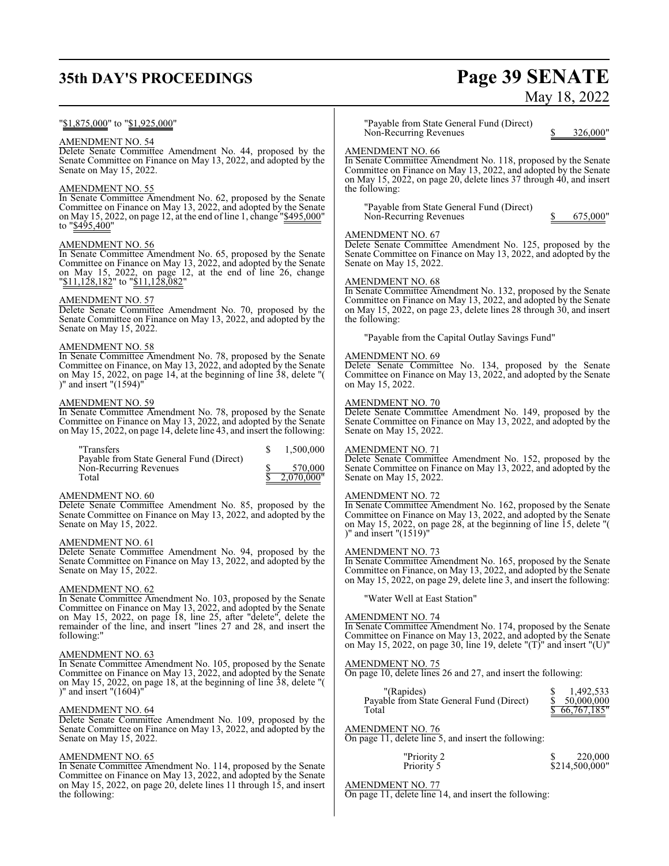## **35th DAY'S PROCEEDINGS Page 39 SENATE**

### "\$1,875,000" to "\$1,925,000"

### AMENDMENT NO. 54

Delete Senate Committee Amendment No. 44, proposed by the Senate Committee on Finance on May 13, 2022, and adopted by the Senate on May 15, 2022.

### AMENDMENT NO. 55

In Senate Committee Amendment No. 62, proposed by the Senate Committee on Finance on May 13, 2022, and adopted by the Senate on May 15, 2022, on page 12, at the end of line 1, change "\$495,000" to "\$495,400"

### AMENDMENT NO. 56

In Senate Committee Amendment No. 65, proposed by the Senate Committee on Finance on May 13, 2022, and adopted by the Senate on May 15, 2022, on page 12, at the end of line 26, change "<u>\$11,128,182</u>" to "<u>\$11,128,082</u>"

### AMENDMENT NO. 57

Delete Senate Committee Amendment No. 70, proposed by the Senate Committee on Finance on May 13, 2022, and adopted by the Senate on May 15, 2022.

### AMENDMENT NO. 58

In Senate Committee Amendment No. 78, proposed by the Senate Committee on Finance, on May 13, 2022, and adopted by the Senate on May 15, 2022, on page 14, at the beginning of line 38, delete "( )" and insert "(1594)"

### AMENDMENT NO. 59

In Senate Committee Amendment No. 78, proposed by the Senate Committee on Finance on May 13, 2022, and adopted by the Senate on May 15, 2022, on page 14, delete line 43, and insert the following:

| "Transfers                                                         | 1,500,000    |
|--------------------------------------------------------------------|--------------|
| Payable from State General Fund (Direct)<br>Non-Recurring Revenues | 570,000      |
| Total                                                              | \$2.070,000" |

### AMENDMENT NO. 60

Delete Senate Committee Amendment No. 85, proposed by the Senate Committee on Finance on May 13, 2022, and adopted by the Senate on May 15, 2022.

### AMENDMENT NO. 61

Delete Senate Committee Amendment No. 94, proposed by the Senate Committee on Finance on May 13, 2022, and adopted by the Senate on May 15, 2022.

### AMENDMENT NO. 62

In Senate Committee Amendment No. 103, proposed by the Senate Committee on Finance on May 13, 2022, and adopted by the Senate on May 15, 2022, on page 18, line 25, after "delete", delete the remainder of the line, and insert "lines 27 and 28, and insert the following:"

### AMENDMENT NO. 63

In Senate Committee Amendment No. 105, proposed by the Senate Committee on Finance on May 13, 2022, and adopted by the Senate on May 15, 2022, on page 18, at the beginning of line 38, delete "( )" and insert "(1604)"

### AMENDMENT NO. 64

Delete Senate Committee Amendment No. 109, proposed by the Senate Committee on Finance on May 13, 2022, and adopted by the Senate on May 15, 2022.

### AMENDMENT NO. 65

In Senate Committee Amendment No. 114, proposed by the Senate Committee on Finance on May 13, 2022, and adopted by the Senate on May 15, 2022, on page 20, delete lines 11 through 15, and insert the following:

May 18, 2022

"Payable from State General Fund (Direct) Non-Recurring Revenues \$ 326,000"

### AMENDMENT NO. 66

In Senate Committee Amendment No. 118, proposed by the Senate Committee on Finance on May 13, 2022, and adopted by the Senate on May 15, 2022, on page 20, delete lines 37 through 40, and insert the following:

"Payable from State General Fund (Direct) Non-Recurring Revenues \$ 675,000"

### AMENDMENT NO. 67

Delete Senate Committee Amendment No. 125, proposed by the Senate Committee on Finance on May 13, 2022, and adopted by the Senate on May 15, 2022.

### AMENDMENT NO. 68

In Senate Committee Amendment No. 132, proposed by the Senate Committee on Finance on May 13, 2022, and adopted by the Senate on May 15, 2022, on page 23, delete lines 28 through 30, and insert the following:

"Payable from the Capital Outlay Savings Fund"

### AMENDMENT NO. 69

Delete Senate Committee No. 134, proposed by the Senate Committee on Finance on May 13, 2022, and adopted by the Senate on May 15, 2022.

### AMENDMENT NO. 70

Delete Senate Committee Amendment No. 149, proposed by the Senate Committee on Finance on May 13, 2022, and adopted by the Senate on May 15, 2022.

### AMENDMENT NO. 71

Delete Senate Committee Amendment No. 152, proposed by the Senate Committee on Finance on May 13, 2022, and adopted by the Senate on May 15, 2022.

### AMENDMENT NO. 72

In Senate Committee Amendment No. 162, proposed by the Senate Committee on Finance on May 13, 2022, and adopted by the Senate on May 15, 2022, on page 28, at the beginning of line 15, delete "( )" and insert "(1519)"

### AMENDMENT NO. 73

In Senate Committee Amendment No. 165, proposed by the Senate Committee on Finance, on May 13, 2022, and adopted by the Senate on May 15, 2022, on page 29, delete line 3, and insert the following:

"Water Well at East Station"

### AMENDMENT NO. 74

In Senate Committee Amendment No. 174, proposed by the Senate Committee on Finance on May 13, 2022, and adopted by the Senate on May 15, 2022, on page 30, line 19, delete "(T)" and insert "(U)"

### AMENDMENT NO. 75

On page 10, delete lines 26 and 27, and insert the following:

| "(Rapides)                               | 1,492,533     |
|------------------------------------------|---------------|
| Payable from State General Fund (Direct) | 50,000,000    |
| Total                                    | \$66,767,185" |

### AMENDMENT NO. 76

On page 11, delete line 5, and insert the following:

| "Priority 2 | 220,000        |
|-------------|----------------|
| Priority 5  | \$214,500,000" |

### AMENDMENT NO. 77

On page 11, delete line 14, and insert the following: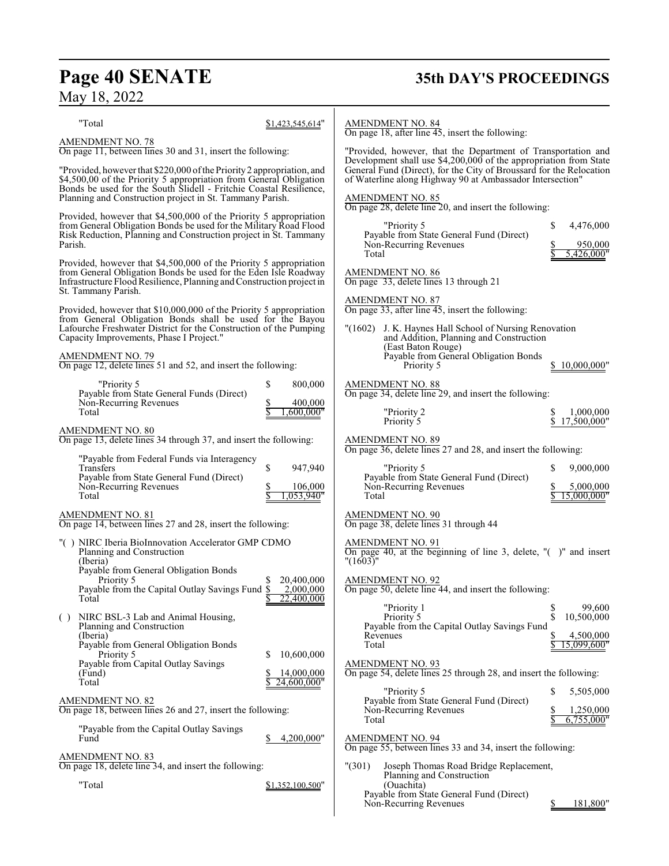## **Page 40 SENATE 35th DAY'S PROCEEDINGS** May 18, 2022

| "Total                                                                                                                                                                                                                                                                         | \$1,423,545,614"                              | <b>AMENDMENT NO. 84</b>                                                                                                                                                                                                   |                                                              |
|--------------------------------------------------------------------------------------------------------------------------------------------------------------------------------------------------------------------------------------------------------------------------------|-----------------------------------------------|---------------------------------------------------------------------------------------------------------------------------------------------------------------------------------------------------------------------------|--------------------------------------------------------------|
| AMENDMENT NO. 78                                                                                                                                                                                                                                                               |                                               | On page 18, after line 45, insert the following:                                                                                                                                                                          |                                                              |
| On page 11, between lines 30 and 31, insert the following:                                                                                                                                                                                                                     |                                               | "Provided, however, that the Department of Transportation and                                                                                                                                                             |                                                              |
| "Provided, however that \$220,000 of the Priority 2 appropriation, and<br>\$4,500,00 of the Priority 5 appropriation from General Obligation<br>Bonds be used for the South Slidell - Fritchie Coastal Resilience,<br>Planning and Construction project in St. Tammany Parish. |                                               | Development shall use \$4,200,000 of the appropriation from State<br>General Fund (Direct), for the City of Broussard for the Relocation<br>of Waterline along Highway 90 at Ambassador Intersection"<br>AMENDMENT NO. 85 |                                                              |
| Provided, however that \$4,500,000 of the Priority 5 appropriation                                                                                                                                                                                                             |                                               | On page 28, delete line 20, and insert the following:                                                                                                                                                                     |                                                              |
| from General Obligation Bonds be used for the Military Road Flood<br>Risk Reduction, Planning and Construction project in St. Tammany<br>Parish.                                                                                                                               |                                               | "Priority 5<br>Payable from State General Fund (Direct)<br>Non-Recurring Revenues<br>Total                                                                                                                                | \$<br>4,476,000<br>950,000<br>5,426,000"                     |
| Provided, however that \$4,500,000 of the Priority 5 appropriation<br>from General Obligation Bonds be used for the Eden Isle Roadway<br>Infrastructure Flood Resilience, Planning and Construction project in<br>St. Tammany Parish.                                          |                                               | <b>AMENDMENT NO. 86</b><br>On page 33, delete lines 13 through 21                                                                                                                                                         |                                                              |
| Provided, however that \$10,000,000 of the Priority 5 appropriation                                                                                                                                                                                                            |                                               | <b>AMENDMENT NO. 87</b><br>On page 33, after line 45, insert the following:                                                                                                                                               |                                                              |
| from General Obligation Bonds shall be used for the Bayou<br>Lafourche Freshwater District for the Construction of the Pumping<br>Capacity Improvements, Phase I Project."                                                                                                     |                                               | "(1602)<br>J. K. Haynes Hall School of Nursing Renovation<br>and Addition, Planning and Construction                                                                                                                      |                                                              |
| AMENDMENT NO. 79<br>On page 12, delete lines 51 and 52, and insert the following:                                                                                                                                                                                              |                                               | (East Baton Rouge)<br>Payable from General Obligation Bonds<br>Priority 5                                                                                                                                                 | 10,000,000"                                                  |
| "Priority 5<br>Payable from State General Funds (Direct)<br>Non-Recurring Revenues                                                                                                                                                                                             | \$<br>800,000<br>400,000                      | AMENDMENT NO. 88<br>On page 34, delete line 29, and insert the following:                                                                                                                                                 |                                                              |
| Total                                                                                                                                                                                                                                                                          | .600.000"                                     | "Priority 2<br>Priority 5                                                                                                                                                                                                 | 1,000,000<br>\$<br>17,500,000"                               |
| AMENDMENT NO. 80<br>On page 13, delete lines 34 through 37, and insert the following:                                                                                                                                                                                          |                                               | <b>AMENDMENT NO. 89</b><br>On page 36, delete lines 27 and 28, and insert the following:                                                                                                                                  |                                                              |
| "Payable from Federal Funds via Interagency<br>Transfers<br>Payable from State General Fund (Direct)<br>Non-Recurring Revenues<br>Total                                                                                                                                        | \$<br>947,940<br>106,000<br>,053,940"         | "Priority 5<br>Payable from State General Fund (Direct)<br>Non-Recurring Revenues<br>Total                                                                                                                                | 9,000,000<br>S<br>5,000,000<br>15,000,000"                   |
| AMENDMENT NO. 81<br>On page 14, between lines 27 and 28, insert the following:                                                                                                                                                                                                 |                                               | AMENDMENT NO. 90<br>On page 38, delete lines 31 through 44                                                                                                                                                                |                                                              |
| "() NIRC Iberia BioInnovation Accelerator GMP CDMO<br>Planning and Construction<br>(Iberia)                                                                                                                                                                                    |                                               | <b>AMENDMENT NO. 91</b><br>On page 40, at the beginning of line 3, delete, "()" and insert<br>$"$ (1603)"                                                                                                                 |                                                              |
| Payable from General Obligation Bonds<br>Priority 5<br>Payable from the Capital Outlay Savings Fund \$<br>Total                                                                                                                                                                | 20,400,000<br>2,000,000<br>22,400,000         | <b>AMENDMENT NO. 92</b><br>On page 50, delete line 44, and insert the following:                                                                                                                                          |                                                              |
| ( )<br>NIRC BSL-3 Lab and Animal Housing,<br>Planning and Construction<br>(Iberia)<br>Payable from General Obligation Bonds                                                                                                                                                    |                                               | "Priority 1<br>Priority 5<br>Payable from the Capital Outlay Savings Fund<br>Revenues<br>Total                                                                                                                            | \$<br>99,600<br>\$<br>10,500,000<br>4,500,000<br>15,099,600" |
| Priority 5<br>Payable from Capital Outlay Savings<br>(Fund)<br>Total                                                                                                                                                                                                           | 10,600,000<br>\$<br>14,000,000<br>24,600,000" | <b>AMENDMENT NO. 93</b><br>On page 54, delete lines 25 through 28, and insert the following:                                                                                                                              |                                                              |
| AMENDMENT NO. 82<br>On page 18, between lines 26 and 27, insert the following:                                                                                                                                                                                                 |                                               | "Priority 5<br>Payable from State General Fund (Direct)<br>Non-Recurring Revenues                                                                                                                                         | 5,505,000<br>S<br>1,250,000                                  |
| "Payable from the Capital Outlay Savings<br>Fund                                                                                                                                                                                                                               | 4,200,000"                                    | Total<br><b>AMENDMENT NO. 94</b><br>On page 55, between lines 33 and 34, insert the following:                                                                                                                            | 6,755,000"                                                   |
| AMENDMENT NO. 83                                                                                                                                                                                                                                                               |                                               |                                                                                                                                                                                                                           |                                                              |
| On page 18, delete line 34, and insert the following:<br>"Total                                                                                                                                                                                                                | \$1,352,100,500"                              | "(301)<br>Joseph Thomas Road Bridge Replacement,<br>Planning and Construction<br>(Ouachita)                                                                                                                               |                                                              |
|                                                                                                                                                                                                                                                                                |                                               | Payable from State General Fund (Direct)<br>Non-Recurring Revenues                                                                                                                                                        | 181,800"                                                     |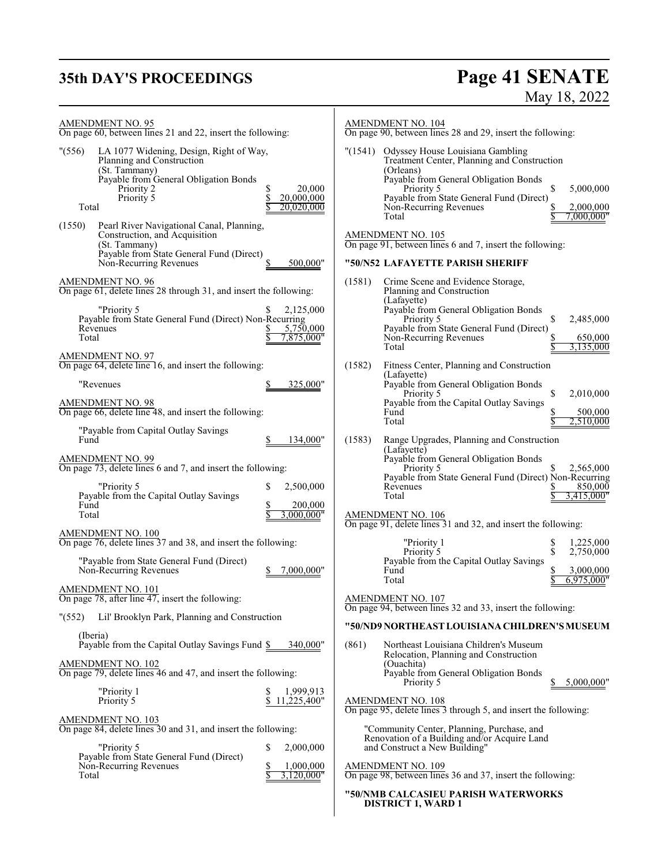## **35th DAY'S PROCEEDINGS**

# **Page 41 SENATE**<br>May 18, 2022

| <b>AMENDMENT NO. 95</b><br>On page 60, between lines 21 and 22, insert the following:                                                                                                                                | AMENDMENT NO. 104<br>On page 90, between lines 28 and 29, insert the following:                                                                                                                                                                                   |
|----------------------------------------------------------------------------------------------------------------------------------------------------------------------------------------------------------------------|-------------------------------------------------------------------------------------------------------------------------------------------------------------------------------------------------------------------------------------------------------------------|
| " (556)<br>LA 1077 Widening, Design, Right of Way,<br>Planning and Construction<br>(St. Tammany)<br>Payable from General Obligation Bonds<br>Priority 2<br>20,000<br>Priority 5<br>20,000,000<br>20,020,000<br>Total | "(1541) Odyssey House Louisiana Gambling<br>Treatment Center, Planning and Construction<br>(Orleans)<br>Payable from General Obligation Bonds<br>\$<br>Priority 5<br>5,000,000<br>Payable from State General Fund (Direct)<br>Non-Recurring Revenues<br>2,000,000 |
| (1550)<br>Pearl River Navigational Canal, Planning,<br>Construction, and Acquisition<br>(St. Tammany)<br>Payable from State General Fund (Direct)<br>Non-Recurring Revenues<br>500,000"                              | 000.000"<br>Total<br><b>AMENDMENT NO. 105</b><br>On page 91, between lines 6 and 7, insert the following:<br>"50/N52 LAFAYETTE PARISH SHERIFF                                                                                                                     |
| <b>AMENDMENT NO. 96</b><br>On page 61, delete lines 28 through 31, and insert the following:                                                                                                                         | (1581)<br>Crime Scene and Evidence Storage,<br>Planning and Construction<br>(Lafayette)                                                                                                                                                                           |
| "Priority 5<br>2,125,000<br>Payable from State General Fund (Direct) Non-Recurring<br>Revenues<br>5,750,000<br>Total<br>7,875,000"                                                                                   | Payable from General Obligation Bonds<br>Priority 5<br>\$<br>2,485,000<br>Payable from State General Fund (Direct)<br>Non-Recurring Revenues<br>650,000<br>3,135,000<br>Total                                                                                     |
| <b>AMENDMENT NO. 97</b><br>On page 64, delete line 16, and insert the following:                                                                                                                                     | (1582)<br>Fitness Center, Planning and Construction<br>(Lafayette)                                                                                                                                                                                                |
| 325,000"<br>"Revenues<br><b>AMENDMENT NO. 98</b><br>On page 66, delete line 48, and insert the following:                                                                                                            | Payable from General Obligation Bonds<br>Priority 5<br>\$<br>2,010,000<br>Payable from the Capital Outlay Savings<br>Fund<br>500,000                                                                                                                              |
| "Payable from Capital Outlay Savings<br>Fund<br>134,000"                                                                                                                                                             | 2,510,000<br>Total<br>(1583)<br>Range Upgrades, Planning and Construction                                                                                                                                                                                         |
| <b>AMENDMENT NO. 99</b><br>On page 73, delete lines 6 and 7, and insert the following:                                                                                                                               | (Lafayette)<br>Payable from General Obligation Bonds<br>2,565,000<br>Priority 5                                                                                                                                                                                   |
| "Priority 5<br>2,500,000<br>S<br>Payable from the Capital Outlay Savings<br>Fund<br>200,000<br>S<br>Total<br>3,000,000"                                                                                              | Payable from State General Fund (Direct) Non-Recurring<br>Revenues<br>850,000<br>Total<br>3,415,000"<br><b>AMENDMENT NO. 106</b>                                                                                                                                  |
| <b>AMENDMENT NO. 100</b><br>On page 76, delete lines 37 and 38, and insert the following:                                                                                                                            | On page 91, delete lines 31 and 32, and insert the following:<br>"Priority 1<br>1,225,000<br>S                                                                                                                                                                    |
| "Payable from State General Fund (Direct)<br>Non-Recurring Revenues<br>7,000,000"                                                                                                                                    | \$<br>Priority 5<br>2,750,000<br>Payable from the Capital Outlay Savings<br>Fund<br>3,000,000                                                                                                                                                                     |
| AMENDMENT NO. 101<br>On page 78, after line 47, insert the following:                                                                                                                                                | 6,975,000"<br>Total<br><b>AMENDMENT NO. 107</b>                                                                                                                                                                                                                   |
| Lil' Brooklyn Park, Planning and Construction<br>" (552)                                                                                                                                                             | On page 94, between lines 32 and 33, insert the following:<br>"50/ND9 NORTHEAST LOUISIANA CHILDREN'S MUSEUM                                                                                                                                                       |
| (Iberia)<br>Payable from the Capital Outlay Savings Fund \$<br>340,000"                                                                                                                                              | (861)<br>Northeast Louisiana Children's Museum                                                                                                                                                                                                                    |
| AMENDMENT NO. 102<br>On page 79, delete lines 46 and 47, and insert the following:                                                                                                                                   | Relocation, Planning and Construction<br>(Ouachita)<br>Payable from General Obligation Bonds<br>Priority 5<br>5,000,000"                                                                                                                                          |
| 1,999,913<br>"Priority 1<br>\$<br>11,225,400"<br>Priority 5                                                                                                                                                          | AMENDMENT NO. 108<br>On page 95, delete lines 3 through 5, and insert the following:                                                                                                                                                                              |
| $\frac{\text{AMENDMENT NO. 103}}{\text{On page 84, delete lines 30 and 31, and insert the following:}}$<br>"Priority 5<br>2,000,000<br>\$                                                                            | "Community Center, Planning, Purchase, and<br>Renovation of a Building and/or Acquire Land<br>and Construct a New Building"                                                                                                                                       |
| Payable from State General Fund (Direct)<br>Non-Recurring Revenues<br>1,000,000<br>\$<br>S<br>Total<br>3,120,000"                                                                                                    | <b>AMENDMENT NO. 109</b><br>On page 98, between lines 36 and 37, insert the following:                                                                                                                                                                            |
|                                                                                                                                                                                                                      | "50/NMB CALCASIEU PARISH WATERWORKS<br><b>DISTRICT 1, WARD 1</b>                                                                                                                                                                                                  |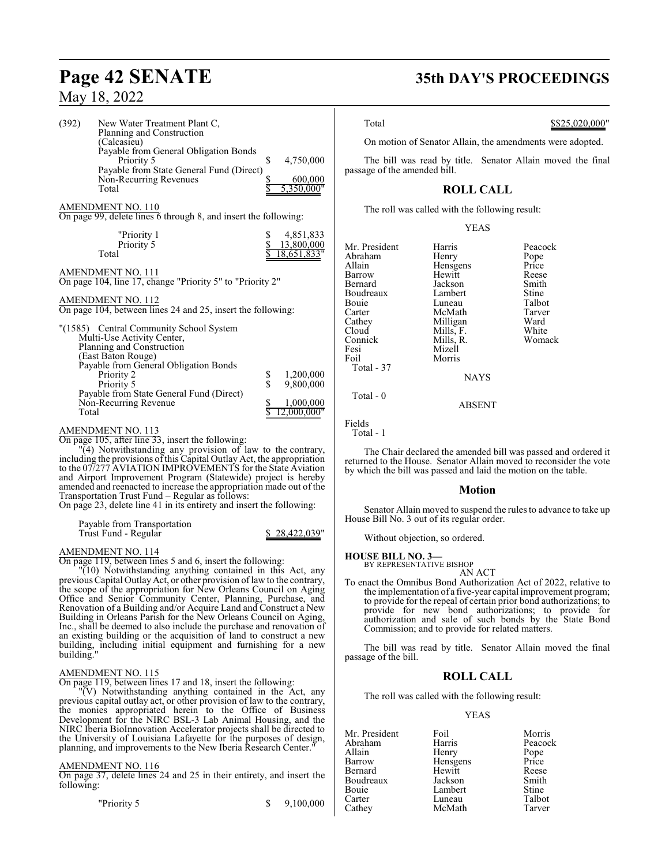| (392) | New Water Treatment Plant C,<br>Planning and Construction                                   |                               |                                |
|-------|---------------------------------------------------------------------------------------------|-------------------------------|--------------------------------|
|       | (Calcasieu)<br>Payable from General Obligation Bonds                                        |                               | (                              |
|       | Priority 5                                                                                  | 4,750,000<br>\$               |                                |
|       | Payable from State General Fund (Direct)<br>Non-Recurring Revenues                          | 600,000                       | passa                          |
|       | Total                                                                                       | 5,350,000                     |                                |
|       | <b>AMENDMENT NO. 110</b><br>On page 99, delete lines 6 through 8, and insert the following: |                               |                                |
|       | "Priority 1                                                                                 | 4,851,833                     |                                |
|       | Priority 5<br>Total                                                                         | 13,800,000<br>18,651,833"     | Mr. P<br>Abral                 |
|       | <b>AMENDMENT NO. 111</b><br>On page 104, line 17, change "Priority 5" to "Priority 2"       |                               | Allair<br>Barro<br>Berna       |
|       | <b>AMENDMENT NO. 112</b><br>On page 104, between lines 24 and 25, insert the following:     |                               | <b>Boud</b><br>Bouie<br>Carter |
|       | "(1585) Central Community School System                                                     |                               | Cathe<br>Cloud                 |
|       | Multi-Use Activity Center,<br>Planning and Construction                                     |                               | Conn:<br>Fesi                  |
|       | (East Baton Rouge)<br>Payable from General Obligation Bonds                                 |                               | Foil                           |
|       | Priority 2                                                                                  | \$<br>\$<br>1,200,000         | Tot                            |
|       | Priority 5<br>Payable from State General Fund (Direct)                                      | 9,800,000                     | Tota                           |
| Total | Non-Recurring Revenue                                                                       | \$<br>1,000,000<br>2.000,000" |                                |
|       |                                                                                             |                               | $T^*$ 11                       |

### AMENDMENT NO. 113

On page 105, after line 33, insert the following:

"(4) Notwithstanding any provision of law to the contrary, including the provisions of this Capital Outlay Act, the appropriation to the 07/277 AVIATION IMPROVEMENTS for the State Aviation and Airport Improvement Program (Statewide) project is hereby amended and reenacted to increase the appropriation made out of the Transportation Trust Fund – Regular as follows:

On page 23, delete line 41 in its entirety and insert the following:

### Payable from Transportation Trust Fund - Regular \$ 28,422,039"

### AMENDMENT NO. 114

On page 119, between lines 5 and 6, insert the following:

"(10) Notwithstanding anything contained in this Act, any previous Capital Outlay Act, or other provision of law to the contrary, the scope of the appropriation for New Orleans Council on Aging Office and Senior Community Center, Planning, Purchase, and Renovation of a Building and/or Acquire Land and Construct a New Building in Orleans Parish for the New Orleans Council on Aging, Inc., shall be deemed to also include the purchase and renovation of an existing building or the acquisition of land to construct a new building, including initial equipment and furnishing for a new building."

### AMENDMENT NO. 115

On page 119, between lines 17 and 18, insert the following:

"(V) Notwithstanding anything contained in the Act, any previous capital outlay act, or other provision of law to the contrary, the monies appropriated herein to the Office of Business Development for the NIRC BSL-3 Lab Animal Housing, and the NIRC Iberia BioInnovation Accelerator projects shall be directed to the University of Louisiana Lafayette for the purposes of design, planning, and improvements to the New Iberia Research Center."

### AMENDMENT NO. 116

On page 37, delete lines 24 and 25 in their entirety, and insert the following:

"Priority 5 \$ 9,100,000

## **Page 42 SENATE 35th DAY'S PROCEEDINGS**

On motion of Senator Allain, the amendments were adopted.

The bill was read by title. Senator Allain moved the final ge of the amended bill.

### **ROLL CALL**

The roll was called with the following result:

|--|--|--|--|

| Mr. President | Harris        | Peacock |
|---------------|---------------|---------|
| Abraham       | Henry         | Pope    |
| Allain        | Hensgens      | Price   |
| Barrow        | Hewitt        | Reese   |
| Bernard       | Jackson       | Smith   |
| Boudreaux     | Lambert       | Stine   |
| Bouie         | Luneau        | Talbot  |
| Carter        | McMath        | Tarver  |
| Cathev        | Milligan      | Ward    |
| Cloud         | Mills, F.     | White   |
| Connick       | Mills, R.     | Womack  |
| Fesi          | Mizell        |         |
| Foil          | Morris        |         |
| Total - 37    |               |         |
|               | <b>NAYS</b>   |         |
|               |               |         |
| Total $-0$    |               |         |
|               | <b>ABSENT</b> |         |
|               |               |         |

Fields

Total - 1

The Chair declared the amended bill was passed and ordered it returned to the House. Senator Allain moved to reconsider the vote by which the bill was passed and laid the motion on the table.

### **Motion**

Senator Allain moved to suspend the rules to advance to take up House Bill No. 3 out of its regular order.

Without objection, so ordered.

### **HOUSE BILL NO. 3—**

BY REPRESENTATIVE BISHOP AN ACT

To enact the Omnibus Bond Authorization Act of 2022, relative to the implementation of a five-year capital improvement program; to provide for the repeal of certain prior bond authorizations; to provide for new bond authorizations; to provide for authorization and sale of such bonds by the State Bond Commission; and to provide for related matters.

The bill was read by title. Senator Allain moved the final passage of the bill.

### **ROLL CALL**

The roll was called with the following result:

### YEAS

| Mr. President | Foil     | Morris        |
|---------------|----------|---------------|
| Abraham       | Harris   | Peacock       |
| Allain        | Henry    |               |
| Barrow        | Hensgens | Pope<br>Price |
| Bernard       | Hewitt   | Reese         |
| Boudreaux     | Jackson  | Smith         |
| Bouie         | Lambert  | <b>Stine</b>  |
| Carter        | Luneau   | Talbot        |
| Cathev        | McMath   | Tarver        |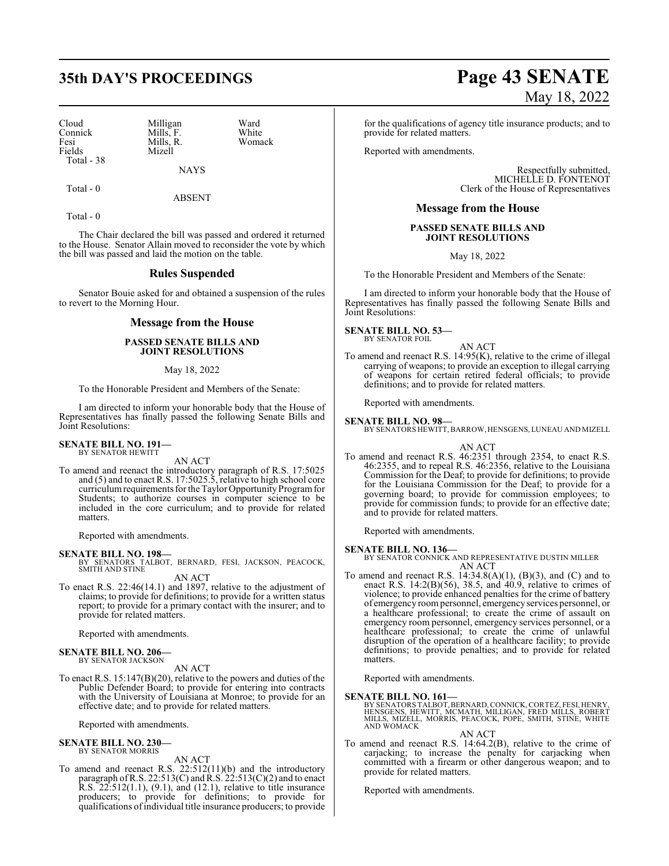Cloud Milligan Ward<br>
Connick Mills, F. White Connick Mills, F. White<br>
Fesi Mills, R. Womack Fesi Mills, R.<br>Fields Mizell Total - 38

Mizell

Total - 0

ABSENT

NAYS

Total - 0

The Chair declared the bill was passed and ordered it returned to the House. Senator Allain moved to reconsider the vote by which the bill was passed and laid the motion on the table.

### **Rules Suspended**

Senator Bouie asked for and obtained a suspension of the rules to revert to the Morning Hour.

### **Message from the House**

### **PASSED SENATE BILLS AND JOINT RESOLUTIONS**

### May 18, 2022

To the Honorable President and Members of the Senate:

I am directed to inform your honorable body that the House of Representatives has finally passed the following Senate Bills and Joint Resolutions:

#### **SENATE BILL NO. 191—** BY SENATOR HEWITT

AN ACT

To amend and reenact the introductory paragraph of R.S. 17:5025 and (5) and to enact R.S. 17:5025.5, relative to high school core curriculum requirements for the Taylor Opportunity Program for Students; to authorize courses in computer science to be included in the core curriculum; and to provide for related matters.

Reported with amendments.

### **SENATE BILL NO. 198—**

BY SENATORS TALBOT, BERNARD, FESI, JACKSON, PEACOCK, SMITH AND STINE AN ACT

To enact R.S. 22:46(14.1) and 1897, relative to the adjustment of claims; to provide for definitions; to provide for a written status report; to provide for a primary contact with the insurer; and to provide for related matters.

Reported with amendments.

#### **SENATE BILL NO. 206—** BY SENATOR JACKSON

AN ACT

To enact R.S. 15:147(B)(20), relative to the powers and duties of the Public Defender Board; to provide for entering into contracts with the University of Louisiana at Monroe; to provide for an effective date; and to provide for related matters.

Reported with amendments.

### **SENATE BILL NO. 230—** BY SENATOR MORRIS

### AN ACT

To amend and reenact R.S. 22:512(11)(b) and the introductory paragraph of R.S. 22:513(C) and R.S. 22:513(C)(2) and to enact R.S. 22:512(1.1), (9.1), and (12.1), relative to title insurance producers; to provide for definitions; to provide for qualifications ofindividual title insurance producers; to provide

## **35th DAY'S PROCEEDINGS Page 43 SENATE** May 18, 2022

for the qualifications of agency title insurance products; and to provide for related matters.

Reported with amendments.

Respectfully submitted, MICHELLE D. FONTENOT Clerk of the House of Representatives

### **Message from the House**

### **PASSED SENATE BILLS AND JOINT RESOLUTIONS**

May 18, 2022

To the Honorable President and Members of the Senate:

I am directed to inform your honorable body that the House of Representatives has finally passed the following Senate Bills and Joint Resolutions:

#### **SENATE BILL NO. 53—** BY SENATOR FOIL

AN ACT

To amend and reenact R.S. 14:95(K), relative to the crime of illegal carrying of weapons; to provide an exception to illegal carrying of weapons for certain retired federal officials; to provide definitions; and to provide for related matters.

Reported with amendments.

**SENATE BILL NO. 98—** BY SENATORS HEWITT, BARROW, HENSGENS, LUNEAU AND MIZELL

### AN ACT

To amend and reenact R.S. 46:2351 through 2354, to enact R.S. 46:2355, and to repeal R.S. 46:2356, relative to the Louisiana Commission for the Deaf; to provide for definitions; to provide for the Louisiana Commission for the Deaf; to provide for a governing board; to provide for commission employees; to provide for commission funds; to provide for an effective date; and to provide for related matters.

Reported with amendments.

### **SENATE BILL NO. 136—**

BY SENATOR CONNICK AND REPRESENTATIVE DUSTIN MILLER AN ACT

To amend and reenact R.S.  $14:34.8(A)(1)$ ,  $(B)(3)$ , and  $(C)$  and to enact R.S.  $14:2(B)(56)$ ,  $38.5$ , and  $40.9$ , relative to crimes of violence; to provide enhanced penalties for the crime of battery of emergency roompersonnel, emergencyservices personnel, or a healthcare professional; to create the crime of assault on emergency room personnel, emergency services personnel, or a healthcare professional; to create the crime of unlawful disruption of the operation of a healthcare facility; to provide definitions; to provide penalties; and to provide for related matters.

Reported with amendments.

**SENATE BILL NO. 161—**<br>BY SENATORS TALBOT,BERNARD,CONNICK,CORTEZ,FESI,HENRY,<br>HENSGENS, HEWITT, MCMATH, MILLIGAN, FRED MILLS, ROBERT<br>MILLS, MIZELL, MORRIS, PEACOCK, POPE, SMITH, STINE, WHITE<br>AND WOMACK

AN ACT

To amend and reenact R.S. 14:64.2(B), relative to the crime of carjacking; to increase the penalty for carjacking when committed with a firearm or other dangerous weapon; and to provide for related matters.

Reported with amendments.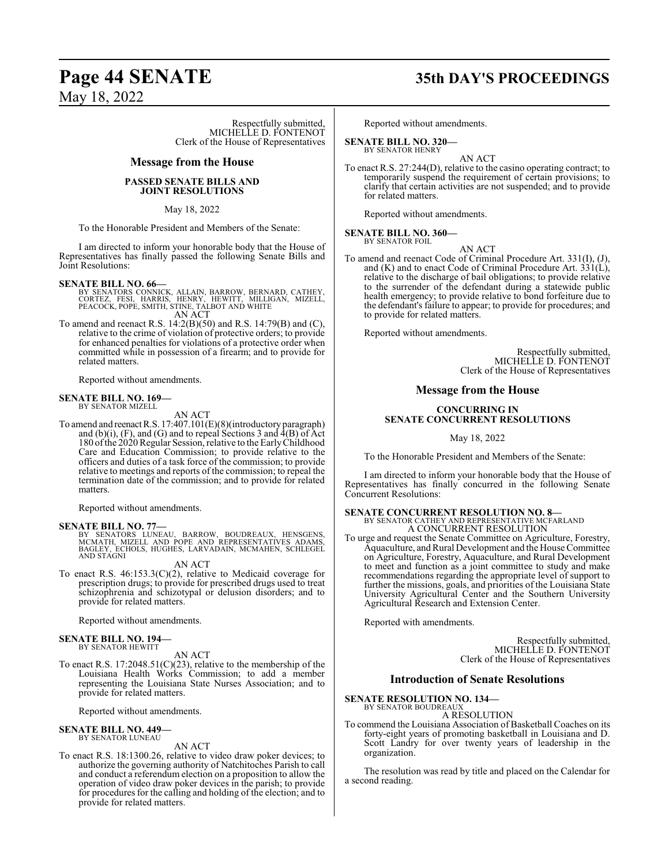Respectfully submitted, MICHELLE D. FONTENOT Clerk of the House of Representatives

### **Message from the House**

### **PASSED SENATE BILLS AND JOINT RESOLUTIONS**

May 18, 2022

To the Honorable President and Members of the Senate:

I am directed to inform your honorable body that the House of Representatives has finally passed the following Senate Bills and Joint Resolutions:

### **SENATE BILL NO. 66—**

- BY SENATORS CONNICK, ALLAIN, BARROW, BERNARD, CATHEY,<br>CORTEZ, FESI, HARRIS, HENRY, HEWITT, MILLIGAN, MIZELL,<br>PEACOCK, POPE, SMITH, STINE, TALBOT AND WHITE AN ACT
- To amend and reenact R.S. 14:2(B)(50) and R.S. 14:79(B) and (C), relative to the crime of violation of protective orders; to provide for enhanced penalties for violations of a protective order when committed while in possession of a firearm; and to provide for related matters.

Reported without amendments.

#### **SENATE BILL NO. 169—** BY SENATOR MIZELL

AN ACT

To amend and reenactR.S. 17:407.101(E)(8)(introductory paragraph) and (b)(i), (F), and (G) and to repeal Sections 3 and  $\hat{4}(B)$  of Act 180 ofthe 2020Regular Session, relative to the EarlyChildhood Care and Education Commission; to provide relative to the officers and duties of a task force of the commission; to provide relative to meetings and reports of the commission; to repeal the termination date of the commission; and to provide for related matters.

Reported without amendments.

**SENATE BILL NO. 77—**<br>BY SENATORS LUNEAU, BARROW, BOUDREAUX, HENSGENS,<br>MCMATH, MIZELL AND POPE AND REPRESENTATIVES ADAMS,<br>BAGLEY, ECHOLS, HUGHES, LARVADAIN, MCMAHEN, SCHLEGEL<br>AND STAGNI

### AN ACT

To enact R.S. 46:153.3(C)(2), relative to Medicaid coverage for prescription drugs; to provide for prescribed drugs used to treat schizophrenia and schizotypal or delusion disorders; and to provide for related matters.

Reported without amendments.

#### **SENATE BILL NO. 194—** BY SENATOR HEWITT

### AN ACT

To enact R.S. 17:2048.51(C)(23), relative to the membership of the Louisiana Health Works Commission; to add a member representing the Louisiana State Nurses Association; and to provide for related matters.

Reported without amendments.

#### **SENATE BILL NO. 449—** BY SENATOR LUNEAU

AN ACT

To enact R.S. 18:1300.26, relative to video draw poker devices; to authorize the governing authority of Natchitoches Parish to call and conduct a referendum election on a proposition to allow the operation of video draw poker devices in the parish; to provide for procedures for the calling and holding of the election; and to provide for related matters.

## **Page 44 SENATE 35th DAY'S PROCEEDINGS**

Reported without amendments.

### **SENATE BILL NO. 320—**

BY SENATOR HENRY

AN ACT To enact R.S. 27:244(D), relative to the casino operating contract; to temporarily suspend the requirement of certain provisions; to clarify that certain activities are not suspended; and to provide for related matters.

Reported without amendments.

**SENATE BILL NO. 360—**

BY SENATOR FOIL AN ACT

To amend and reenact Code of Criminal Procedure Art. 331(I), (J), and  $(K)$  and to enact Code of Criminal Procedure Art.  $331(L)$ , relative to the discharge of bail obligations; to provide relative to the surrender of the defendant during a statewide public health emergency; to provide relative to bond forfeiture due to the defendant's failure to appear; to provide for procedures; and to provide for related matters.

Reported without amendments.

Respectfully submitted, MICHELLE D. FONTENOT Clerk of the House of Representatives

### **Message from the House**

### **CONCURRING IN SENATE CONCURRENT RESOLUTIONS**

May 18, 2022

To the Honorable President and Members of the Senate:

I am directed to inform your honorable body that the House of Representatives has finally concurred in the following Senate Concurrent Resolutions:

### **SENATE CONCURRENT RESOLUTION NO. 8—** BY SENATOR CATHEY AND REPRESENTATIVE MCFARLAND A CONCURRENT RESOLUTION

To urge and request the Senate Committee on Agriculture, Forestry, Aquaculture, and Rural Development and the House Committee on Agriculture, Forestry, Aquaculture, and Rural Development to meet and function as a joint committee to study and make recommendations regarding the appropriate level of support to further the missions, goals, and priorities of the Louisiana State University Agricultural Center and the Southern University Agricultural Research and Extension Center.

Reported with amendments.

Respectfully submitted, MICHELLE D. FONTENOT Clerk of the House of Representatives

### **Introduction of Senate Resolutions**

#### **SENATE RESOLUTION NO. 134—** BY SENATOR BOUDREAU.

A RESOLUTION

To commend the Louisiana Association of Basketball Coaches on its forty-eight years of promoting basketball in Louisiana and D. Scott Landry for over twenty years of leadership in the organization.

The resolution was read by title and placed on the Calendar for a second reading.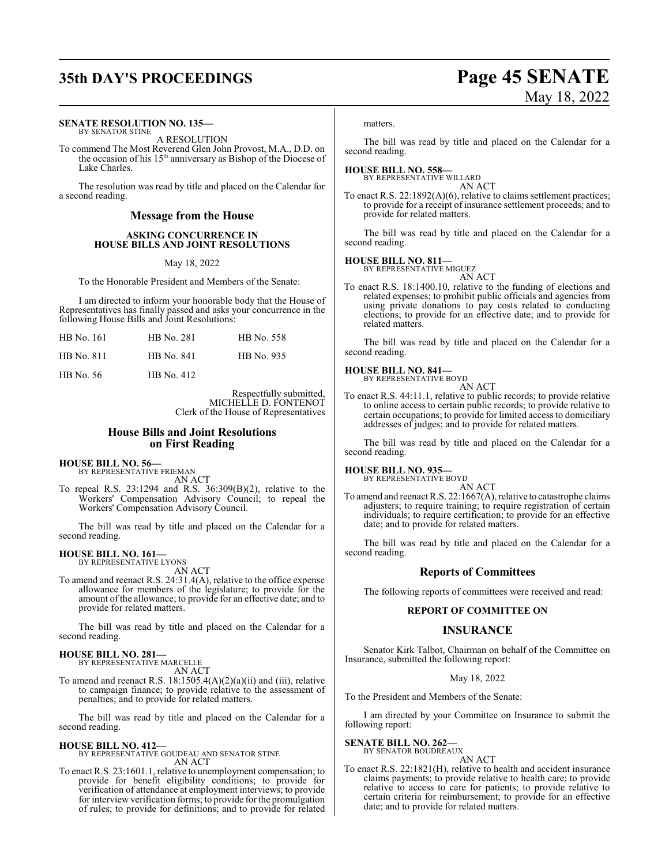## **35th DAY'S PROCEEDINGS Page 45 SENATE**

#### **SENATE RESOLUTION NO. 135—** BY SENATOR STINE

A RESOLUTION

To commend The Most Reverend Glen John Provost, M.A., D.D. on the occasion of his 15<sup>th</sup> anniversary as Bishop of the Diocese of Lake Charles.

The resolution was read by title and placed on the Calendar for a second reading.

### **Message from the House**

### **ASKING CONCURRENCE IN HOUSE BILLS AND JOINT RESOLUTIONS**

May 18, 2022

To the Honorable President and Members of the Senate:

I am directed to inform your honorable body that the House of Representatives has finally passed and asks your concurrence in the following House Bills and Joint Resolutions:

| HB No. 161 | HB No. 281 | <b>HB</b> No. 558 |
|------------|------------|-------------------|
| HB No. 811 | HB No. 841 | HB No. 935        |
| HB No. 56  | HB No. 412 |                   |

Respectfully submitted, MICHELLE D. FONTENOT Clerk of the House of Representatives

### **House Bills and Joint Resolutions on First Reading**

### **HOUSE BILL NO. 56—**

BY REPRESENTATIVE FRIEMAN AN ACT

To repeal R.S. 23:1294 and R.S. 36:309(B)(2), relative to the Workers' Compensation Advisory Council; to repeal the Workers' Compensation Advisory Council.

The bill was read by title and placed on the Calendar for a second reading.

#### **HOUSE BILL NO. 161—** BY REPRESENTATIVE LYONS

AN ACT

To amend and reenact R.S. 24:31.4(A), relative to the office expense allowance for members of the legislature; to provide for the amount of the allowance; to provide for an effective date; and to provide for related matters.

The bill was read by title and placed on the Calendar for a second reading.

### **HOUSE BILL NO. 281—**

BY REPRESENTATIVE MARCELLE AN ACT

To amend and reenact R.S.  $18:1505.4(A)(2)(a)(ii)$  and (iii), relative to campaign finance; to provide relative to the assessment of penalties; and to provide for related matters.

The bill was read by title and placed on the Calendar for a second reading.

**HOUSE BILL NO. 412—** BY REPRESENTATIVE GOUDEAU AND SENATOR STINE AN ACT

To enact R.S. 23:1601.1, relative to unemployment compensation; to provide for benefit eligibility conditions; to provide for verification of attendance at employment interviews; to provide for interview verification forms; to provide for the promulgation of rules; to provide for definitions; and to provide for related matters.

The bill was read by title and placed on the Calendar for a second reading.

#### **HOUSE BILL NO. 558—** BY REPRESENTATIVE WILLARD

AN ACT

To enact R.S. 22:1892(A)(6), relative to claims settlement practices; to provide for a receipt of insurance settlement proceeds; and to provide for related matters.

The bill was read by title and placed on the Calendar for a second reading.

### **HOUSE BILL NO. 811—** BY REPRESENTATIVE MIGUEZ

AN ACT

To enact R.S. 18:1400.10, relative to the funding of elections and related expenses; to prohibit public officials and agencies from using private donations to pay costs related to conducting elections; to provide for an effective date; and to provide for related matters.

The bill was read by title and placed on the Calendar for a second reading.

### **HOUSE BILL NO. 841—** BY REPRESENTATIVE BOYD

AN ACT

To enact R.S. 44:11.1, relative to public records; to provide relative to online access to certain public records; to provide relative to certain occupations; to provide for limited access to domiciliary addresses of judges; and to provide for related matters.

The bill was read by title and placed on the Calendar for a second reading.

### **HOUSE BILL NO. 935—**

BY REPRESENTATIVE BOYD AN ACT

To amend and reenact R.S. 22:1667(A), relative to catastrophe claims adjusters; to require training; to require registration of certain individuals; to require certification; to provide for an effective date; and to provide for related matters.

The bill was read by title and placed on the Calendar for a second reading.

### **Reports of Committees**

The following reports of committees were received and read:

### **REPORT OF COMMITTEE ON**

### **INSURANCE**

Senator Kirk Talbot, Chairman on behalf of the Committee on Insurance, submitted the following report:

### May 18, 2022

To the President and Members of the Senate:

I am directed by your Committee on Insurance to submit the following report:

### **SENATE BILL NO. 262—**<br>BY SENATOR BOUDREAUX

AN ACT

To enact R.S. 22:1821(H), relative to health and accident insurance claims payments; to provide relative to health care; to provide relative to access to care for patients; to provide relative to certain criteria for reimbursement; to provide for an effective date; and to provide for related matters.

May 18, 2022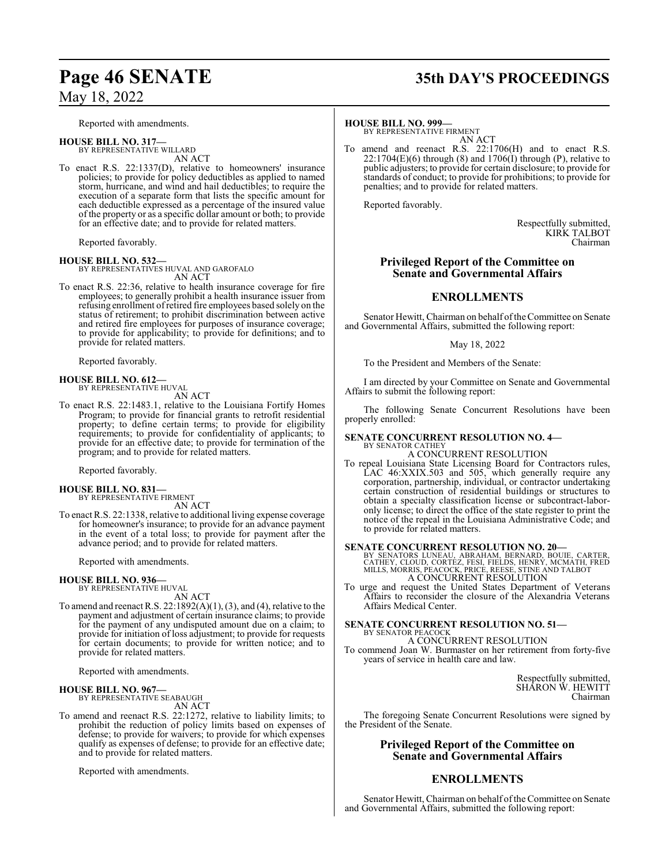Reported with amendments.

**HOUSE BILL NO. 317—** BY REPRESENTATIVE WILLARD AN ACT

To enact R.S. 22:1337(D), relative to homeowners' insurance policies; to provide for policy deductibles as applied to named storm, hurricane, and wind and hail deductibles; to require the execution of a separate form that lists the specific amount for each deductible expressed as a percentage of the insured value of the property or as a specific dollar amount or both; to provide for an effective date; and to provide for related matters.

Reported favorably.

**HOUSE BILL NO. 532—** BY REPRESENTATIVES HUVAL AND GAROFALO AN ACT

To enact R.S. 22:36, relative to health insurance coverage for fire employees; to generally prohibit a health insurance issuer from refusing enrollment ofretired fire employees based solely on the status of retirement; to prohibit discrimination between active and retired fire employees for purposes of insurance coverage; to provide for applicability; to provide for definitions; and to provide for related matters.

Reported favorably.

#### **HOUSE BILL NO. 612—** BY REPRESENTATIVE HUVAL

AN ACT

To enact R.S. 22:1483.1, relative to the Louisiana Fortify Homes Program; to provide for financial grants to retrofit residential property; to define certain terms; to provide for eligibility requirements; to provide for confidentiality of applicants; to provide for an effective date; to provide for termination of the program; and to provide for related matters.

Reported favorably.

### **HOUSE BILL NO. 831—**

BY REPRESENTATIVE FIRMENT

AN ACT

To enact R.S. 22:1338, relative to additional living expense coverage for homeowner's insurance; to provide for an advance payment in the event of a total loss; to provide for payment after the advance period; and to provide for related matters.

Reported with amendments.

#### **HOUSE BILL NO. 936—** BY REPRESENTATIVE HUVAL

AN ACT

To amend and reenact R.S.  $22:1892(A)(1), (3)$ , and  $(4)$ , relative to the payment and adjustment of certain insurance claims; to provide for the payment of any undisputed amount due on a claim; to provide for initiation of loss adjustment; to provide for requests for certain documents; to provide for written notice; and to provide for related matters.

Reported with amendments.

### **HOUSE BILL NO. 967—**

BY REPRESENTATIVE SEABAUGH AN ACT

To amend and reenact R.S. 22:1272, relative to liability limits; to prohibit the reduction of policy limits based on expenses of defense; to provide for waivers; to provide for which expenses qualify as expenses of defense; to provide for an effective date; and to provide for related matters.

Reported with amendments.

## **Page 46 SENATE 35th DAY'S PROCEEDINGS**

### **HOUSE BILL NO. 999—**

BY REPRESENTATIVE FIRMENT AN ACT

To amend and reenact R.S. 22:1706(H) and to enact R.S.  $22:1704(E)(6)$  through (8) and  $1706(I)$  through (P), relative to public adjusters; to provide for certain disclosure; to provide for standards of conduct; to provide for prohibitions; to provide for penalties; and to provide for related matters.

Reported favorably.

Respectfully submitted, KIRK TALBOT Chairman

### **Privileged Report of the Committee on Senate and Governmental Affairs**

### **ENROLLMENTS**

Senator Hewitt, Chairman on behalf of the Committee on Senate and Governmental Affairs, submitted the following report:

### May 18, 2022

To the President and Members of the Senate:

I am directed by your Committee on Senate and Governmental Affairs to submit the following report:

The following Senate Concurrent Resolutions have been properly enrolled:

### **SENATE CONCURRENT RESOLUTION NO. 4—**

BY SENATOR CATHEY A CONCURRENT RESOLUTION

To repeal Louisiana State Licensing Board for Contractors rules, LAC 46:XXIX.503 and 505, which generally require any corporation, partnership, individual, or contractor undertaking certain construction of residential buildings or structures to obtain a specialty classification license or subcontract-laboronly license; to direct the office of the state register to print the notice of the repeal in the Louisiana Administrative Code; and to provide for related matters.

**SENATE CONCURRENT RESOLUTION NO. 20—**<br>BY SENATORS LUNEAU, ABRAHAM, BERNARD, BOUIE, CARTER,<br>CATHEY, CLOUD, CORTÉZ, FESI, FIELDS, HENRY, MCMATH, FRED<br>MILLS, MORRIS, PEACOCK, PRICE, REESE, STINE AND TALBOT A CONCURRENT RESOLUTION

To urge and request the United States Department of Veterans Affairs to reconsider the closure of the Alexandria Veterans Affairs Medical Center.

### **SENATE CONCURRENT RESOLUTION NO. 51—** BY SENATOR PEACOCK

A CONCURRENT RESOLUTION To commend Joan W. Burmaster on her retirement from forty-five years of service in health care and law.

> Respectfully submitted, SHARON W. HEWITT Chairman

The foregoing Senate Concurrent Resolutions were signed by the President of the Senate.

### **Privileged Report of the Committee on Senate and Governmental Affairs**

### **ENROLLMENTS**

Senator Hewitt, Chairman on behalf of the Committee on Senate and Governmental Affairs, submitted the following report: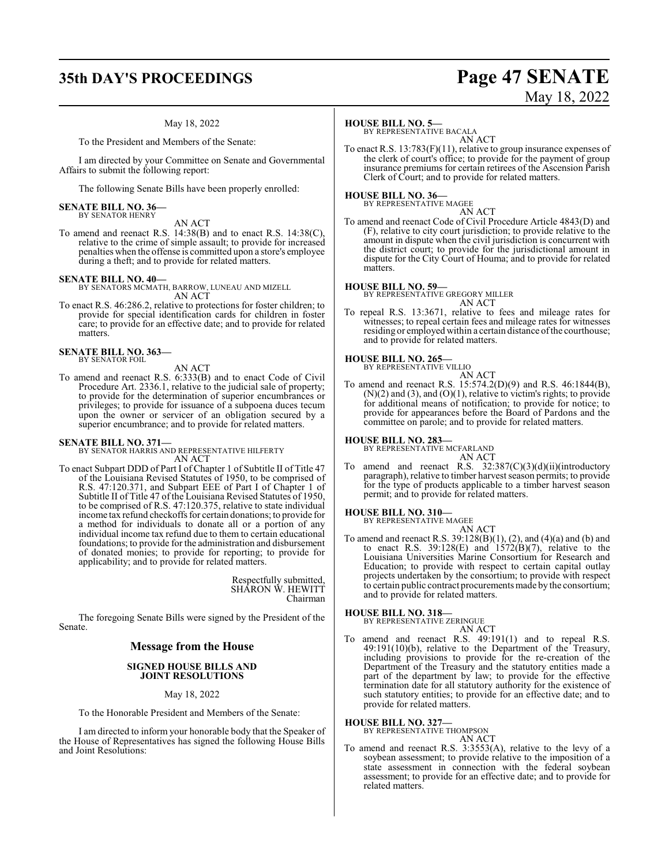## **35th DAY'S PROCEEDINGS Page 47 SENATE**

### May 18, 2022

To the President and Members of the Senate:

I am directed by your Committee on Senate and Governmental Affairs to submit the following report:

The following Senate Bills have been properly enrolled:

#### **SENATE BILL NO. 36—** BY SENATOR HENRY

AN ACT

To amend and reenact R.S. 14:38(B) and to enact R.S. 14:38(C), relative to the crime of simple assault; to provide for increased penalties when the offense is committed upon a store's employee during a theft; and to provide for related matters.

### **SENATE BILL NO. 40—**

BY SENATORS MCMATH, BARROW, LUNEAU AND MIZELL AN ACT

To enact R.S. 46:286.2, relative to protections for foster children; to provide for special identification cards for children in foster care; to provide for an effective date; and to provide for related matters.

#### **SENATE BILL NO. 363—** BY SENATOR FOIL

### AN ACT

To amend and reenact R.S. 6:333(B) and to enact Code of Civil Procedure Art. 2336.1, relative to the judicial sale of property; to provide for the determination of superior encumbrances or privileges; to provide for issuance of a subpoena duces tecum upon the owner or servicer of an obligation secured by a superior encumbrance; and to provide for related matters.

### **SENATE BILL NO. 371—** BY SENATOR HARRIS AND REPRESENTATIVE HILFERTY AN ACT

To enact Subpart DDD of Part I of Chapter 1 of Subtitle II of Title 47 of the Louisiana Revised Statutes of 1950, to be comprised of R.S. 47:120.371, and Subpart EEE of Part I of Chapter 1 of Subtitle II of Title 47 of the Louisiana Revised Statutes of 1950, to be comprised of R.S. 47:120.375, relative to state individual income tax refund checkoffs for certain donations; to provide for a method for individuals to donate all or a portion of any individual income tax refund due to them to certain educational foundations; to provide for the administration and disbursement of donated monies; to provide for reporting; to provide for applicability; and to provide for related matters.

> Respectfully submitted, SHARON W. HEWITT Chairman

The foregoing Senate Bills were signed by the President of the Senate.

### **Message from the House**

### **SIGNED HOUSE BILLS AND JOINT RESOLUTIONS**

### May 18, 2022

To the Honorable President and Members of the Senate:

I am directed to inform your honorable body that the Speaker of the House of Representatives has signed the following House Bills and Joint Resolutions:

### **HOUSE BILL NO. 5—**

BY REPRESENTATIVE BACALA AN ACT

To enact R.S. 13:783(F)(11), relative to group insurance expenses of the clerk of court's office; to provide for the payment of group insurance premiums for certain retirees of the Ascension Parish Clerk of Court; and to provide for related matters.

### **HOUSE BILL NO. 36—**

BY REPRESENTATIVE MAGEE AN ACT

To amend and reenact Code of Civil Procedure Article 4843(D) and (F), relative to city court jurisdiction; to provide relative to the amount in dispute when the civil jurisdiction is concurrent with the district court; to provide for the jurisdictional amount in dispute for the City Court of Houma; and to provide for related matters.

#### **HOUSE BILL NO. 59—**

BY REPRESENTATIVE GREGORY MILLER AN ACT

To repeal R.S. 13:3671, relative to fees and mileage rates for witnesses; to repeal certain fees and mileage rates for witnesses residing or employed within a certain distance of the courthouse; and to provide for related matters.

### **HOUSE BILL NO. 265—** BY REPRESENTATIVE VILLIO

AN ACT

To amend and reenact R.S. 15:574.2(D)(9) and R.S. 46:1844(B),  $(N)(2)$  and  $(3)$ , and  $(O)(1)$ , relative to victim's rights; to provide for additional means of notification; to provide for notice; to provide for appearances before the Board of Pardons and the committee on parole; and to provide for related matters.

**HOUSE BILL NO. 283—** BY REPRESENTATIVE MCFARLAND

AN ACT To amend and reenact R.S. 32:387(C)(3)(d)(ii)(introductory paragraph), relative to timber harvest season permits; to provide for the type of products applicable to a timber harvest season permit; and to provide for related matters.

### **HOUSE BILL NO. 310—** BY REPRESENTATIVE MAGEE

AN ACT

To amend and reenact R.S. 39:128(B)(1), (2), and (4)(a) and (b) and to enact R.S.  $39:128(E)$  and  $1572(B)(7)$ , relative to the Louisiana Universities Marine Consortium for Research and Education; to provide with respect to certain capital outlay projects undertaken by the consortium; to provide with respect to certain public contract procurements made by the consortium; and to provide for related matters.

### **HOUSE BILL NO. 318—** BY REPRESENTATIVE ZERINGUE

### AN ACT

To amend and reenact R.S. 49:191(1) and to repeal R.S. 49:191(10)(b), relative to the Department of the Treasury, including provisions to provide for the re-creation of the Department of the Treasury and the statutory entities made a part of the department by law; to provide for the effective termination date for all statutory authority for the existence of such statutory entities; to provide for an effective date; and to provide for related matters.

**HOUSE BILL NO. 327—** BY REPRESENTATIVE THOMPSON

### AN ACT

To amend and reenact R.S. 3:3553(A), relative to the levy of a soybean assessment; to provide relative to the imposition of a state assessment in connection with the federal soybean assessment; to provide for an effective date; and to provide for related matters.

# May 18, 2022